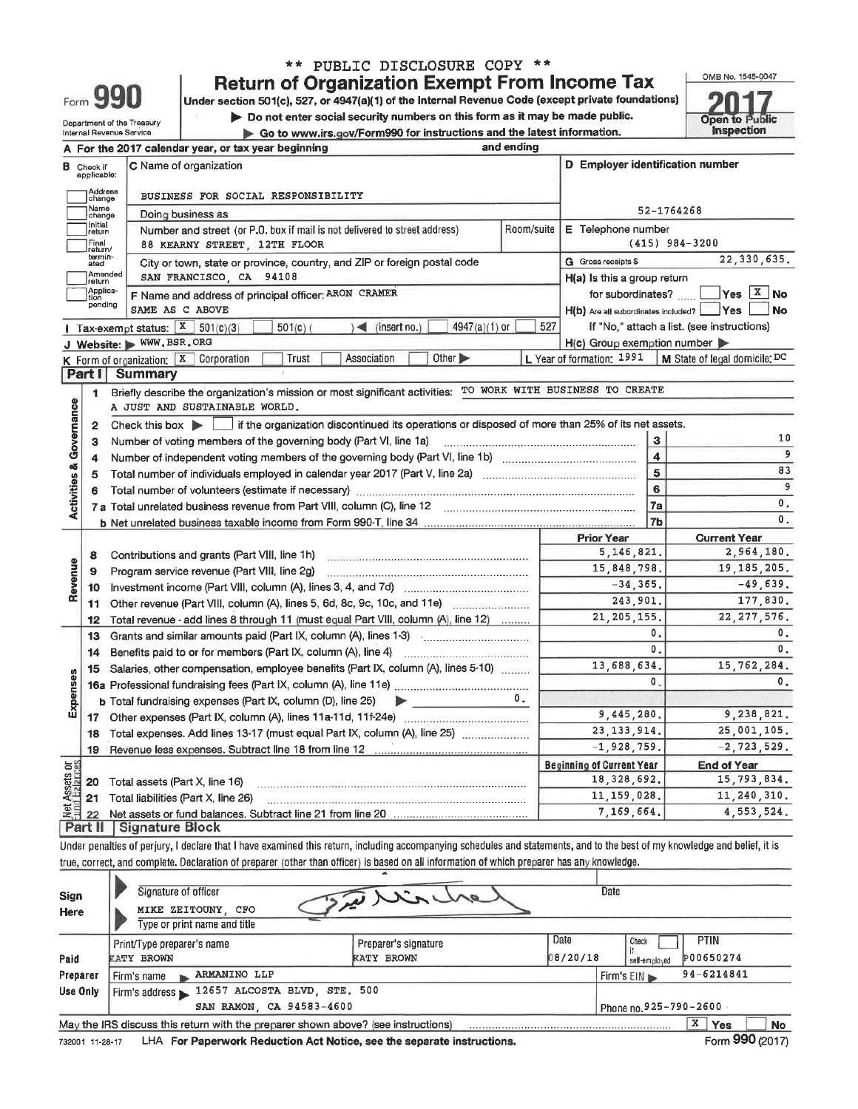| ** PUBLIC DISCLOSURE COPY **                                                                       |    |
|----------------------------------------------------------------------------------------------------|----|
| <b>Return of Organization Exempt From Income Tax</b>                                               | O١ |
| Under section 501(c), 527, or 4947(a)(1) of the Internal Revenue Code (except private foundations) |    |
| Do not enter social security numbers on this form as it may be made public.                        | Ő. |
| Go to www.irs.gov/Form990 for instructions and the latest information.                             |    |

Form 990

Department of the Treasury<br>Internal Revenue Service

| OMB No. 1545-0047                   |
|-------------------------------------|
|                                     |
|                                     |
| <b>Open to Public</b><br>Inspection |
|                                     |

| D Employer identification number<br>C Name of organization<br>в<br>Check if<br>applicable:<br>Address<br>BUSINESS FOR SOCIAL RESPONSIBILITY<br>change<br>Name<br>52-1764268<br>Doing business as<br>change<br>Initial<br>Room/suite<br>E Telephone number<br>Number and street (or P.O. box if mail is not delivered to street address)<br>return<br>Final<br>$(415)$ 984-3200<br>88 KEARNY STREET, 12TH FLOOR<br>return/<br>termin-<br><b>G</b> Gross receipts \$<br>City or town, state or province, country, and ZIP or foreign postal code<br>ated<br>Amended<br>SAN FRANCISCO, CA 94108<br>H(a) Is this a group return<br>return<br>Applica-<br>F Name and address of principal officer: ARON CRAMER<br>for subordinates?<br>tion<br>pending<br>SAME AS C ABOVE<br>H(b) Are all subordinates included? Ves<br>4947(a)(1) or<br>Tax-exempt status: $X$ 501(c)(3)<br>$\leq$ (insert no.)<br>527<br>If "No," attach a list. (see instructions)<br>501(c)<br>J Website: WWW.BSR.ORG<br>$H(c)$ Group exemption number<br>Association<br>Other ><br>L Year of formation: 1991   M State of legal domicile: DC<br>K Form of organization: $X$<br>Corporation<br>Trust<br><b>Part I</b><br>Summary<br>Briefly describe the organization's mission or most significant activities: TO WORK WITH BUSINESS TO CREATE<br>1<br>Activities & Governance<br>A JUST AND SUSTAINABLE WORLD.<br>Check this box $\blacktriangleright$   if the organization discontinued its operations or disposed of more than 25% of its net assets.<br>$\mathbf{2}$<br>3<br>Number of voting members of the governing body (Part VI, line 1a)<br>3<br>$\overline{\bf{4}}$<br>4<br>$\overline{5}$<br>5<br>6<br>6<br>7a<br>7 <sub>b</sub><br><b>Current Year</b><br><b>Prior Year</b><br>5, 146, 821.<br>Contributions and grants (Part VIII, line 1h)<br>8<br>Revenue<br>15,848,798.<br>Program service revenue (Part VIII, line 2g)<br>9<br>$-34, 365.$<br>10<br>243.901.<br>Other revenue (Part VIII, column (A), lines 5, 6d, 8c, 9c, 10c, and 11e) <i></i><br>11<br>21, 205, 155.<br>Total revenue - add lines 8 through 11 (must equal Part VIII, column (A), line 12)<br>12<br>0.<br>Grants and similar amounts paid (Part IX, column (A), lines 1-3)<br>13 |                         | A For the 2017 calendar year, or tax year beginning | and ending |            |                  |  |
|----------------------------------------------------------------------------------------------------------------------------------------------------------------------------------------------------------------------------------------------------------------------------------------------------------------------------------------------------------------------------------------------------------------------------------------------------------------------------------------------------------------------------------------------------------------------------------------------------------------------------------------------------------------------------------------------------------------------------------------------------------------------------------------------------------------------------------------------------------------------------------------------------------------------------------------------------------------------------------------------------------------------------------------------------------------------------------------------------------------------------------------------------------------------------------------------------------------------------------------------------------------------------------------------------------------------------------------------------------------------------------------------------------------------------------------------------------------------------------------------------------------------------------------------------------------------------------------------------------------------------------------------------------------------------------------------------------------------------------------------------------------------------------------------------------------------------------------------------------------------------------------------------------------------------------------------------------------------------------------------------------------------------------------------------------------------------------------------------------------------------------------------------------------------------------------------------------------------------------------|-------------------------|-----------------------------------------------------|------------|------------|------------------|--|
|                                                                                                                                                                                                                                                                                                                                                                                                                                                                                                                                                                                                                                                                                                                                                                                                                                                                                                                                                                                                                                                                                                                                                                                                                                                                                                                                                                                                                                                                                                                                                                                                                                                                                                                                                                                                                                                                                                                                                                                                                                                                                                                                                                                                                                        |                         |                                                     |            |            |                  |  |
|                                                                                                                                                                                                                                                                                                                                                                                                                                                                                                                                                                                                                                                                                                                                                                                                                                                                                                                                                                                                                                                                                                                                                                                                                                                                                                                                                                                                                                                                                                                                                                                                                                                                                                                                                                                                                                                                                                                                                                                                                                                                                                                                                                                                                                        |                         |                                                     |            |            |                  |  |
|                                                                                                                                                                                                                                                                                                                                                                                                                                                                                                                                                                                                                                                                                                                                                                                                                                                                                                                                                                                                                                                                                                                                                                                                                                                                                                                                                                                                                                                                                                                                                                                                                                                                                                                                                                                                                                                                                                                                                                                                                                                                                                                                                                                                                                        |                         |                                                     |            |            |                  |  |
|                                                                                                                                                                                                                                                                                                                                                                                                                                                                                                                                                                                                                                                                                                                                                                                                                                                                                                                                                                                                                                                                                                                                                                                                                                                                                                                                                                                                                                                                                                                                                                                                                                                                                                                                                                                                                                                                                                                                                                                                                                                                                                                                                                                                                                        |                         |                                                     |            |            |                  |  |
|                                                                                                                                                                                                                                                                                                                                                                                                                                                                                                                                                                                                                                                                                                                                                                                                                                                                                                                                                                                                                                                                                                                                                                                                                                                                                                                                                                                                                                                                                                                                                                                                                                                                                                                                                                                                                                                                                                                                                                                                                                                                                                                                                                                                                                        |                         |                                                     |            |            |                  |  |
|                                                                                                                                                                                                                                                                                                                                                                                                                                                                                                                                                                                                                                                                                                                                                                                                                                                                                                                                                                                                                                                                                                                                                                                                                                                                                                                                                                                                                                                                                                                                                                                                                                                                                                                                                                                                                                                                                                                                                                                                                                                                                                                                                                                                                                        |                         |                                                     |            |            | 22, 330, 635.    |  |
|                                                                                                                                                                                                                                                                                                                                                                                                                                                                                                                                                                                                                                                                                                                                                                                                                                                                                                                                                                                                                                                                                                                                                                                                                                                                                                                                                                                                                                                                                                                                                                                                                                                                                                                                                                                                                                                                                                                                                                                                                                                                                                                                                                                                                                        |                         |                                                     |            |            |                  |  |
|                                                                                                                                                                                                                                                                                                                                                                                                                                                                                                                                                                                                                                                                                                                                                                                                                                                                                                                                                                                                                                                                                                                                                                                                                                                                                                                                                                                                                                                                                                                                                                                                                                                                                                                                                                                                                                                                                                                                                                                                                                                                                                                                                                                                                                        |                         |                                                     |            |            | $Yes \quad X$ No |  |
|                                                                                                                                                                                                                                                                                                                                                                                                                                                                                                                                                                                                                                                                                                                                                                                                                                                                                                                                                                                                                                                                                                                                                                                                                                                                                                                                                                                                                                                                                                                                                                                                                                                                                                                                                                                                                                                                                                                                                                                                                                                                                                                                                                                                                                        |                         |                                                     |            |            | <b>No</b>        |  |
|                                                                                                                                                                                                                                                                                                                                                                                                                                                                                                                                                                                                                                                                                                                                                                                                                                                                                                                                                                                                                                                                                                                                                                                                                                                                                                                                                                                                                                                                                                                                                                                                                                                                                                                                                                                                                                                                                                                                                                                                                                                                                                                                                                                                                                        |                         |                                                     |            |            |                  |  |
|                                                                                                                                                                                                                                                                                                                                                                                                                                                                                                                                                                                                                                                                                                                                                                                                                                                                                                                                                                                                                                                                                                                                                                                                                                                                                                                                                                                                                                                                                                                                                                                                                                                                                                                                                                                                                                                                                                                                                                                                                                                                                                                                                                                                                                        |                         |                                                     |            |            |                  |  |
|                                                                                                                                                                                                                                                                                                                                                                                                                                                                                                                                                                                                                                                                                                                                                                                                                                                                                                                                                                                                                                                                                                                                                                                                                                                                                                                                                                                                                                                                                                                                                                                                                                                                                                                                                                                                                                                                                                                                                                                                                                                                                                                                                                                                                                        |                         |                                                     |            |            |                  |  |
|                                                                                                                                                                                                                                                                                                                                                                                                                                                                                                                                                                                                                                                                                                                                                                                                                                                                                                                                                                                                                                                                                                                                                                                                                                                                                                                                                                                                                                                                                                                                                                                                                                                                                                                                                                                                                                                                                                                                                                                                                                                                                                                                                                                                                                        |                         |                                                     |            |            |                  |  |
|                                                                                                                                                                                                                                                                                                                                                                                                                                                                                                                                                                                                                                                                                                                                                                                                                                                                                                                                                                                                                                                                                                                                                                                                                                                                                                                                                                                                                                                                                                                                                                                                                                                                                                                                                                                                                                                                                                                                                                                                                                                                                                                                                                                                                                        |                         |                                                     |            |            |                  |  |
|                                                                                                                                                                                                                                                                                                                                                                                                                                                                                                                                                                                                                                                                                                                                                                                                                                                                                                                                                                                                                                                                                                                                                                                                                                                                                                                                                                                                                                                                                                                                                                                                                                                                                                                                                                                                                                                                                                                                                                                                                                                                                                                                                                                                                                        |                         |                                                     |            |            |                  |  |
|                                                                                                                                                                                                                                                                                                                                                                                                                                                                                                                                                                                                                                                                                                                                                                                                                                                                                                                                                                                                                                                                                                                                                                                                                                                                                                                                                                                                                                                                                                                                                                                                                                                                                                                                                                                                                                                                                                                                                                                                                                                                                                                                                                                                                                        |                         |                                                     |            |            | 10               |  |
|                                                                                                                                                                                                                                                                                                                                                                                                                                                                                                                                                                                                                                                                                                                                                                                                                                                                                                                                                                                                                                                                                                                                                                                                                                                                                                                                                                                                                                                                                                                                                                                                                                                                                                                                                                                                                                                                                                                                                                                                                                                                                                                                                                                                                                        |                         |                                                     |            | 9          |                  |  |
|                                                                                                                                                                                                                                                                                                                                                                                                                                                                                                                                                                                                                                                                                                                                                                                                                                                                                                                                                                                                                                                                                                                                                                                                                                                                                                                                                                                                                                                                                                                                                                                                                                                                                                                                                                                                                                                                                                                                                                                                                                                                                                                                                                                                                                        |                         |                                                     |            | 83         |                  |  |
|                                                                                                                                                                                                                                                                                                                                                                                                                                                                                                                                                                                                                                                                                                                                                                                                                                                                                                                                                                                                                                                                                                                                                                                                                                                                                                                                                                                                                                                                                                                                                                                                                                                                                                                                                                                                                                                                                                                                                                                                                                                                                                                                                                                                                                        |                         |                                                     |            | 9          |                  |  |
|                                                                                                                                                                                                                                                                                                                                                                                                                                                                                                                                                                                                                                                                                                                                                                                                                                                                                                                                                                                                                                                                                                                                                                                                                                                                                                                                                                                                                                                                                                                                                                                                                                                                                                                                                                                                                                                                                                                                                                                                                                                                                                                                                                                                                                        |                         |                                                     |            | Ο.         |                  |  |
|                                                                                                                                                                                                                                                                                                                                                                                                                                                                                                                                                                                                                                                                                                                                                                                                                                                                                                                                                                                                                                                                                                                                                                                                                                                                                                                                                                                                                                                                                                                                                                                                                                                                                                                                                                                                                                                                                                                                                                                                                                                                                                                                                                                                                                        |                         |                                                     |            |            | $\mathbf{0}$ .   |  |
|                                                                                                                                                                                                                                                                                                                                                                                                                                                                                                                                                                                                                                                                                                                                                                                                                                                                                                                                                                                                                                                                                                                                                                                                                                                                                                                                                                                                                                                                                                                                                                                                                                                                                                                                                                                                                                                                                                                                                                                                                                                                                                                                                                                                                                        |                         |                                                     |            |            |                  |  |
|                                                                                                                                                                                                                                                                                                                                                                                                                                                                                                                                                                                                                                                                                                                                                                                                                                                                                                                                                                                                                                                                                                                                                                                                                                                                                                                                                                                                                                                                                                                                                                                                                                                                                                                                                                                                                                                                                                                                                                                                                                                                                                                                                                                                                                        |                         |                                                     |            |            | 2,964,180.       |  |
|                                                                                                                                                                                                                                                                                                                                                                                                                                                                                                                                                                                                                                                                                                                                                                                                                                                                                                                                                                                                                                                                                                                                                                                                                                                                                                                                                                                                                                                                                                                                                                                                                                                                                                                                                                                                                                                                                                                                                                                                                                                                                                                                                                                                                                        |                         |                                                     |            |            | 19, 185, 205.    |  |
|                                                                                                                                                                                                                                                                                                                                                                                                                                                                                                                                                                                                                                                                                                                                                                                                                                                                                                                                                                                                                                                                                                                                                                                                                                                                                                                                                                                                                                                                                                                                                                                                                                                                                                                                                                                                                                                                                                                                                                                                                                                                                                                                                                                                                                        |                         |                                                     |            |            | $-49,639.$       |  |
|                                                                                                                                                                                                                                                                                                                                                                                                                                                                                                                                                                                                                                                                                                                                                                                                                                                                                                                                                                                                                                                                                                                                                                                                                                                                                                                                                                                                                                                                                                                                                                                                                                                                                                                                                                                                                                                                                                                                                                                                                                                                                                                                                                                                                                        |                         |                                                     |            |            | 177,830.         |  |
|                                                                                                                                                                                                                                                                                                                                                                                                                                                                                                                                                                                                                                                                                                                                                                                                                                                                                                                                                                                                                                                                                                                                                                                                                                                                                                                                                                                                                                                                                                                                                                                                                                                                                                                                                                                                                                                                                                                                                                                                                                                                                                                                                                                                                                        |                         |                                                     |            |            | 22, 277, 576.    |  |
|                                                                                                                                                                                                                                                                                                                                                                                                                                                                                                                                                                                                                                                                                                                                                                                                                                                                                                                                                                                                                                                                                                                                                                                                                                                                                                                                                                                                                                                                                                                                                                                                                                                                                                                                                                                                                                                                                                                                                                                                                                                                                                                                                                                                                                        |                         |                                                     |            |            | 0.               |  |
| $\mathbf{0}$ .<br>14                                                                                                                                                                                                                                                                                                                                                                                                                                                                                                                                                                                                                                                                                                                                                                                                                                                                                                                                                                                                                                                                                                                                                                                                                                                                                                                                                                                                                                                                                                                                                                                                                                                                                                                                                                                                                                                                                                                                                                                                                                                                                                                                                                                                                   |                         |                                                     |            |            | $\mathbf{0}$ .   |  |
| 13,688,634.<br>Salaries, other compensation, employee benefits (Part IX, column (A), lines 5-10)<br>15                                                                                                                                                                                                                                                                                                                                                                                                                                                                                                                                                                                                                                                                                                                                                                                                                                                                                                                                                                                                                                                                                                                                                                                                                                                                                                                                                                                                                                                                                                                                                                                                                                                                                                                                                                                                                                                                                                                                                                                                                                                                                                                                 |                         |                                                     |            |            | 15,762,284.      |  |
| Expenses<br>0.                                                                                                                                                                                                                                                                                                                                                                                                                                                                                                                                                                                                                                                                                                                                                                                                                                                                                                                                                                                                                                                                                                                                                                                                                                                                                                                                                                                                                                                                                                                                                                                                                                                                                                                                                                                                                                                                                                                                                                                                                                                                                                                                                                                                                         |                         |                                                     |            |            | $\mathbf{0}$ .   |  |
| 0.<br><b>b</b> Total fundraising expenses (Part IX, column (D), line 25)<br>$\blacktriangleright$ $\ldots$                                                                                                                                                                                                                                                                                                                                                                                                                                                                                                                                                                                                                                                                                                                                                                                                                                                                                                                                                                                                                                                                                                                                                                                                                                                                                                                                                                                                                                                                                                                                                                                                                                                                                                                                                                                                                                                                                                                                                                                                                                                                                                                             |                         |                                                     |            |            |                  |  |
| 9,445,280.<br>17 <sup>2</sup>                                                                                                                                                                                                                                                                                                                                                                                                                                                                                                                                                                                                                                                                                                                                                                                                                                                                                                                                                                                                                                                                                                                                                                                                                                                                                                                                                                                                                                                                                                                                                                                                                                                                                                                                                                                                                                                                                                                                                                                                                                                                                                                                                                                                          |                         |                                                     |            |            | 9,238,821.       |  |
| 23.133.914.<br>Total expenses. Add lines 13-17 (must equal Part IX, column (A), line 25)<br>18                                                                                                                                                                                                                                                                                                                                                                                                                                                                                                                                                                                                                                                                                                                                                                                                                                                                                                                                                                                                                                                                                                                                                                                                                                                                                                                                                                                                                                                                                                                                                                                                                                                                                                                                                                                                                                                                                                                                                                                                                                                                                                                                         |                         |                                                     |            |            | 25,001,105.      |  |
| $-1,928,759.$                                                                                                                                                                                                                                                                                                                                                                                                                                                                                                                                                                                                                                                                                                                                                                                                                                                                                                                                                                                                                                                                                                                                                                                                                                                                                                                                                                                                                                                                                                                                                                                                                                                                                                                                                                                                                                                                                                                                                                                                                                                                                                                                                                                                                          |                         |                                                     |            |            | $-2, 723, 529.$  |  |
| <b>Beginning of Current Year</b><br><b>End of Year</b>                                                                                                                                                                                                                                                                                                                                                                                                                                                                                                                                                                                                                                                                                                                                                                                                                                                                                                                                                                                                                                                                                                                                                                                                                                                                                                                                                                                                                                                                                                                                                                                                                                                                                                                                                                                                                                                                                                                                                                                                                                                                                                                                                                                 | 19                      |                                                     |            |            |                  |  |
| 18, 328, 692.<br>Total assets (Part X, line 16)                                                                                                                                                                                                                                                                                                                                                                                                                                                                                                                                                                                                                                                                                                                                                                                                                                                                                                                                                                                                                                                                                                                                                                                                                                                                                                                                                                                                                                                                                                                                                                                                                                                                                                                                                                                                                                                                                                                                                                                                                                                                                                                                                                                        | គន្ធ                    |                                                     |            |            | 15,793,834.      |  |
| 11, 159, 028,<br>Total liabilities (Part X, line 26)                                                                                                                                                                                                                                                                                                                                                                                                                                                                                                                                                                                                                                                                                                                                                                                                                                                                                                                                                                                                                                                                                                                                                                                                                                                                                                                                                                                                                                                                                                                                                                                                                                                                                                                                                                                                                                                                                                                                                                                                                                                                                                                                                                                   | 20                      |                                                     |            |            | 11,240,310.      |  |
| 22<br>Signature Block<br>Part II                                                                                                                                                                                                                                                                                                                                                                                                                                                                                                                                                                                                                                                                                                                                                                                                                                                                                                                                                                                                                                                                                                                                                                                                                                                                                                                                                                                                                                                                                                                                                                                                                                                                                                                                                                                                                                                                                                                                                                                                                                                                                                                                                                                                       | <b>Net Assets</b><br>21 |                                                     |            | 7,169,664. | 4, 553, 524.     |  |

Under penalties of perjury, I declare that I have examined this return, including accompanying schedules and statements, and to the best of my knowledge and belief, it is true, correct, and complete. Declaration of preparer (other than officer) is based on all information of which preparer has any knowledge.

| Sign<br><b>Here</b>                                                                                                                                           | Signature of officer<br>MIKE ZEITOUNY, CFO<br>Type or print name and title                                  | Date |                                                         |                 |  |  |  |  |
|---------------------------------------------------------------------------------------------------------------------------------------------------------------|-------------------------------------------------------------------------------------------------------------|------|---------------------------------------------------------|-----------------|--|--|--|--|
| Date<br><b>PTIN</b><br>Check<br>Preparer's signature<br>Print/Type preparer's name<br>08/20/18<br><b>P00650274</b><br><b>KATY BROWN</b><br>Paid<br>KATY BROWN |                                                                                                             |      |                                                         |                 |  |  |  |  |
| Preparer                                                                                                                                                      | ARMANINO LLP<br>Firm's name                                                                                 |      | self-employed<br>94-6214841<br>$Firm's EIN \rightarrow$ |                 |  |  |  |  |
| Use Only                                                                                                                                                      | 12657 ALCOSTA BLVD, STE, 500<br>Firm's address                                                              |      |                                                         |                 |  |  |  |  |
| SAN RAMON, CA 94583-4600<br>Phone no.925-790-2600                                                                                                             |                                                                                                             |      |                                                         |                 |  |  |  |  |
|                                                                                                                                                               | x<br>May the IRS discuss this return with the preparer shown above? (see instructions)<br><b>Yes</b><br>No. |      |                                                         |                 |  |  |  |  |
| 732001 11-28-17                                                                                                                                               | LHA For Paperwork Reduction Act Notice, see the separate instructions.                                      |      |                                                         | Form 990 (2017) |  |  |  |  |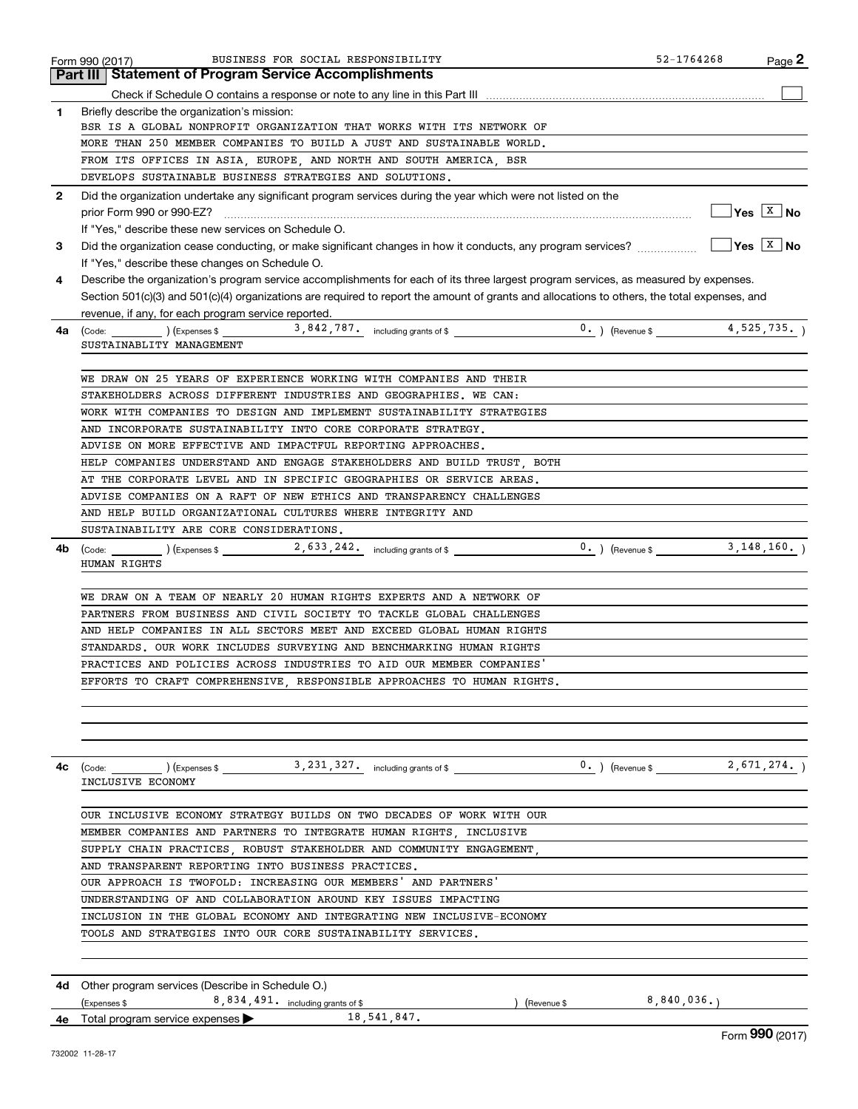|              | BUSINESS FOR SOCIAL RESPONSIBILITY<br>Form 990 (2017)                                                                                        | 52-1764268              | $Page$ 2                          |
|--------------|----------------------------------------------------------------------------------------------------------------------------------------------|-------------------------|-----------------------------------|
|              | Part III   Statement of Program Service Accomplishments                                                                                      |                         |                                   |
|              |                                                                                                                                              |                         |                                   |
| 1            | Briefly describe the organization's mission:                                                                                                 |                         |                                   |
|              | BSR IS A GLOBAL NONPROFIT ORGANIZATION THAT WORKS WITH ITS NETWORK OF                                                                        |                         |                                   |
|              | MORE THAN 250 MEMBER COMPANIES TO BUILD A JUST AND SUSTAINABLE WORLD.                                                                        |                         |                                   |
|              | FROM ITS OFFICES IN ASIA, EUROPE, AND NORTH AND SOUTH AMERICA, BSR                                                                           |                         |                                   |
|              | DEVELOPS SUSTAINABLE BUSINESS STRATEGIES AND SOLUTIONS.                                                                                      |                         |                                   |
| $\mathbf{2}$ | Did the organization undertake any significant program services during the year which were not listed on the                                 |                         |                                   |
|              | prior Form 990 or 990-EZ?                                                                                                                    |                         | $\sqrt{Y}$ es $\sqrt{X}$ No       |
|              | If "Yes," describe these new services on Schedule O.                                                                                         |                         |                                   |
| 3            | Did the organization cease conducting, or make significant changes in how it conducts, any program services?                                 |                         | $\gamma$ es $\boxed{\text{x}}$ No |
|              | If "Yes," describe these changes on Schedule O.                                                                                              |                         |                                   |
| 4            | Describe the organization's program service accomplishments for each of its three largest program services, as measured by expenses.         |                         |                                   |
|              | Section 501(c)(3) and 501(c)(4) organizations are required to report the amount of grants and allocations to others, the total expenses, and |                         |                                   |
|              | revenue, if any, for each program service reported.                                                                                          |                         |                                   |
| 4a           | SUSTAINABLITY MANAGEMENT                                                                                                                     |                         |                                   |
|              |                                                                                                                                              |                         |                                   |
|              | WE DRAW ON 25 YEARS OF EXPERIENCE WORKING WITH COMPANIES AND THEIR                                                                           |                         |                                   |
|              | STAKEHOLDERS ACROSS DIFFERENT INDUSTRIES AND GEOGRAPHIES. WE CAN:                                                                            |                         |                                   |
|              | WORK WITH COMPANIES TO DESIGN AND IMPLEMENT SUSTAINABILITY STRATEGIES                                                                        |                         |                                   |
|              | AND INCORPORATE SUSTAINABILITY INTO CORE CORPORATE STRATEGY.                                                                                 |                         |                                   |
|              | ADVISE ON MORE EFFECTIVE AND IMPACTFUL REPORTING APPROACHES.                                                                                 |                         |                                   |
|              | HELP COMPANIES UNDERSTAND AND ENGAGE STAKEHOLDERS AND BUILD TRUST, BOTH                                                                      |                         |                                   |
|              | AT THE CORPORATE LEVEL AND IN SPECIFIC GEOGRAPHIES OR SERVICE AREAS.                                                                         |                         |                                   |
|              | ADVISE COMPANIES ON A RAFT OF NEW ETHICS AND TRANSPARENCY CHALLENGES                                                                         |                         |                                   |
|              | AND HELP BUILD ORGANIZATIONAL CULTURES WHERE INTEGRITY AND                                                                                   |                         |                                   |
|              | SUSTAINABILITY ARE CORE CONSIDERATIONS.                                                                                                      |                         |                                   |
| 4b           | $(\text{Code:})$ (Code: $(\text{Cayeness})$ ) (Expenses \$ 2,633,242, including grants of \$ 0.) (Revenue \$ 3,148,160.)                     |                         |                                   |
|              | HUMAN RIGHTS                                                                                                                                 |                         |                                   |
|              |                                                                                                                                              |                         |                                   |
|              | WE DRAW ON A TEAM OF NEARLY 20 HUMAN RIGHTS EXPERTS AND A NETWORK OF                                                                         |                         |                                   |
|              | PARTNERS FROM BUSINESS AND CIVIL SOCIETY TO TACKLE GLOBAL CHALLENGES                                                                         |                         |                                   |
|              | AND HELP COMPANIES IN ALL SECTORS MEET AND EXCEED GLOBAL HUMAN RIGHTS                                                                        |                         |                                   |
|              | STANDARDS. OUR WORK INCLUDES SURVEYING AND BENCHMARKING HUMAN RIGHTS                                                                         |                         |                                   |
|              | PRACTICES AND POLICIES ACROSS INDUSTRIES TO AID OUR MEMBER COMPANIES'                                                                        |                         |                                   |
|              | EFFORTS TO CRAFT COMPREHENSIVE, RESPONSIBLE APPROACHES TO HUMAN RIGHTS.                                                                      |                         |                                   |
|              |                                                                                                                                              |                         |                                   |
|              |                                                                                                                                              |                         |                                   |
|              |                                                                                                                                              |                         |                                   |
| 4с           |                                                                                                                                              |                         |                                   |
|              | INCLUSIVE ECONOMY                                                                                                                            |                         |                                   |
|              |                                                                                                                                              |                         |                                   |
|              | OUR INCLUSIVE ECONOMY STRATEGY BUILDS ON TWO DECADES OF WORK WITH OUR                                                                        |                         |                                   |
|              | MEMBER COMPANIES AND PARTNERS TO INTEGRATE HUMAN RIGHTS, INCLUSIVE                                                                           |                         |                                   |
|              | SUPPLY CHAIN PRACTICES, ROBUST STAKEHOLDER AND COMMUNITY ENGAGEMENT,                                                                         |                         |                                   |
|              | AND TRANSPARENT REPORTING INTO BUSINESS PRACTICES.                                                                                           |                         |                                   |
|              | OUR APPROACH IS TWOFOLD: INCREASING OUR MEMBERS' AND PARTNERS'                                                                               |                         |                                   |
|              | UNDERSTANDING OF AND COLLABORATION AROUND KEY ISSUES IMPACTING                                                                               |                         |                                   |
|              | INCLUSION IN THE GLOBAL ECONOMY AND INTEGRATING NEW INCLUSIVE-ECONOMY                                                                        |                         |                                   |
|              | TOOLS AND STRATEGIES INTO OUR CORE SUSTAINABILITY SERVICES.                                                                                  |                         |                                   |
|              |                                                                                                                                              |                         |                                   |
|              |                                                                                                                                              |                         |                                   |
|              | <b>4d</b> Other program services (Describe in Schedule O.)                                                                                   |                         |                                   |
|              | $(Express $ 8, 834, 491.$ including grants of \$                                                                                             | (Revenue \$ 8,840,036.) |                                   |
|              | 18, 541, 847.<br><b>4e</b> Total program service expenses $\blacktriangleright$                                                              |                         | 000 <sub>1</sub>                  |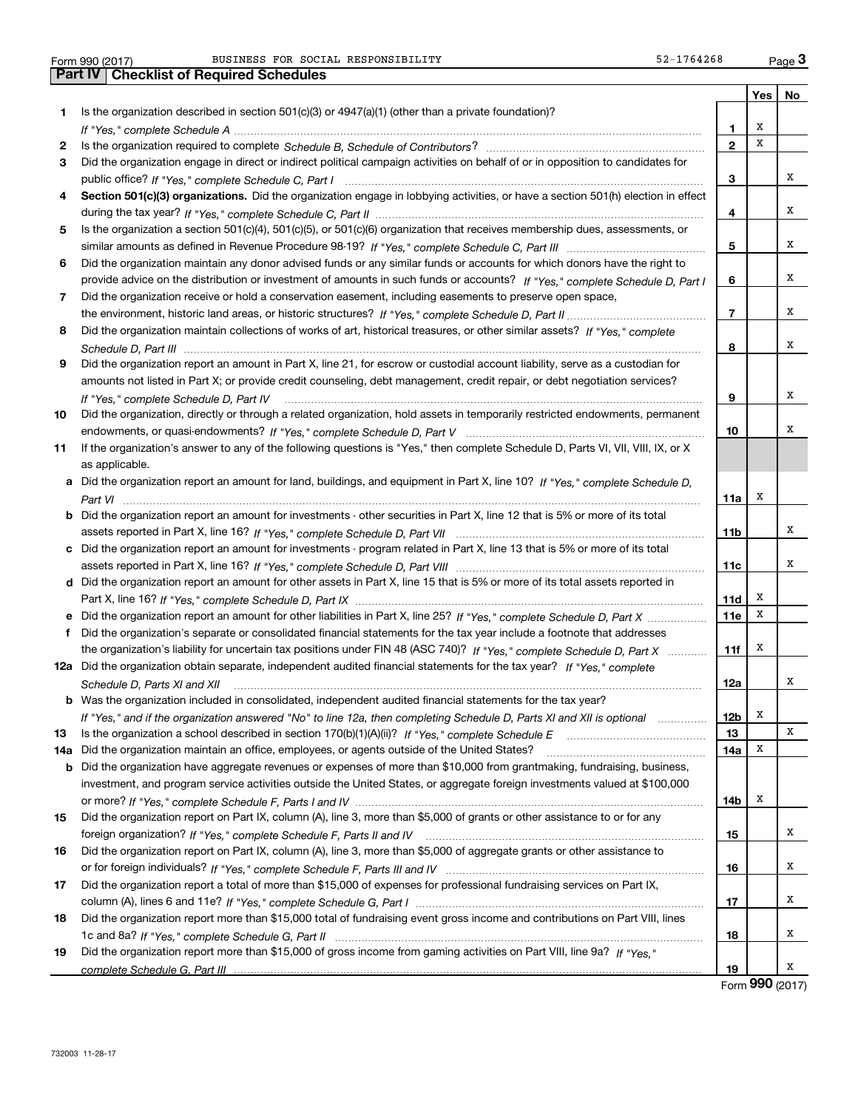|     |                                                                                                                                                                                                                                                                |              | <b>Yes</b> | No |
|-----|----------------------------------------------------------------------------------------------------------------------------------------------------------------------------------------------------------------------------------------------------------------|--------------|------------|----|
| 1.  | Is the organization described in section $501(c)(3)$ or $4947(a)(1)$ (other than a private foundation)?                                                                                                                                                        |              |            |    |
|     |                                                                                                                                                                                                                                                                | 1            | X          |    |
| 2   |                                                                                                                                                                                                                                                                | $\mathbf{2}$ | х          |    |
| 3   | Did the organization engage in direct or indirect political campaign activities on behalf of or in opposition to candidates for                                                                                                                                |              |            |    |
|     |                                                                                                                                                                                                                                                                | 3            |            | х  |
| 4   | Section 501(c)(3) organizations. Did the organization engage in lobbying activities, or have a section 501(h) election in effect                                                                                                                               |              |            |    |
|     |                                                                                                                                                                                                                                                                | 4            |            | х  |
| 5   | Is the organization a section 501(c)(4), 501(c)(5), or 501(c)(6) organization that receives membership dues, assessments, or                                                                                                                                   |              |            |    |
|     |                                                                                                                                                                                                                                                                | 5            |            | х  |
| 6   | Did the organization maintain any donor advised funds or any similar funds or accounts for which donors have the right to                                                                                                                                      |              |            |    |
|     | provide advice on the distribution or investment of amounts in such funds or accounts? If "Yes," complete Schedule D, Part I                                                                                                                                   | 6            |            | х  |
| 7   | Did the organization receive or hold a conservation easement, including easements to preserve open space,                                                                                                                                                      |              |            |    |
|     |                                                                                                                                                                                                                                                                | 7            |            | х  |
| 8   | Did the organization maintain collections of works of art, historical treasures, or other similar assets? If "Yes," complete                                                                                                                                   |              |            |    |
|     |                                                                                                                                                                                                                                                                | 8            |            | х  |
| 9   | Did the organization report an amount in Part X, line 21, for escrow or custodial account liability, serve as a custodian for                                                                                                                                  |              |            |    |
|     | amounts not listed in Part X; or provide credit counseling, debt management, credit repair, or debt negotiation services?                                                                                                                                      |              |            |    |
|     | If "Yes," complete Schedule D, Part IV                                                                                                                                                                                                                         | 9            |            | х  |
| 10  | Did the organization, directly or through a related organization, hold assets in temporarily restricted endowments, permanent                                                                                                                                  |              |            |    |
|     |                                                                                                                                                                                                                                                                | 10           |            | х  |
| 11  | If the organization's answer to any of the following questions is "Yes," then complete Schedule D, Parts VI, VIII, VIII, IX, or X                                                                                                                              |              |            |    |
|     | as applicable.                                                                                                                                                                                                                                                 |              |            |    |
|     | a Did the organization report an amount for land, buildings, and equipment in Part X, line 10? If "Yes," complete Schedule D,                                                                                                                                  |              |            |    |
|     |                                                                                                                                                                                                                                                                | 11a          | х          |    |
|     | <b>b</b> Did the organization report an amount for investments - other securities in Part X, line 12 that is 5% or more of its total                                                                                                                           |              |            |    |
|     |                                                                                                                                                                                                                                                                | 11b          |            | x  |
|     | c Did the organization report an amount for investments - program related in Part X, line 13 that is 5% or more of its total                                                                                                                                   |              |            |    |
|     |                                                                                                                                                                                                                                                                | 11c          |            | x  |
|     | d Did the organization report an amount for other assets in Part X, line 15 that is 5% or more of its total assets reported in                                                                                                                                 |              |            |    |
|     |                                                                                                                                                                                                                                                                | 11d          | х          |    |
|     | e Did the organization report an amount for other liabilities in Part X, line 25? If "Yes," complete Schedule D, Part X                                                                                                                                        | 11e          | х          |    |
|     | f Did the organization's separate or consolidated financial statements for the tax year include a footnote that addresses                                                                                                                                      |              |            |    |
|     | the organization's liability for uncertain tax positions under FIN 48 (ASC 740)? If "Yes," complete Schedule D, Part X                                                                                                                                         | 11f          | х          |    |
|     | 12a Did the organization obtain separate, independent audited financial statements for the tax year? If "Yes," complete                                                                                                                                        |              |            |    |
|     | Schedule D, Parts XI and XII                                                                                                                                                                                                                                   | 12a          |            | х  |
|     | <b>b</b> Was the organization included in consolidated, independent audited financial statements for the tax year?                                                                                                                                             |              |            |    |
|     | If "Yes," and if the organization answered "No" to line 12a, then completing Schedule D, Parts XI and XII is optional                                                                                                                                          | 12b          | x          | х  |
| 13  |                                                                                                                                                                                                                                                                | 13           | x          |    |
| 14a | Did the organization maintain an office, employees, or agents outside of the United States?                                                                                                                                                                    | 14a          |            |    |
|     | <b>b</b> Did the organization have aggregate revenues or expenses of more than \$10,000 from grantmaking, fundraising, business,<br>investment, and program service activities outside the United States, or aggregate foreign investments valued at \$100,000 |              |            |    |
|     |                                                                                                                                                                                                                                                                |              | х          |    |
| 15  | Did the organization report on Part IX, column (A), line 3, more than \$5,000 of grants or other assistance to or for any                                                                                                                                      | 14b          |            |    |
|     |                                                                                                                                                                                                                                                                | 15           |            | х  |
| 16  | Did the organization report on Part IX, column (A), line 3, more than \$5,000 of aggregate grants or other assistance to                                                                                                                                       |              |            |    |
|     |                                                                                                                                                                                                                                                                | 16           |            | х  |
| 17  | Did the organization report a total of more than \$15,000 of expenses for professional fundraising services on Part IX,                                                                                                                                        |              |            |    |
|     |                                                                                                                                                                                                                                                                | 17           |            | х  |
| 18  | Did the organization report more than \$15,000 total of fundraising event gross income and contributions on Part VIII, lines                                                                                                                                   |              |            |    |
|     |                                                                                                                                                                                                                                                                | 18           |            | х  |
| 19  | Did the organization report more than \$15,000 of gross income from gaming activities on Part VIII, line 9a? If "Yes."                                                                                                                                         |              |            |    |
|     |                                                                                                                                                                                                                                                                | 19           |            | x  |
|     |                                                                                                                                                                                                                                                                |              |            |    |

Form (2017) **990**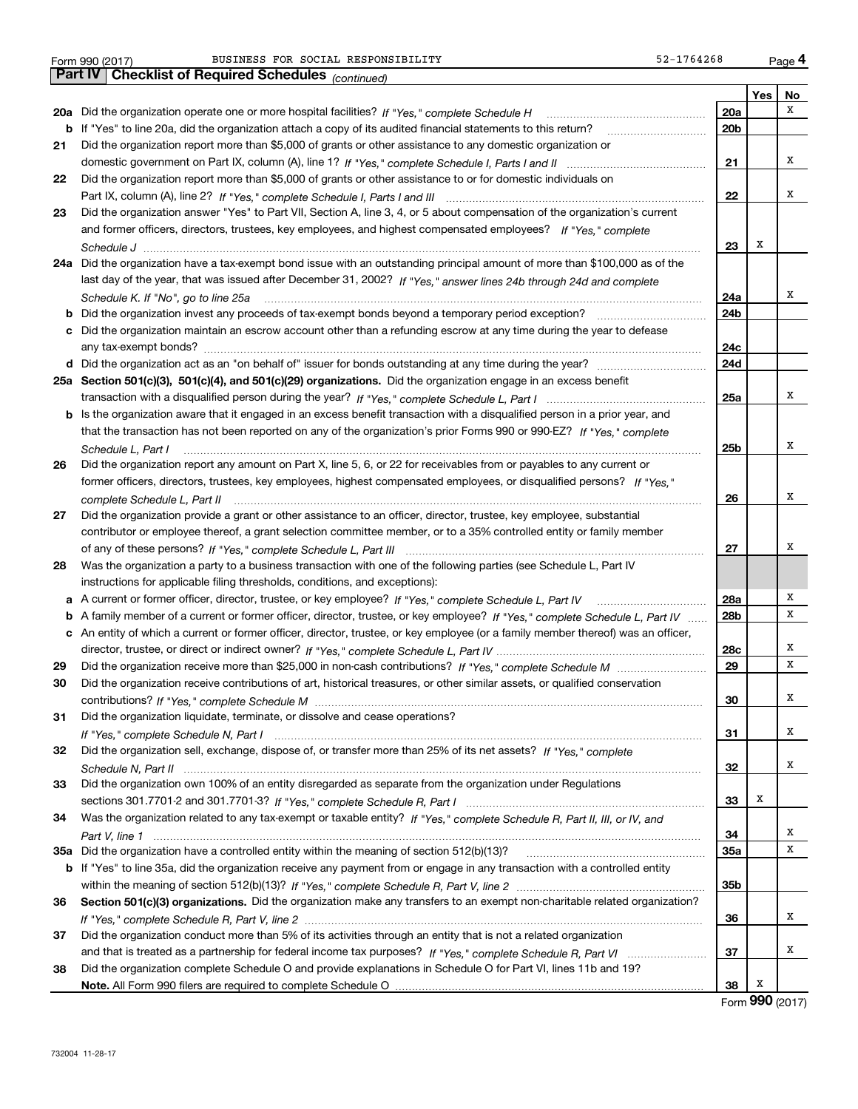|  | Form 990 (2017) |  |
|--|-----------------|--|

| х<br>20a<br>20a Did the organization operate one or more hospital facilities? If "Yes," complete Schedule H<br>b If "Yes" to line 20a, did the organization attach a copy of its audited financial statements to this return?<br>20 <sub>b</sub><br>Did the organization report more than \$5,000 of grants or other assistance to any domestic organization or<br>21<br>x<br>21<br>Did the organization report more than \$5,000 of grants or other assistance to or for domestic individuals on<br>22<br>х<br>22<br>Did the organization answer "Yes" to Part VII, Section A, line 3, 4, or 5 about compensation of the organization's current<br>23<br>and former officers, directors, trustees, key employees, and highest compensated employees? If "Yes," complete<br>х<br>23<br>24a Did the organization have a tax-exempt bond issue with an outstanding principal amount of more than \$100,000 as of the<br>last day of the year, that was issued after December 31, 2002? If "Yes," answer lines 24b through 24d and complete<br>х<br>24a<br>Schedule K. If "No", go to line 25a<br>24b<br>b<br>Did the organization maintain an escrow account other than a refunding escrow at any time during the year to defease<br>c<br>24c<br>24d<br>25a Section 501(c)(3), 501(c)(4), and 501(c)(29) organizations. Did the organization engage in an excess benefit<br>x<br>25a<br><b>b</b> Is the organization aware that it engaged in an excess benefit transaction with a disqualified person in a prior year, and<br>that the transaction has not been reported on any of the organization's prior Forms 990 or 990-EZ? If "Yes," complete<br>х<br>25b<br>Schedule L, Part I<br>Did the organization report any amount on Part X, line 5, 6, or 22 for receivables from or payables to any current or<br>26<br>former officers, directors, trustees, key employees, highest compensated employees, or disqualified persons? If "Yes."<br>x<br>26<br>complete Schedule L, Part II<br>Did the organization provide a grant or other assistance to an officer, director, trustee, key employee, substantial<br>27<br>contributor or employee thereof, a grant selection committee member, or to a 35% controlled entity or family member<br>х<br>27<br>Was the organization a party to a business transaction with one of the following parties (see Schedule L, Part IV<br>28<br>instructions for applicable filing thresholds, conditions, and exceptions):<br>х<br>28a<br>х<br>b A family member of a current or former officer, director, trustee, or key employee? If "Yes," complete Schedule L, Part IV<br>28b<br>c An entity of which a current or former officer, director, trustee, or key employee (or a family member thereof) was an officer,<br>х<br>28c<br>х<br>29<br>29<br>30<br>Did the organization receive contributions of art, historical treasures, or other similar assets, or qualified conservation<br>x<br>30<br>Did the organization liquidate, terminate, or dissolve and cease operations?<br>31<br>х<br>31<br>Did the organization sell, exchange, dispose of, or transfer more than 25% of its net assets? If "Yes," complete<br>32<br>х<br>32<br>Did the organization own 100% of an entity disregarded as separate from the organization under Regulations<br>33<br>х<br>33<br>Was the organization related to any tax-exempt or taxable entity? If "Yes," complete Schedule R, Part II, III, or IV, and<br>34<br>х<br>34<br>х<br>35a<br>b If "Yes" to line 35a, did the organization receive any payment from or engage in any transaction with a controlled entity<br>35b<br>Section 501(c)(3) organizations. Did the organization make any transfers to an exempt non-charitable related organization?<br>36<br>х<br>36<br>Did the organization conduct more than 5% of its activities through an entity that is not a related organization<br>37<br>х<br>37<br>Did the organization complete Schedule O and provide explanations in Schedule O for Part VI, lines 11b and 19?<br>38<br>Х<br>38 |  | Yes | No |
|------------------------------------------------------------------------------------------------------------------------------------------------------------------------------------------------------------------------------------------------------------------------------------------------------------------------------------------------------------------------------------------------------------------------------------------------------------------------------------------------------------------------------------------------------------------------------------------------------------------------------------------------------------------------------------------------------------------------------------------------------------------------------------------------------------------------------------------------------------------------------------------------------------------------------------------------------------------------------------------------------------------------------------------------------------------------------------------------------------------------------------------------------------------------------------------------------------------------------------------------------------------------------------------------------------------------------------------------------------------------------------------------------------------------------------------------------------------------------------------------------------------------------------------------------------------------------------------------------------------------------------------------------------------------------------------------------------------------------------------------------------------------------------------------------------------------------------------------------------------------------------------------------------------------------------------------------------------------------------------------------------------------------------------------------------------------------------------------------------------------------------------------------------------------------------------------------------------------------------------------------------------------------------------------------------------------------------------------------------------------------------------------------------------------------------------------------------------------------------------------------------------------------------------------------------------------------------------------------------------------------------------------------------------------------------------------------------------------------------------------------------------------------------------------------------------------------------------------------------------------------------------------------------------------------------------------------------------------------------------------------------------------------------------------------------------------------------------------------------------------------------------------------------------------------------------------------------------------------------------------------------------------------------------------------------------------------------------------------------------------------------------------------------------------------------------------------------------------------------------------------------------------------------------------------------------------------------------------------------------------------------------------------------------------------------------------------------------------------------------------------------------------------------------------------------------------------------------------------------------------------------------------------------------------------------------------------------------------------------------------------------------------------------------|--|-----|----|
|                                                                                                                                                                                                                                                                                                                                                                                                                                                                                                                                                                                                                                                                                                                                                                                                                                                                                                                                                                                                                                                                                                                                                                                                                                                                                                                                                                                                                                                                                                                                                                                                                                                                                                                                                                                                                                                                                                                                                                                                                                                                                                                                                                                                                                                                                                                                                                                                                                                                                                                                                                                                                                                                                                                                                                                                                                                                                                                                                                                                                                                                                                                                                                                                                                                                                                                                                                                                                                                                                                                                                                                                                                                                                                                                                                                                                                                                                                                                                                                                                                          |  |     |    |
|                                                                                                                                                                                                                                                                                                                                                                                                                                                                                                                                                                                                                                                                                                                                                                                                                                                                                                                                                                                                                                                                                                                                                                                                                                                                                                                                                                                                                                                                                                                                                                                                                                                                                                                                                                                                                                                                                                                                                                                                                                                                                                                                                                                                                                                                                                                                                                                                                                                                                                                                                                                                                                                                                                                                                                                                                                                                                                                                                                                                                                                                                                                                                                                                                                                                                                                                                                                                                                                                                                                                                                                                                                                                                                                                                                                                                                                                                                                                                                                                                                          |  |     |    |
|                                                                                                                                                                                                                                                                                                                                                                                                                                                                                                                                                                                                                                                                                                                                                                                                                                                                                                                                                                                                                                                                                                                                                                                                                                                                                                                                                                                                                                                                                                                                                                                                                                                                                                                                                                                                                                                                                                                                                                                                                                                                                                                                                                                                                                                                                                                                                                                                                                                                                                                                                                                                                                                                                                                                                                                                                                                                                                                                                                                                                                                                                                                                                                                                                                                                                                                                                                                                                                                                                                                                                                                                                                                                                                                                                                                                                                                                                                                                                                                                                                          |  |     |    |
|                                                                                                                                                                                                                                                                                                                                                                                                                                                                                                                                                                                                                                                                                                                                                                                                                                                                                                                                                                                                                                                                                                                                                                                                                                                                                                                                                                                                                                                                                                                                                                                                                                                                                                                                                                                                                                                                                                                                                                                                                                                                                                                                                                                                                                                                                                                                                                                                                                                                                                                                                                                                                                                                                                                                                                                                                                                                                                                                                                                                                                                                                                                                                                                                                                                                                                                                                                                                                                                                                                                                                                                                                                                                                                                                                                                                                                                                                                                                                                                                                                          |  |     |    |
|                                                                                                                                                                                                                                                                                                                                                                                                                                                                                                                                                                                                                                                                                                                                                                                                                                                                                                                                                                                                                                                                                                                                                                                                                                                                                                                                                                                                                                                                                                                                                                                                                                                                                                                                                                                                                                                                                                                                                                                                                                                                                                                                                                                                                                                                                                                                                                                                                                                                                                                                                                                                                                                                                                                                                                                                                                                                                                                                                                                                                                                                                                                                                                                                                                                                                                                                                                                                                                                                                                                                                                                                                                                                                                                                                                                                                                                                                                                                                                                                                                          |  |     |    |
|                                                                                                                                                                                                                                                                                                                                                                                                                                                                                                                                                                                                                                                                                                                                                                                                                                                                                                                                                                                                                                                                                                                                                                                                                                                                                                                                                                                                                                                                                                                                                                                                                                                                                                                                                                                                                                                                                                                                                                                                                                                                                                                                                                                                                                                                                                                                                                                                                                                                                                                                                                                                                                                                                                                                                                                                                                                                                                                                                                                                                                                                                                                                                                                                                                                                                                                                                                                                                                                                                                                                                                                                                                                                                                                                                                                                                                                                                                                                                                                                                                          |  |     |    |
|                                                                                                                                                                                                                                                                                                                                                                                                                                                                                                                                                                                                                                                                                                                                                                                                                                                                                                                                                                                                                                                                                                                                                                                                                                                                                                                                                                                                                                                                                                                                                                                                                                                                                                                                                                                                                                                                                                                                                                                                                                                                                                                                                                                                                                                                                                                                                                                                                                                                                                                                                                                                                                                                                                                                                                                                                                                                                                                                                                                                                                                                                                                                                                                                                                                                                                                                                                                                                                                                                                                                                                                                                                                                                                                                                                                                                                                                                                                                                                                                                                          |  |     |    |
|                                                                                                                                                                                                                                                                                                                                                                                                                                                                                                                                                                                                                                                                                                                                                                                                                                                                                                                                                                                                                                                                                                                                                                                                                                                                                                                                                                                                                                                                                                                                                                                                                                                                                                                                                                                                                                                                                                                                                                                                                                                                                                                                                                                                                                                                                                                                                                                                                                                                                                                                                                                                                                                                                                                                                                                                                                                                                                                                                                                                                                                                                                                                                                                                                                                                                                                                                                                                                                                                                                                                                                                                                                                                                                                                                                                                                                                                                                                                                                                                                                          |  |     |    |
|                                                                                                                                                                                                                                                                                                                                                                                                                                                                                                                                                                                                                                                                                                                                                                                                                                                                                                                                                                                                                                                                                                                                                                                                                                                                                                                                                                                                                                                                                                                                                                                                                                                                                                                                                                                                                                                                                                                                                                                                                                                                                                                                                                                                                                                                                                                                                                                                                                                                                                                                                                                                                                                                                                                                                                                                                                                                                                                                                                                                                                                                                                                                                                                                                                                                                                                                                                                                                                                                                                                                                                                                                                                                                                                                                                                                                                                                                                                                                                                                                                          |  |     |    |
|                                                                                                                                                                                                                                                                                                                                                                                                                                                                                                                                                                                                                                                                                                                                                                                                                                                                                                                                                                                                                                                                                                                                                                                                                                                                                                                                                                                                                                                                                                                                                                                                                                                                                                                                                                                                                                                                                                                                                                                                                                                                                                                                                                                                                                                                                                                                                                                                                                                                                                                                                                                                                                                                                                                                                                                                                                                                                                                                                                                                                                                                                                                                                                                                                                                                                                                                                                                                                                                                                                                                                                                                                                                                                                                                                                                                                                                                                                                                                                                                                                          |  |     |    |
|                                                                                                                                                                                                                                                                                                                                                                                                                                                                                                                                                                                                                                                                                                                                                                                                                                                                                                                                                                                                                                                                                                                                                                                                                                                                                                                                                                                                                                                                                                                                                                                                                                                                                                                                                                                                                                                                                                                                                                                                                                                                                                                                                                                                                                                                                                                                                                                                                                                                                                                                                                                                                                                                                                                                                                                                                                                                                                                                                                                                                                                                                                                                                                                                                                                                                                                                                                                                                                                                                                                                                                                                                                                                                                                                                                                                                                                                                                                                                                                                                                          |  |     |    |
|                                                                                                                                                                                                                                                                                                                                                                                                                                                                                                                                                                                                                                                                                                                                                                                                                                                                                                                                                                                                                                                                                                                                                                                                                                                                                                                                                                                                                                                                                                                                                                                                                                                                                                                                                                                                                                                                                                                                                                                                                                                                                                                                                                                                                                                                                                                                                                                                                                                                                                                                                                                                                                                                                                                                                                                                                                                                                                                                                                                                                                                                                                                                                                                                                                                                                                                                                                                                                                                                                                                                                                                                                                                                                                                                                                                                                                                                                                                                                                                                                                          |  |     |    |
|                                                                                                                                                                                                                                                                                                                                                                                                                                                                                                                                                                                                                                                                                                                                                                                                                                                                                                                                                                                                                                                                                                                                                                                                                                                                                                                                                                                                                                                                                                                                                                                                                                                                                                                                                                                                                                                                                                                                                                                                                                                                                                                                                                                                                                                                                                                                                                                                                                                                                                                                                                                                                                                                                                                                                                                                                                                                                                                                                                                                                                                                                                                                                                                                                                                                                                                                                                                                                                                                                                                                                                                                                                                                                                                                                                                                                                                                                                                                                                                                                                          |  |     |    |
|                                                                                                                                                                                                                                                                                                                                                                                                                                                                                                                                                                                                                                                                                                                                                                                                                                                                                                                                                                                                                                                                                                                                                                                                                                                                                                                                                                                                                                                                                                                                                                                                                                                                                                                                                                                                                                                                                                                                                                                                                                                                                                                                                                                                                                                                                                                                                                                                                                                                                                                                                                                                                                                                                                                                                                                                                                                                                                                                                                                                                                                                                                                                                                                                                                                                                                                                                                                                                                                                                                                                                                                                                                                                                                                                                                                                                                                                                                                                                                                                                                          |  |     |    |
|                                                                                                                                                                                                                                                                                                                                                                                                                                                                                                                                                                                                                                                                                                                                                                                                                                                                                                                                                                                                                                                                                                                                                                                                                                                                                                                                                                                                                                                                                                                                                                                                                                                                                                                                                                                                                                                                                                                                                                                                                                                                                                                                                                                                                                                                                                                                                                                                                                                                                                                                                                                                                                                                                                                                                                                                                                                                                                                                                                                                                                                                                                                                                                                                                                                                                                                                                                                                                                                                                                                                                                                                                                                                                                                                                                                                                                                                                                                                                                                                                                          |  |     |    |
|                                                                                                                                                                                                                                                                                                                                                                                                                                                                                                                                                                                                                                                                                                                                                                                                                                                                                                                                                                                                                                                                                                                                                                                                                                                                                                                                                                                                                                                                                                                                                                                                                                                                                                                                                                                                                                                                                                                                                                                                                                                                                                                                                                                                                                                                                                                                                                                                                                                                                                                                                                                                                                                                                                                                                                                                                                                                                                                                                                                                                                                                                                                                                                                                                                                                                                                                                                                                                                                                                                                                                                                                                                                                                                                                                                                                                                                                                                                                                                                                                                          |  |     |    |
|                                                                                                                                                                                                                                                                                                                                                                                                                                                                                                                                                                                                                                                                                                                                                                                                                                                                                                                                                                                                                                                                                                                                                                                                                                                                                                                                                                                                                                                                                                                                                                                                                                                                                                                                                                                                                                                                                                                                                                                                                                                                                                                                                                                                                                                                                                                                                                                                                                                                                                                                                                                                                                                                                                                                                                                                                                                                                                                                                                                                                                                                                                                                                                                                                                                                                                                                                                                                                                                                                                                                                                                                                                                                                                                                                                                                                                                                                                                                                                                                                                          |  |     |    |
|                                                                                                                                                                                                                                                                                                                                                                                                                                                                                                                                                                                                                                                                                                                                                                                                                                                                                                                                                                                                                                                                                                                                                                                                                                                                                                                                                                                                                                                                                                                                                                                                                                                                                                                                                                                                                                                                                                                                                                                                                                                                                                                                                                                                                                                                                                                                                                                                                                                                                                                                                                                                                                                                                                                                                                                                                                                                                                                                                                                                                                                                                                                                                                                                                                                                                                                                                                                                                                                                                                                                                                                                                                                                                                                                                                                                                                                                                                                                                                                                                                          |  |     |    |
|                                                                                                                                                                                                                                                                                                                                                                                                                                                                                                                                                                                                                                                                                                                                                                                                                                                                                                                                                                                                                                                                                                                                                                                                                                                                                                                                                                                                                                                                                                                                                                                                                                                                                                                                                                                                                                                                                                                                                                                                                                                                                                                                                                                                                                                                                                                                                                                                                                                                                                                                                                                                                                                                                                                                                                                                                                                                                                                                                                                                                                                                                                                                                                                                                                                                                                                                                                                                                                                                                                                                                                                                                                                                                                                                                                                                                                                                                                                                                                                                                                          |  |     |    |
|                                                                                                                                                                                                                                                                                                                                                                                                                                                                                                                                                                                                                                                                                                                                                                                                                                                                                                                                                                                                                                                                                                                                                                                                                                                                                                                                                                                                                                                                                                                                                                                                                                                                                                                                                                                                                                                                                                                                                                                                                                                                                                                                                                                                                                                                                                                                                                                                                                                                                                                                                                                                                                                                                                                                                                                                                                                                                                                                                                                                                                                                                                                                                                                                                                                                                                                                                                                                                                                                                                                                                                                                                                                                                                                                                                                                                                                                                                                                                                                                                                          |  |     |    |
|                                                                                                                                                                                                                                                                                                                                                                                                                                                                                                                                                                                                                                                                                                                                                                                                                                                                                                                                                                                                                                                                                                                                                                                                                                                                                                                                                                                                                                                                                                                                                                                                                                                                                                                                                                                                                                                                                                                                                                                                                                                                                                                                                                                                                                                                                                                                                                                                                                                                                                                                                                                                                                                                                                                                                                                                                                                                                                                                                                                                                                                                                                                                                                                                                                                                                                                                                                                                                                                                                                                                                                                                                                                                                                                                                                                                                                                                                                                                                                                                                                          |  |     |    |
|                                                                                                                                                                                                                                                                                                                                                                                                                                                                                                                                                                                                                                                                                                                                                                                                                                                                                                                                                                                                                                                                                                                                                                                                                                                                                                                                                                                                                                                                                                                                                                                                                                                                                                                                                                                                                                                                                                                                                                                                                                                                                                                                                                                                                                                                                                                                                                                                                                                                                                                                                                                                                                                                                                                                                                                                                                                                                                                                                                                                                                                                                                                                                                                                                                                                                                                                                                                                                                                                                                                                                                                                                                                                                                                                                                                                                                                                                                                                                                                                                                          |  |     |    |
|                                                                                                                                                                                                                                                                                                                                                                                                                                                                                                                                                                                                                                                                                                                                                                                                                                                                                                                                                                                                                                                                                                                                                                                                                                                                                                                                                                                                                                                                                                                                                                                                                                                                                                                                                                                                                                                                                                                                                                                                                                                                                                                                                                                                                                                                                                                                                                                                                                                                                                                                                                                                                                                                                                                                                                                                                                                                                                                                                                                                                                                                                                                                                                                                                                                                                                                                                                                                                                                                                                                                                                                                                                                                                                                                                                                                                                                                                                                                                                                                                                          |  |     |    |
|                                                                                                                                                                                                                                                                                                                                                                                                                                                                                                                                                                                                                                                                                                                                                                                                                                                                                                                                                                                                                                                                                                                                                                                                                                                                                                                                                                                                                                                                                                                                                                                                                                                                                                                                                                                                                                                                                                                                                                                                                                                                                                                                                                                                                                                                                                                                                                                                                                                                                                                                                                                                                                                                                                                                                                                                                                                                                                                                                                                                                                                                                                                                                                                                                                                                                                                                                                                                                                                                                                                                                                                                                                                                                                                                                                                                                                                                                                                                                                                                                                          |  |     |    |
|                                                                                                                                                                                                                                                                                                                                                                                                                                                                                                                                                                                                                                                                                                                                                                                                                                                                                                                                                                                                                                                                                                                                                                                                                                                                                                                                                                                                                                                                                                                                                                                                                                                                                                                                                                                                                                                                                                                                                                                                                                                                                                                                                                                                                                                                                                                                                                                                                                                                                                                                                                                                                                                                                                                                                                                                                                                                                                                                                                                                                                                                                                                                                                                                                                                                                                                                                                                                                                                                                                                                                                                                                                                                                                                                                                                                                                                                                                                                                                                                                                          |  |     |    |
|                                                                                                                                                                                                                                                                                                                                                                                                                                                                                                                                                                                                                                                                                                                                                                                                                                                                                                                                                                                                                                                                                                                                                                                                                                                                                                                                                                                                                                                                                                                                                                                                                                                                                                                                                                                                                                                                                                                                                                                                                                                                                                                                                                                                                                                                                                                                                                                                                                                                                                                                                                                                                                                                                                                                                                                                                                                                                                                                                                                                                                                                                                                                                                                                                                                                                                                                                                                                                                                                                                                                                                                                                                                                                                                                                                                                                                                                                                                                                                                                                                          |  |     |    |
|                                                                                                                                                                                                                                                                                                                                                                                                                                                                                                                                                                                                                                                                                                                                                                                                                                                                                                                                                                                                                                                                                                                                                                                                                                                                                                                                                                                                                                                                                                                                                                                                                                                                                                                                                                                                                                                                                                                                                                                                                                                                                                                                                                                                                                                                                                                                                                                                                                                                                                                                                                                                                                                                                                                                                                                                                                                                                                                                                                                                                                                                                                                                                                                                                                                                                                                                                                                                                                                                                                                                                                                                                                                                                                                                                                                                                                                                                                                                                                                                                                          |  |     |    |
|                                                                                                                                                                                                                                                                                                                                                                                                                                                                                                                                                                                                                                                                                                                                                                                                                                                                                                                                                                                                                                                                                                                                                                                                                                                                                                                                                                                                                                                                                                                                                                                                                                                                                                                                                                                                                                                                                                                                                                                                                                                                                                                                                                                                                                                                                                                                                                                                                                                                                                                                                                                                                                                                                                                                                                                                                                                                                                                                                                                                                                                                                                                                                                                                                                                                                                                                                                                                                                                                                                                                                                                                                                                                                                                                                                                                                                                                                                                                                                                                                                          |  |     |    |
|                                                                                                                                                                                                                                                                                                                                                                                                                                                                                                                                                                                                                                                                                                                                                                                                                                                                                                                                                                                                                                                                                                                                                                                                                                                                                                                                                                                                                                                                                                                                                                                                                                                                                                                                                                                                                                                                                                                                                                                                                                                                                                                                                                                                                                                                                                                                                                                                                                                                                                                                                                                                                                                                                                                                                                                                                                                                                                                                                                                                                                                                                                                                                                                                                                                                                                                                                                                                                                                                                                                                                                                                                                                                                                                                                                                                                                                                                                                                                                                                                                          |  |     |    |
|                                                                                                                                                                                                                                                                                                                                                                                                                                                                                                                                                                                                                                                                                                                                                                                                                                                                                                                                                                                                                                                                                                                                                                                                                                                                                                                                                                                                                                                                                                                                                                                                                                                                                                                                                                                                                                                                                                                                                                                                                                                                                                                                                                                                                                                                                                                                                                                                                                                                                                                                                                                                                                                                                                                                                                                                                                                                                                                                                                                                                                                                                                                                                                                                                                                                                                                                                                                                                                                                                                                                                                                                                                                                                                                                                                                                                                                                                                                                                                                                                                          |  |     |    |
|                                                                                                                                                                                                                                                                                                                                                                                                                                                                                                                                                                                                                                                                                                                                                                                                                                                                                                                                                                                                                                                                                                                                                                                                                                                                                                                                                                                                                                                                                                                                                                                                                                                                                                                                                                                                                                                                                                                                                                                                                                                                                                                                                                                                                                                                                                                                                                                                                                                                                                                                                                                                                                                                                                                                                                                                                                                                                                                                                                                                                                                                                                                                                                                                                                                                                                                                                                                                                                                                                                                                                                                                                                                                                                                                                                                                                                                                                                                                                                                                                                          |  |     |    |
|                                                                                                                                                                                                                                                                                                                                                                                                                                                                                                                                                                                                                                                                                                                                                                                                                                                                                                                                                                                                                                                                                                                                                                                                                                                                                                                                                                                                                                                                                                                                                                                                                                                                                                                                                                                                                                                                                                                                                                                                                                                                                                                                                                                                                                                                                                                                                                                                                                                                                                                                                                                                                                                                                                                                                                                                                                                                                                                                                                                                                                                                                                                                                                                                                                                                                                                                                                                                                                                                                                                                                                                                                                                                                                                                                                                                                                                                                                                                                                                                                                          |  |     |    |
|                                                                                                                                                                                                                                                                                                                                                                                                                                                                                                                                                                                                                                                                                                                                                                                                                                                                                                                                                                                                                                                                                                                                                                                                                                                                                                                                                                                                                                                                                                                                                                                                                                                                                                                                                                                                                                                                                                                                                                                                                                                                                                                                                                                                                                                                                                                                                                                                                                                                                                                                                                                                                                                                                                                                                                                                                                                                                                                                                                                                                                                                                                                                                                                                                                                                                                                                                                                                                                                                                                                                                                                                                                                                                                                                                                                                                                                                                                                                                                                                                                          |  |     |    |
|                                                                                                                                                                                                                                                                                                                                                                                                                                                                                                                                                                                                                                                                                                                                                                                                                                                                                                                                                                                                                                                                                                                                                                                                                                                                                                                                                                                                                                                                                                                                                                                                                                                                                                                                                                                                                                                                                                                                                                                                                                                                                                                                                                                                                                                                                                                                                                                                                                                                                                                                                                                                                                                                                                                                                                                                                                                                                                                                                                                                                                                                                                                                                                                                                                                                                                                                                                                                                                                                                                                                                                                                                                                                                                                                                                                                                                                                                                                                                                                                                                          |  |     |    |
|                                                                                                                                                                                                                                                                                                                                                                                                                                                                                                                                                                                                                                                                                                                                                                                                                                                                                                                                                                                                                                                                                                                                                                                                                                                                                                                                                                                                                                                                                                                                                                                                                                                                                                                                                                                                                                                                                                                                                                                                                                                                                                                                                                                                                                                                                                                                                                                                                                                                                                                                                                                                                                                                                                                                                                                                                                                                                                                                                                                                                                                                                                                                                                                                                                                                                                                                                                                                                                                                                                                                                                                                                                                                                                                                                                                                                                                                                                                                                                                                                                          |  |     |    |
|                                                                                                                                                                                                                                                                                                                                                                                                                                                                                                                                                                                                                                                                                                                                                                                                                                                                                                                                                                                                                                                                                                                                                                                                                                                                                                                                                                                                                                                                                                                                                                                                                                                                                                                                                                                                                                                                                                                                                                                                                                                                                                                                                                                                                                                                                                                                                                                                                                                                                                                                                                                                                                                                                                                                                                                                                                                                                                                                                                                                                                                                                                                                                                                                                                                                                                                                                                                                                                                                                                                                                                                                                                                                                                                                                                                                                                                                                                                                                                                                                                          |  |     |    |
|                                                                                                                                                                                                                                                                                                                                                                                                                                                                                                                                                                                                                                                                                                                                                                                                                                                                                                                                                                                                                                                                                                                                                                                                                                                                                                                                                                                                                                                                                                                                                                                                                                                                                                                                                                                                                                                                                                                                                                                                                                                                                                                                                                                                                                                                                                                                                                                                                                                                                                                                                                                                                                                                                                                                                                                                                                                                                                                                                                                                                                                                                                                                                                                                                                                                                                                                                                                                                                                                                                                                                                                                                                                                                                                                                                                                                                                                                                                                                                                                                                          |  |     |    |
|                                                                                                                                                                                                                                                                                                                                                                                                                                                                                                                                                                                                                                                                                                                                                                                                                                                                                                                                                                                                                                                                                                                                                                                                                                                                                                                                                                                                                                                                                                                                                                                                                                                                                                                                                                                                                                                                                                                                                                                                                                                                                                                                                                                                                                                                                                                                                                                                                                                                                                                                                                                                                                                                                                                                                                                                                                                                                                                                                                                                                                                                                                                                                                                                                                                                                                                                                                                                                                                                                                                                                                                                                                                                                                                                                                                                                                                                                                                                                                                                                                          |  |     |    |
|                                                                                                                                                                                                                                                                                                                                                                                                                                                                                                                                                                                                                                                                                                                                                                                                                                                                                                                                                                                                                                                                                                                                                                                                                                                                                                                                                                                                                                                                                                                                                                                                                                                                                                                                                                                                                                                                                                                                                                                                                                                                                                                                                                                                                                                                                                                                                                                                                                                                                                                                                                                                                                                                                                                                                                                                                                                                                                                                                                                                                                                                                                                                                                                                                                                                                                                                                                                                                                                                                                                                                                                                                                                                                                                                                                                                                                                                                                                                                                                                                                          |  |     |    |
|                                                                                                                                                                                                                                                                                                                                                                                                                                                                                                                                                                                                                                                                                                                                                                                                                                                                                                                                                                                                                                                                                                                                                                                                                                                                                                                                                                                                                                                                                                                                                                                                                                                                                                                                                                                                                                                                                                                                                                                                                                                                                                                                                                                                                                                                                                                                                                                                                                                                                                                                                                                                                                                                                                                                                                                                                                                                                                                                                                                                                                                                                                                                                                                                                                                                                                                                                                                                                                                                                                                                                                                                                                                                                                                                                                                                                                                                                                                                                                                                                                          |  |     |    |
|                                                                                                                                                                                                                                                                                                                                                                                                                                                                                                                                                                                                                                                                                                                                                                                                                                                                                                                                                                                                                                                                                                                                                                                                                                                                                                                                                                                                                                                                                                                                                                                                                                                                                                                                                                                                                                                                                                                                                                                                                                                                                                                                                                                                                                                                                                                                                                                                                                                                                                                                                                                                                                                                                                                                                                                                                                                                                                                                                                                                                                                                                                                                                                                                                                                                                                                                                                                                                                                                                                                                                                                                                                                                                                                                                                                                                                                                                                                                                                                                                                          |  |     |    |
|                                                                                                                                                                                                                                                                                                                                                                                                                                                                                                                                                                                                                                                                                                                                                                                                                                                                                                                                                                                                                                                                                                                                                                                                                                                                                                                                                                                                                                                                                                                                                                                                                                                                                                                                                                                                                                                                                                                                                                                                                                                                                                                                                                                                                                                                                                                                                                                                                                                                                                                                                                                                                                                                                                                                                                                                                                                                                                                                                                                                                                                                                                                                                                                                                                                                                                                                                                                                                                                                                                                                                                                                                                                                                                                                                                                                                                                                                                                                                                                                                                          |  |     |    |
|                                                                                                                                                                                                                                                                                                                                                                                                                                                                                                                                                                                                                                                                                                                                                                                                                                                                                                                                                                                                                                                                                                                                                                                                                                                                                                                                                                                                                                                                                                                                                                                                                                                                                                                                                                                                                                                                                                                                                                                                                                                                                                                                                                                                                                                                                                                                                                                                                                                                                                                                                                                                                                                                                                                                                                                                                                                                                                                                                                                                                                                                                                                                                                                                                                                                                                                                                                                                                                                                                                                                                                                                                                                                                                                                                                                                                                                                                                                                                                                                                                          |  |     |    |
|                                                                                                                                                                                                                                                                                                                                                                                                                                                                                                                                                                                                                                                                                                                                                                                                                                                                                                                                                                                                                                                                                                                                                                                                                                                                                                                                                                                                                                                                                                                                                                                                                                                                                                                                                                                                                                                                                                                                                                                                                                                                                                                                                                                                                                                                                                                                                                                                                                                                                                                                                                                                                                                                                                                                                                                                                                                                                                                                                                                                                                                                                                                                                                                                                                                                                                                                                                                                                                                                                                                                                                                                                                                                                                                                                                                                                                                                                                                                                                                                                                          |  |     |    |
|                                                                                                                                                                                                                                                                                                                                                                                                                                                                                                                                                                                                                                                                                                                                                                                                                                                                                                                                                                                                                                                                                                                                                                                                                                                                                                                                                                                                                                                                                                                                                                                                                                                                                                                                                                                                                                                                                                                                                                                                                                                                                                                                                                                                                                                                                                                                                                                                                                                                                                                                                                                                                                                                                                                                                                                                                                                                                                                                                                                                                                                                                                                                                                                                                                                                                                                                                                                                                                                                                                                                                                                                                                                                                                                                                                                                                                                                                                                                                                                                                                          |  |     |    |
|                                                                                                                                                                                                                                                                                                                                                                                                                                                                                                                                                                                                                                                                                                                                                                                                                                                                                                                                                                                                                                                                                                                                                                                                                                                                                                                                                                                                                                                                                                                                                                                                                                                                                                                                                                                                                                                                                                                                                                                                                                                                                                                                                                                                                                                                                                                                                                                                                                                                                                                                                                                                                                                                                                                                                                                                                                                                                                                                                                                                                                                                                                                                                                                                                                                                                                                                                                                                                                                                                                                                                                                                                                                                                                                                                                                                                                                                                                                                                                                                                                          |  |     |    |
|                                                                                                                                                                                                                                                                                                                                                                                                                                                                                                                                                                                                                                                                                                                                                                                                                                                                                                                                                                                                                                                                                                                                                                                                                                                                                                                                                                                                                                                                                                                                                                                                                                                                                                                                                                                                                                                                                                                                                                                                                                                                                                                                                                                                                                                                                                                                                                                                                                                                                                                                                                                                                                                                                                                                                                                                                                                                                                                                                                                                                                                                                                                                                                                                                                                                                                                                                                                                                                                                                                                                                                                                                                                                                                                                                                                                                                                                                                                                                                                                                                          |  |     |    |
|                                                                                                                                                                                                                                                                                                                                                                                                                                                                                                                                                                                                                                                                                                                                                                                                                                                                                                                                                                                                                                                                                                                                                                                                                                                                                                                                                                                                                                                                                                                                                                                                                                                                                                                                                                                                                                                                                                                                                                                                                                                                                                                                                                                                                                                                                                                                                                                                                                                                                                                                                                                                                                                                                                                                                                                                                                                                                                                                                                                                                                                                                                                                                                                                                                                                                                                                                                                                                                                                                                                                                                                                                                                                                                                                                                                                                                                                                                                                                                                                                                          |  |     |    |
|                                                                                                                                                                                                                                                                                                                                                                                                                                                                                                                                                                                                                                                                                                                                                                                                                                                                                                                                                                                                                                                                                                                                                                                                                                                                                                                                                                                                                                                                                                                                                                                                                                                                                                                                                                                                                                                                                                                                                                                                                                                                                                                                                                                                                                                                                                                                                                                                                                                                                                                                                                                                                                                                                                                                                                                                                                                                                                                                                                                                                                                                                                                                                                                                                                                                                                                                                                                                                                                                                                                                                                                                                                                                                                                                                                                                                                                                                                                                                                                                                                          |  |     |    |
|                                                                                                                                                                                                                                                                                                                                                                                                                                                                                                                                                                                                                                                                                                                                                                                                                                                                                                                                                                                                                                                                                                                                                                                                                                                                                                                                                                                                                                                                                                                                                                                                                                                                                                                                                                                                                                                                                                                                                                                                                                                                                                                                                                                                                                                                                                                                                                                                                                                                                                                                                                                                                                                                                                                                                                                                                                                                                                                                                                                                                                                                                                                                                                                                                                                                                                                                                                                                                                                                                                                                                                                                                                                                                                                                                                                                                                                                                                                                                                                                                                          |  |     |    |
|                                                                                                                                                                                                                                                                                                                                                                                                                                                                                                                                                                                                                                                                                                                                                                                                                                                                                                                                                                                                                                                                                                                                                                                                                                                                                                                                                                                                                                                                                                                                                                                                                                                                                                                                                                                                                                                                                                                                                                                                                                                                                                                                                                                                                                                                                                                                                                                                                                                                                                                                                                                                                                                                                                                                                                                                                                                                                                                                                                                                                                                                                                                                                                                                                                                                                                                                                                                                                                                                                                                                                                                                                                                                                                                                                                                                                                                                                                                                                                                                                                          |  |     |    |
|                                                                                                                                                                                                                                                                                                                                                                                                                                                                                                                                                                                                                                                                                                                                                                                                                                                                                                                                                                                                                                                                                                                                                                                                                                                                                                                                                                                                                                                                                                                                                                                                                                                                                                                                                                                                                                                                                                                                                                                                                                                                                                                                                                                                                                                                                                                                                                                                                                                                                                                                                                                                                                                                                                                                                                                                                                                                                                                                                                                                                                                                                                                                                                                                                                                                                                                                                                                                                                                                                                                                                                                                                                                                                                                                                                                                                                                                                                                                                                                                                                          |  |     |    |

Form (2017) **990**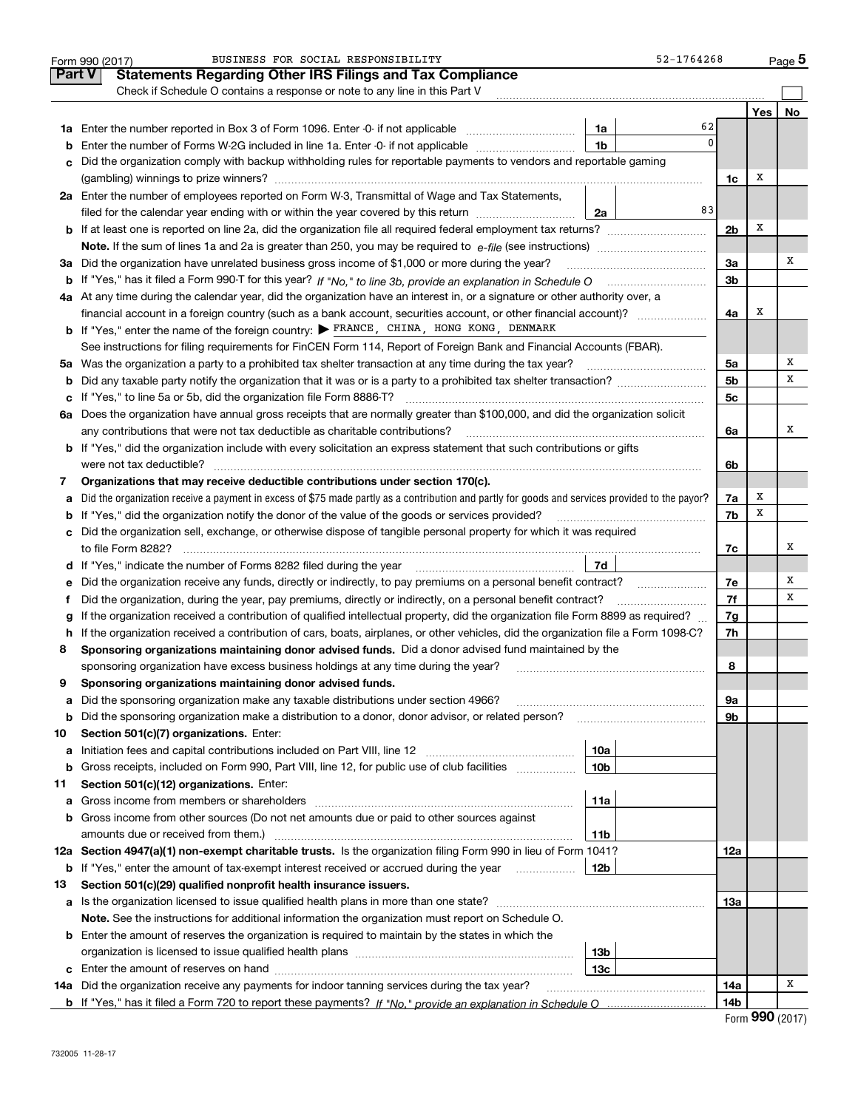|               | BUSINESS FOR SOCIAL RESPONSIBILITY<br>52-1764268<br>Form 990 (2017)                                                                             |                 |     | <u>Pag</u> e 5 |
|---------------|-------------------------------------------------------------------------------------------------------------------------------------------------|-----------------|-----|----------------|
| <b>Part V</b> | <b>Statements Regarding Other IRS Filings and Tax Compliance</b>                                                                                |                 |     |                |
|               | Check if Schedule O contains a response or note to any line in this Part V                                                                      |                 |     |                |
|               |                                                                                                                                                 |                 | Yes | No             |
|               | 62<br>1a                                                                                                                                        |                 |     |                |
| b             | $\Omega$<br>1 <sub>b</sub><br>Enter the number of Forms W-2G included in line 1a. Enter -0- if not applicable                                   |                 |     |                |
| c             | Did the organization comply with backup withholding rules for reportable payments to vendors and reportable gaming                              |                 |     |                |
|               |                                                                                                                                                 | 1c              | х   |                |
|               | 2a Enter the number of employees reported on Form W-3, Transmittal of Wage and Tax Statements,                                                  |                 |     |                |
|               | 83<br>filed for the calendar year ending with or within the year covered by this return<br>2a                                                   |                 |     |                |
|               |                                                                                                                                                 | 2 <sub>b</sub>  | Х   |                |
|               |                                                                                                                                                 |                 |     |                |
|               | 3a Did the organization have unrelated business gross income of \$1,000 or more during the year?                                                | 3a              |     | х              |
| b             |                                                                                                                                                 | 3b              |     |                |
|               | 4a At any time during the calendar year, did the organization have an interest in, or a signature or other authority over, a                    |                 |     |                |
|               |                                                                                                                                                 | 4a              | х   |                |
|               | <b>b</b> If "Yes," enter the name of the foreign country: $\triangleright$ FRANCE, CHINA, HONG KONG, DENMARK                                    |                 |     |                |
|               | See instructions for filing requirements for FinCEN Form 114, Report of Foreign Bank and Financial Accounts (FBAR).                             |                 |     |                |
|               |                                                                                                                                                 | 5a              |     | Х              |
| b             |                                                                                                                                                 | 5 <sub>b</sub>  |     | х              |
|               |                                                                                                                                                 | 5 <sub>c</sub>  |     |                |
|               | 6a Does the organization have annual gross receipts that are normally greater than \$100,000, and did the organization solicit                  |                 |     |                |
|               | any contributions that were not tax deductible as charitable contributions?                                                                     | 6a              |     | х              |
|               | <b>b</b> If "Yes," did the organization include with every solicitation an express statement that such contributions or gifts                   |                 |     |                |
|               | were not tax deductible?                                                                                                                        | 6b              |     |                |
| 7             | Organizations that may receive deductible contributions under section 170(c).                                                                   |                 |     |                |
| а             | Did the organization receive a payment in excess of \$75 made partly as a contribution and partly for goods and services provided to the payor? | 7a              | Х   |                |
| b             | If "Yes," did the organization notify the donor of the value of the goods or services provided?                                                 | 7b              | х   |                |
| c             | Did the organization sell, exchange, or otherwise dispose of tangible personal property for which it was required                               |                 |     |                |
|               |                                                                                                                                                 | 7с              |     | х              |
|               | 7d                                                                                                                                              |                 |     |                |
| е             | Did the organization receive any funds, directly or indirectly, to pay premiums on a personal benefit contract?                                 | 7e              |     | х              |
| Ť.            | Did the organization, during the year, pay premiums, directly or indirectly, on a personal benefit contract?                                    | 7f              |     | х              |
| g             | If the organization received a contribution of qualified intellectual property, did the organization file Form 8899 as required?                | 7g              |     |                |
| h             | If the organization received a contribution of cars, boats, airplanes, or other vehicles, did the organization file a Form 1098-C?              | 7h              |     |                |
| 8             | Sponsoring organizations maintaining donor advised funds. Did a donor advised fund maintained by the                                            |                 |     |                |
|               | sponsoring organization have excess business holdings at any time during the year?                                                              | 8               |     |                |
|               | Sponsoring organizations maintaining donor advised funds.                                                                                       |                 |     |                |
| а             | Did the sponsoring organization make any taxable distributions under section 4966?                                                              | 9а              |     |                |
| b             | Did the sponsoring organization make a distribution to a donor, donor advisor, or related person?                                               | 9b              |     |                |
| 10            | Section 501(c)(7) organizations. Enter:                                                                                                         |                 |     |                |
| а             | 10a                                                                                                                                             |                 |     |                |
| b             | 10 <sub>b</sub><br>Gross receipts, included on Form 990, Part VIII, line 12, for public use of club facilities                                  |                 |     |                |
| 11            | Section 501(c)(12) organizations. Enter:                                                                                                        |                 |     |                |
| а             | Gross income from members or shareholders<br>11a                                                                                                |                 |     |                |
| b             | Gross income from other sources (Do not net amounts due or paid to other sources against                                                        |                 |     |                |
|               | amounts due or received from them.)<br>11b                                                                                                      |                 |     |                |
|               | 12a Section 4947(a)(1) non-exempt charitable trusts. Is the organization filing Form 990 in lieu of Form 1041?                                  | 12a             |     |                |
| b             | If "Yes," enter the amount of tax-exempt interest received or accrued during the year<br>12b                                                    |                 |     |                |
| 13            | Section 501(c)(29) qualified nonprofit health insurance issuers.                                                                                |                 |     |                |
| а             | Is the organization licensed to issue qualified health plans in more than one state?                                                            | 13a             |     |                |
|               | Note. See the instructions for additional information the organization must report on Schedule O.                                               |                 |     |                |
|               | <b>b</b> Enter the amount of reserves the organization is required to maintain by the states in which the                                       |                 |     |                |
|               | 13b                                                                                                                                             |                 |     |                |
| c             | 13c                                                                                                                                             |                 |     | х              |
|               | 14a Did the organization receive any payments for indoor tanning services during the tax year?                                                  | 14a             |     |                |
|               |                                                                                                                                                 | 14 <sub>b</sub> |     |                |

| Form 990 (2017) |  |
|-----------------|--|
|-----------------|--|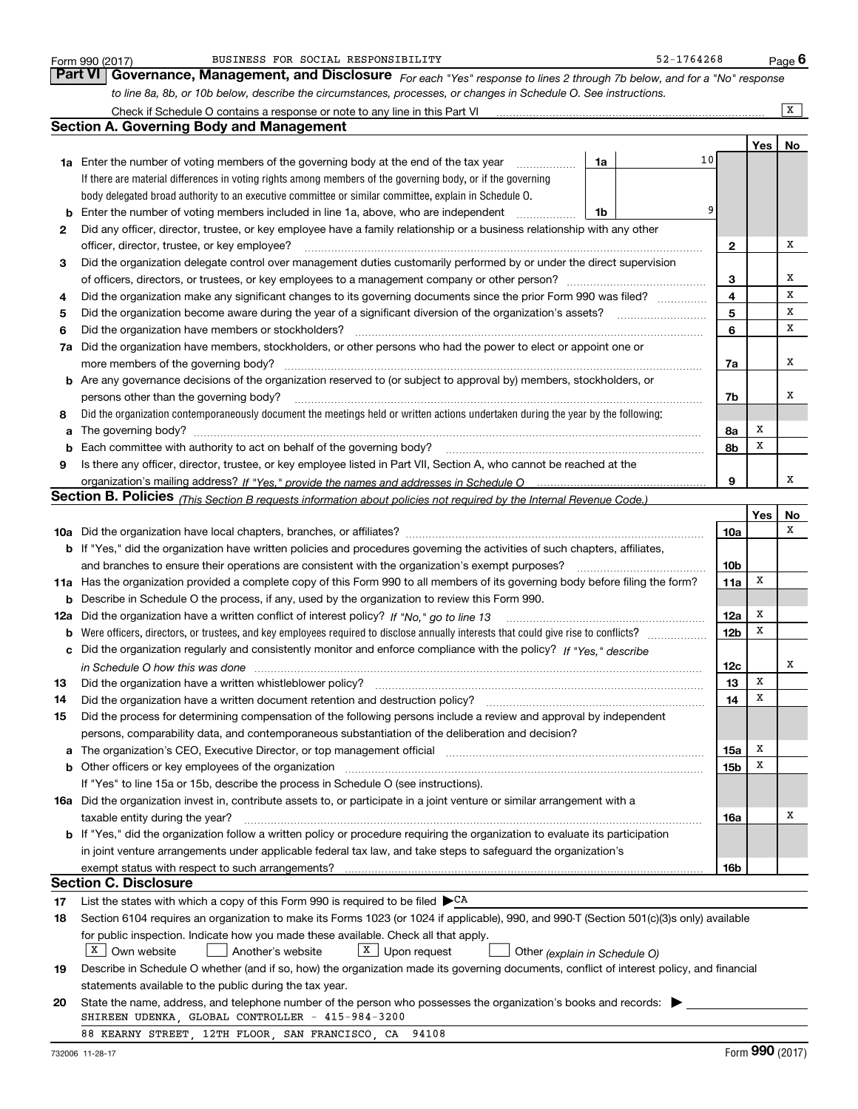|     | BUSINESS FOR SOCIAL RESPONSIBILITY<br>Form 990 (2017)                                                                                                                                                                          |    | 52-1764268 |                 |     | Page 6       |
|-----|--------------------------------------------------------------------------------------------------------------------------------------------------------------------------------------------------------------------------------|----|------------|-----------------|-----|--------------|
|     | Part VI   Governance, Management, and Disclosure For each "Yes" response to lines 2 through 7b below, and for a "No" response                                                                                                  |    |            |                 |     |              |
|     | to line 8a, 8b, or 10b below, describe the circumstances, processes, or changes in Schedule O. See instructions.                                                                                                               |    |            |                 |     |              |
|     | Check if Schedule O contains a response or note to any line in this Part VI                                                                                                                                                    |    |            |                 |     | $\mathbf{X}$ |
|     | <b>Section A. Governing Body and Management</b>                                                                                                                                                                                |    |            |                 |     |              |
|     |                                                                                                                                                                                                                                |    |            |                 | Yes | No           |
|     | 1a Enter the number of voting members of the governing body at the end of the tax year<br>.                                                                                                                                    | 1a | 10         |                 |     |              |
|     | If there are material differences in voting rights among members of the governing body, or if the governing                                                                                                                    |    |            |                 |     |              |
|     | body delegated broad authority to an executive committee or similar committee, explain in Schedule O.                                                                                                                          |    |            |                 |     |              |
| b   | Enter the number of voting members included in line 1a, above, who are independent                                                                                                                                             | 1b | 9          |                 |     |              |
| 2   | Did any officer, director, trustee, or key employee have a family relationship or a business relationship with any other                                                                                                       |    |            |                 |     |              |
|     | officer, director, trustee, or key employee?                                                                                                                                                                                   |    |            | 2               |     | х            |
| 3   | Did the organization delegate control over management duties customarily performed by or under the direct supervision                                                                                                          |    |            |                 |     |              |
|     | of officers, directors, or trustees, or key employees to a management company or other person?                                                                                                                                 |    |            | 3               |     | х            |
| 4   | Did the organization make any significant changes to its governing documents since the prior Form 990 was filed?                                                                                                               |    |            | 4               |     | х            |
| 5   |                                                                                                                                                                                                                                |    |            | 5               |     | х            |
| 6   | Did the organization have members or stockholders?                                                                                                                                                                             |    |            | 6               |     | х            |
| 7a  | Did the organization have members, stockholders, or other persons who had the power to elect or appoint one or                                                                                                                 |    |            |                 |     |              |
|     | more members of the governing body?                                                                                                                                                                                            |    |            | 7a              |     | х            |
| b   | Are any governance decisions of the organization reserved to (or subject to approval by) members, stockholders, or                                                                                                             |    |            |                 |     |              |
|     | persons other than the governing body?                                                                                                                                                                                         |    |            | 7b              |     | х            |
| 8   | Did the organization contemporaneously document the meetings held or written actions undertaken during the year by the following:                                                                                              |    |            |                 |     |              |
| a   |                                                                                                                                                                                                                                |    |            | 8a              | х   |              |
| b   | Each committee with authority to act on behalf of the governing body?                                                                                                                                                          |    |            | 8b              | X   |              |
| 9   | Is there any officer, director, trustee, or key employee listed in Part VII, Section A, who cannot be reached at the                                                                                                           |    |            |                 |     |              |
|     |                                                                                                                                                                                                                                |    |            | 9               |     | х            |
|     | Section B. Policies <sub>(This Section B requests information about policies not required by the Internal Revenue Code.)</sub>                                                                                                 |    |            |                 |     |              |
|     |                                                                                                                                                                                                                                |    |            |                 | Yes | No           |
|     |                                                                                                                                                                                                                                |    |            | 10a             |     | x            |
|     | b If "Yes," did the organization have written policies and procedures governing the activities of such chapters, affiliates,                                                                                                   |    |            |                 |     |              |
|     | and branches to ensure their operations are consistent with the organization's exempt purposes?                                                                                                                                |    |            | 10 <sub>b</sub> |     |              |
| 11a | Has the organization provided a complete copy of this Form 990 to all members of its governing body before filing the form?                                                                                                    |    |            | 11a             | x   |              |
| b   | Describe in Schedule O the process, if any, used by the organization to review this Form 990.                                                                                                                                  |    |            |                 |     |              |
| 12a | Did the organization have a written conflict of interest policy? If "No," go to line 13                                                                                                                                        |    |            | 12a             | х   |              |
| b   | Were officers, directors, or trustees, and key employees required to disclose annually interests that could give rise to conflicts?                                                                                            |    |            | 12b             | x   |              |
|     | Did the organization regularly and consistently monitor and enforce compliance with the policy? If "Yes," describe                                                                                                             |    |            |                 |     |              |
|     | in Schedule O how this was done manufactured and continuum and contact the schedule O how this was done                                                                                                                        |    |            | 12c             |     | х            |
|     |                                                                                                                                                                                                                                |    |            | 13              | X   |              |
| 14  | Did the organization have a written document retention and destruction policy?                                                                                                                                                 |    |            | 14              | х   |              |
| 15  | Did the process for determining compensation of the following persons include a review and approval by independent                                                                                                             |    |            |                 |     |              |
|     | persons, comparability data, and contemporaneous substantiation of the deliberation and decision?                                                                                                                              |    |            |                 |     |              |
| а   | The organization's CEO, Executive Director, or top management official manufactured contains and contained a manufactured with the organization's CEO, Executive Director, or top management official manufactured with the st |    |            | 15a             | x   |              |
| b   | Other officers or key employees of the organization                                                                                                                                                                            |    |            | 15b             | x   |              |
|     | If "Yes" to line 15a or 15b, describe the process in Schedule O (see instructions).                                                                                                                                            |    |            |                 |     |              |
|     | 16a Did the organization invest in, contribute assets to, or participate in a joint venture or similar arrangement with a                                                                                                      |    |            |                 |     |              |
|     | taxable entity during the year?                                                                                                                                                                                                |    |            | 16a             |     | х            |
|     | b If "Yes," did the organization follow a written policy or procedure requiring the organization to evaluate its participation                                                                                                 |    |            |                 |     |              |
|     | in joint venture arrangements under applicable federal tax law, and take steps to safeguard the organization's                                                                                                                 |    |            |                 |     |              |
|     | exempt status with respect to such arrangements?                                                                                                                                                                               |    |            | 16b             |     |              |
|     | <b>Section C. Disclosure</b>                                                                                                                                                                                                   |    |            |                 |     |              |
| 17  | List the states with which a copy of this Form 990 is required to be filed $\blacktriangleright^{\mathsf{CA}}$                                                                                                                 |    |            |                 |     |              |
| 18  | Section 6104 requires an organization to make its Forms 1023 (or 1024 if applicable), 990, and 990-T (Section 501(c)(3)s only) available                                                                                       |    |            |                 |     |              |
|     | for public inspection. Indicate how you made these available. Check all that apply.                                                                                                                                            |    |            |                 |     |              |
|     | $X \mid$ Own website<br>$X$ Upon request<br>Another's website<br>Other (explain in Schedule O)                                                                                                                                 |    |            |                 |     |              |
| 19  | Describe in Schedule O whether (and if so, how) the organization made its governing documents, conflict of interest policy, and financial                                                                                      |    |            |                 |     |              |
|     | statements available to the public during the tax year.                                                                                                                                                                        |    |            |                 |     |              |
| 20  | State the name, address, and telephone number of the person who possesses the organization's books and records:                                                                                                                |    |            |                 |     |              |
|     | SHIREEN UDENKA, GLOBAL CONTROLLER - 415-984-3200                                                                                                                                                                               |    |            |                 |     |              |
|     | 88 KEARNY STREET, 12TH FLOOR, SAN FRANCISCO, CA<br>94108                                                                                                                                                                       |    |            |                 |     |              |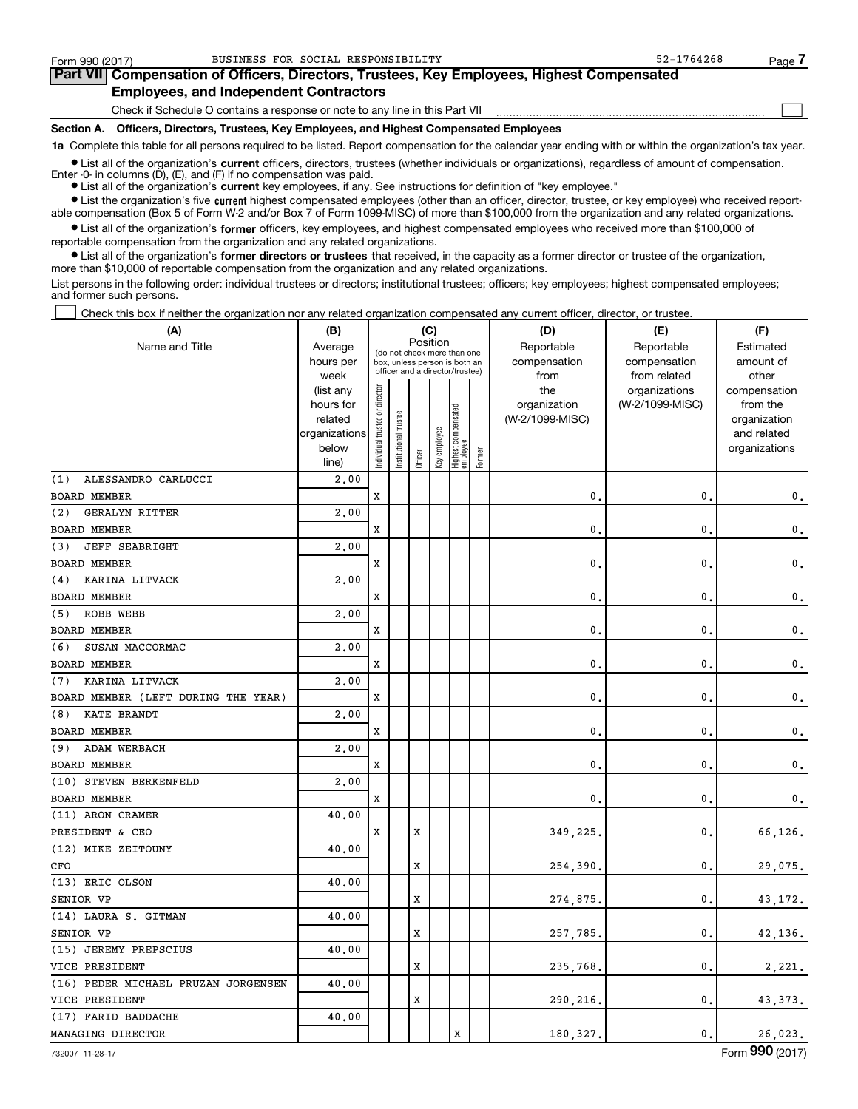$\mathcal{L}^{\text{max}}$ 

| Form 990 (2017) |                                               | BUSINESS FOR SOCIAL RESPONSIBILITY                                                         | 52-1764268 | Page / |
|-----------------|-----------------------------------------------|--------------------------------------------------------------------------------------------|------------|--------|
|                 |                                               | Part VII Compensation of Officers, Directors, Trustees, Key Employees, Highest Compensated |            |        |
|                 | <b>Employees, and Independent Contractors</b> |                                                                                            |            |        |

Check if Schedule O contains a response or note to any line in this Part VII

**Section A. Officers, Directors, Trustees, Key Employees, and Highest Compensated Employees**

**1a**  Complete this table for all persons required to be listed. Report compensation for the calendar year ending with or within the organization's tax year.

**•** List all of the organization's current officers, directors, trustees (whether individuals or organizations), regardless of amount of compensation.

● List all of the organization's **current** key employees, if any. See instructions for definition of "key employee." Enter -0- in columns  $(D)$ ,  $(E)$ , and  $(F)$  if no compensation was paid.

**•** List the organization's five current highest compensated employees (other than an officer, director, trustee, or key employee) who received report-

 $\bullet$  List all of the organization's **former** officers, key employees, and highest compensated employees who received more than \$100,000 of able compensation (Box 5 of Form W-2 and/or Box 7 of Form 1099-MISC) of more than \$100,000 from the organization and any related organizations.

**•** List all of the organization's former directors or trustees that received, in the capacity as a former director or trustee of the organization, reportable compensation from the organization and any related organizations. more than \$10,000 of reportable compensation from the organization and any related organizations.

List persons in the following order: individual trustees or directors; institutional trustees; officers; key employees; highest compensated employees; and former such persons.

Check this box if neither the organization nor any related organization compensated any current officer, director, or trustee.  $\mathcal{L}^{\text{max}}$ 

| (A)                                 | (B)                    | (C)<br>Position               |                                                                  |         |              |                                 |        | (D)             | (E)                           | (F)                      |
|-------------------------------------|------------------------|-------------------------------|------------------------------------------------------------------|---------|--------------|---------------------------------|--------|-----------------|-------------------------------|--------------------------|
| Name and Title                      | Average                |                               | (do not check more than one                                      |         |              |                                 |        | Reportable      | Reportable                    | Estimated                |
|                                     | hours per              |                               | box, unless person is both an<br>officer and a director/trustee) |         |              |                                 |        | compensation    | compensation                  | amount of                |
|                                     | week                   |                               |                                                                  |         |              |                                 |        | from<br>the     | from related<br>organizations | other                    |
|                                     | (list any<br>hours for |                               |                                                                  |         |              |                                 |        | organization    | (W-2/1099-MISC)               | compensation<br>from the |
|                                     | related                |                               | trustee                                                          |         |              |                                 |        | (W-2/1099-MISC) |                               | organization             |
|                                     | organizations          |                               |                                                                  |         |              |                                 |        |                 |                               | and related              |
|                                     | below                  | ndividual trustee or director | Institutional t                                                  |         | Key employee | Highest compensated<br>employee |        |                 |                               | organizations            |
|                                     | line)                  |                               |                                                                  | Officer |              |                                 | Former |                 |                               |                          |
| ALESSANDRO CARLUCCI<br>(1)          | 2,00                   |                               |                                                                  |         |              |                                 |        |                 |                               |                          |
| <b>BOARD MEMBER</b>                 |                        | X                             |                                                                  |         |              |                                 |        | $\mathbf{0}$    | $\mathbf{0}$                  | 0.                       |
| (2)<br><b>GERALYN RITTER</b>        | 2.00                   |                               |                                                                  |         |              |                                 |        |                 |                               |                          |
| BOARD MEMBER                        |                        | X                             |                                                                  |         |              |                                 |        | 0               | $\mathbf 0$                   | $\mathfrak{o}$ .         |
| <b>JEFF SEABRIGHT</b><br>(3)        | 2,00                   |                               |                                                                  |         |              |                                 |        |                 |                               |                          |
| <b>BOARD MEMBER</b>                 |                        | X                             |                                                                  |         |              |                                 |        | $\mathbf{0}$    | $\mathbf{0}$                  | $\mathbf 0$ .            |
| KARINA LITVACK<br>(4)               | 2,00                   |                               |                                                                  |         |              |                                 |        |                 |                               |                          |
| <b>BOARD MEMBER</b>                 |                        | x                             |                                                                  |         |              |                                 |        | $\mathbf{0}$    | 0                             | 0.                       |
| (5) ROBB WEBB                       | 2,00                   |                               |                                                                  |         |              |                                 |        |                 |                               |                          |
| <b>BOARD MEMBER</b>                 |                        | x                             |                                                                  |         |              |                                 |        | $\mathbf{0}$    | $\mathbf 0$                   | $\mathbf{0}$ .           |
| SUSAN MACCORMAC<br>(6)              | 2,00                   |                               |                                                                  |         |              |                                 |        |                 |                               |                          |
| <b>BOARD MEMBER</b>                 |                        | х                             |                                                                  |         |              |                                 |        | 0               | 0                             | 0.                       |
| KARINA LITVACK<br>(7)               | 2,00                   |                               |                                                                  |         |              |                                 |        |                 |                               |                          |
| BOARD MEMBER (LEFT DURING THE YEAR) |                        | x                             |                                                                  |         |              |                                 |        | $\mathbf{0}$    | 0                             | $\mathbf 0$ .            |
| KATE BRANDT<br>(8)                  | 2,00                   |                               |                                                                  |         |              |                                 |        |                 |                               |                          |
| <b>BOARD MEMBER</b>                 |                        | x                             |                                                                  |         |              |                                 |        | $\mathbf 0$     | 0                             | 0.                       |
| (9) ADAM WERBACH                    | 2,00                   |                               |                                                                  |         |              |                                 |        |                 |                               |                          |
| BOARD MEMBER                        |                        | x                             |                                                                  |         |              |                                 |        | $\mathbf{0}$    | $\mathbf 0$                   | 0.                       |
| (10) STEVEN BERKENFELD              | 2,00                   |                               |                                                                  |         |              |                                 |        |                 |                               |                          |
| BOARD MEMBER                        |                        | х                             |                                                                  |         |              |                                 |        | $\mathbf 0$     | $\mathbf{0}$                  | $\mathbf{0}$ .           |
| (11) ARON CRAMER                    | 40.00                  |                               |                                                                  |         |              |                                 |        |                 |                               |                          |
| PRESIDENT & CEO                     |                        | x                             |                                                                  | X       |              |                                 |        | 349,225.        | $\mathbf{0}$                  | 66,126.                  |
| (12) MIKE ZEITOUNY                  | 40.00                  |                               |                                                                  |         |              |                                 |        |                 |                               |                          |
| CFO                                 |                        |                               |                                                                  | X       |              |                                 |        | 254,390         | $\mathbf{0}$                  | 29,075.                  |
| (13) ERIC OLSON                     | 40.00                  |                               |                                                                  |         |              |                                 |        |                 |                               |                          |
| SENIOR VP                           |                        |                               |                                                                  | X       |              |                                 |        | 274,875         | $\mathbf{0}$ .                | 43,172.                  |
| (14) LAURA S. GITMAN                | 40.00                  |                               |                                                                  |         |              |                                 |        |                 |                               |                          |
| SENIOR VP                           |                        |                               |                                                                  | X       |              |                                 |        | 257,785.        | $\mathbf{0}$ .                | 42,136.                  |
| (15) JEREMY PREPSCIUS               | 40.00                  |                               |                                                                  |         |              |                                 |        |                 |                               |                          |
| VICE PRESIDENT                      |                        |                               |                                                                  | X       |              |                                 |        | 235,768         | 0.                            | 2,221.                   |
| (16) PEDER MICHAEL PRUZAN JORGENSEN | 40.00                  |                               |                                                                  |         |              |                                 |        |                 |                               |                          |
| VICE PRESIDENT                      |                        |                               |                                                                  | X       |              |                                 |        | 290,216,        | $\mathbf{0}$ .                | 43, 373.                 |
| (17) FARID BADDACHE                 | 40.00                  |                               |                                                                  |         |              |                                 |        |                 |                               |                          |
| MANAGING DIRECTOR                   |                        |                               |                                                                  |         |              | X                               |        | 180, 327.       | 0.                            | 26,023.                  |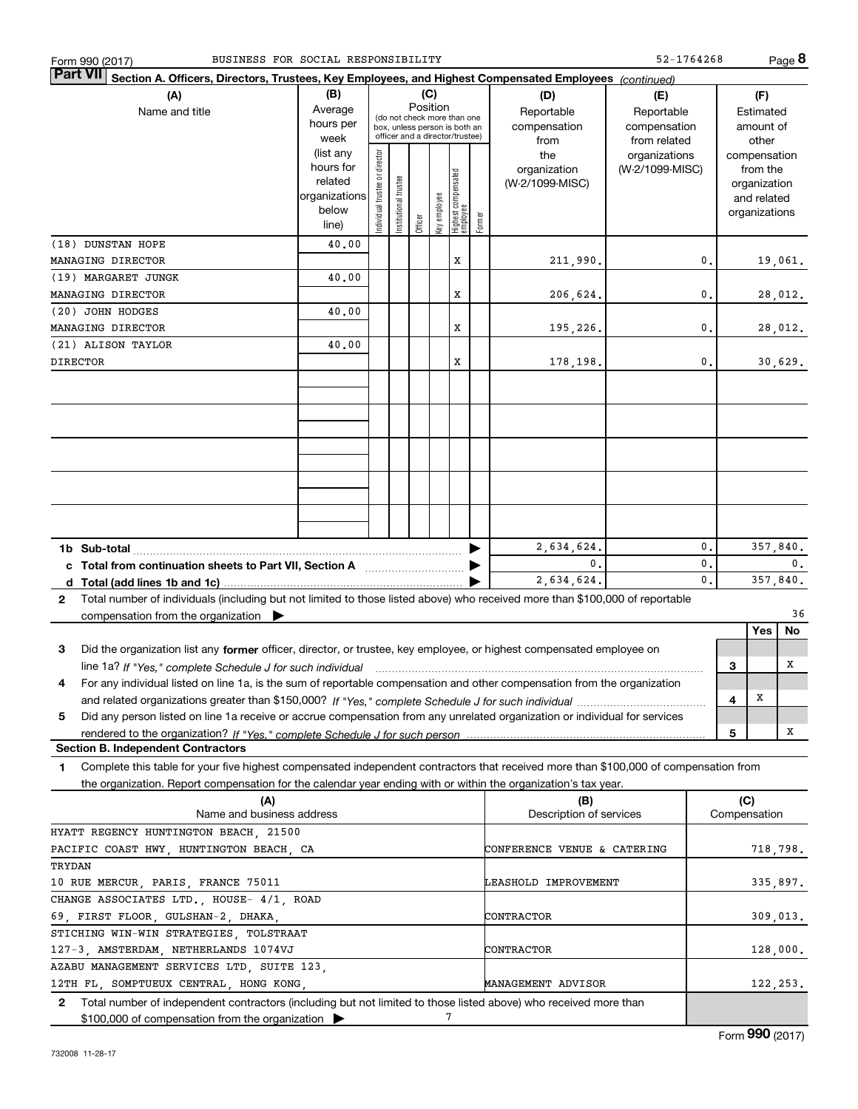| BUSINESS FOR SOCIAL RESPONSIBILITY<br>Form 990 (2017)                                                                                        |                   |                               |                       |          |              |                                                                  |        |                             | 52-1764268                    |    |     |                       | Page 8   |
|----------------------------------------------------------------------------------------------------------------------------------------------|-------------------|-------------------------------|-----------------------|----------|--------------|------------------------------------------------------------------|--------|-----------------------------|-------------------------------|----|-----|-----------------------|----------|
| <b>Part VII</b><br>Section A. Officers, Directors, Trustees, Key Employees, and Highest Compensated Employees (continued)                    |                   |                               |                       |          |              |                                                                  |        |                             |                               |    |     |                       |          |
| (A)                                                                                                                                          | (B)               |                               |                       | (C)      |              |                                                                  |        | (D)                         | (E)                           |    |     | (F)                   |          |
| Name and title                                                                                                                               | Average           |                               |                       | Position |              | (do not check more than one                                      |        | Reportable                  | Reportable                    |    |     | Estimated             |          |
|                                                                                                                                              | hours per<br>week |                               |                       |          |              | box, unless person is both an<br>officer and a director/trustee) |        | compensation                | compensation                  |    |     | amount of             |          |
|                                                                                                                                              | (list any         |                               |                       |          |              |                                                                  |        | from<br>the                 | from related<br>organizations |    |     | other<br>compensation |          |
|                                                                                                                                              | hours for         | ndividual trustee or director |                       |          |              |                                                                  |        | organization                | (W-2/1099-MISC)               |    |     | from the              |          |
|                                                                                                                                              | related           |                               |                       |          |              |                                                                  |        | (W-2/1099-MISC)             |                               |    |     | organization          |          |
|                                                                                                                                              | organizations     |                               |                       |          |              |                                                                  |        |                             |                               |    |     | and related           |          |
|                                                                                                                                              | below             |                               | Institutional trustee |          | key employee | Highest compensated<br>employee                                  |        |                             |                               |    |     | organizations         |          |
|                                                                                                                                              | line)             |                               |                       | Officer  |              |                                                                  | Former |                             |                               |    |     |                       |          |
| (18) DUNSTAN HOPE                                                                                                                            | 40.00             |                               |                       |          |              |                                                                  |        |                             |                               |    |     |                       |          |
| MANAGING DIRECTOR                                                                                                                            |                   |                               |                       |          |              | x                                                                |        | 211,990.                    |                               | 0. |     |                       | 19,061.  |
| (19) MARGARET JUNGK<br>40.00                                                                                                                 |                   |                               |                       |          |              |                                                                  |        |                             |                               |    |     |                       |          |
| MANAGING DIRECTOR                                                                                                                            |                   |                               |                       |          |              | x                                                                |        | 206,624.                    |                               | 0. |     |                       | 28,012.  |
| (20) JOHN HODGES                                                                                                                             | 40.00             |                               |                       |          |              |                                                                  |        |                             |                               |    |     |                       |          |
| MANAGING DIRECTOR                                                                                                                            |                   |                               |                       |          |              | x                                                                |        | 195,226.                    |                               | 0. |     |                       | 28,012.  |
| (21) ALISON TAYLOR                                                                                                                           | 40.00             |                               |                       |          |              |                                                                  |        |                             |                               |    |     |                       |          |
| <b>DIRECTOR</b>                                                                                                                              |                   |                               |                       |          |              | x                                                                |        | 178,198.                    |                               | 0. |     |                       | 30,629.  |
|                                                                                                                                              |                   |                               |                       |          |              |                                                                  |        |                             |                               |    |     |                       |          |
|                                                                                                                                              |                   |                               |                       |          |              |                                                                  |        |                             |                               |    |     |                       |          |
|                                                                                                                                              |                   |                               |                       |          |              |                                                                  |        |                             |                               |    |     |                       |          |
|                                                                                                                                              |                   |                               |                       |          |              |                                                                  |        |                             |                               |    |     |                       |          |
|                                                                                                                                              |                   |                               |                       |          |              |                                                                  |        |                             |                               |    |     |                       |          |
|                                                                                                                                              |                   |                               |                       |          |              |                                                                  |        |                             |                               |    |     |                       |          |
|                                                                                                                                              |                   |                               |                       |          |              |                                                                  |        |                             |                               |    |     |                       |          |
|                                                                                                                                              |                   |                               |                       |          |              |                                                                  |        |                             |                               |    |     |                       |          |
|                                                                                                                                              |                   |                               |                       |          |              |                                                                  |        |                             |                               |    |     |                       |          |
|                                                                                                                                              |                   |                               |                       |          |              |                                                                  |        |                             |                               |    |     |                       |          |
|                                                                                                                                              |                   |                               |                       |          |              |                                                                  |        | 2,634,624.                  |                               | 0. |     |                       | 357,840. |
| c Total from continuation sheets to Part VII, Section A manufactor continuum                                                                 |                   |                               |                       |          |              |                                                                  |        | $\mathbf{0}$ .              |                               | 0. |     |                       | 0.       |
|                                                                                                                                              |                   |                               |                       |          |              |                                                                  |        | 2,634,624.                  |                               | 0. |     |                       | 357,840. |
| Total number of individuals (including but not limited to those listed above) who received more than \$100,000 of reportable<br>$\mathbf{2}$ |                   |                               |                       |          |              |                                                                  |        |                             |                               |    |     |                       |          |
| compensation from the organization $\blacktriangleright$                                                                                     |                   |                               |                       |          |              |                                                                  |        |                             |                               |    |     |                       | 36       |
|                                                                                                                                              |                   |                               |                       |          |              |                                                                  |        |                             |                               |    |     | Yes                   | No       |
| Did the organization list any former officer, director, or trustee, key employee, or highest compensated employee on<br>з                    |                   |                               |                       |          |              |                                                                  |        |                             |                               |    |     |                       |          |
| line 1a? If "Yes," complete Schedule J for such individual manufactured contained and the Yes," complete Schedule J for such individual      |                   |                               |                       |          |              |                                                                  |        |                             |                               |    | З   |                       | x        |
| For any individual listed on line 1a, is the sum of reportable compensation and other compensation from the organization<br>4                |                   |                               |                       |          |              |                                                                  |        |                             |                               |    |     |                       |          |
|                                                                                                                                              |                   |                               |                       |          |              |                                                                  |        |                             |                               |    | 4   | х                     |          |
| Did any person listed on line 1a receive or accrue compensation from any unrelated organization or individual for services<br>5              |                   |                               |                       |          |              |                                                                  |        |                             |                               |    |     |                       |          |
|                                                                                                                                              |                   |                               |                       |          |              |                                                                  |        |                             |                               |    | 5   |                       | х        |
| <b>Section B. Independent Contractors</b>                                                                                                    |                   |                               |                       |          |              |                                                                  |        |                             |                               |    |     |                       |          |
| Complete this table for your five highest compensated independent contractors that received more than \$100,000 of compensation from<br>1    |                   |                               |                       |          |              |                                                                  |        |                             |                               |    |     |                       |          |
| the organization. Report compensation for the calendar year ending with or within the organization's tax year.                               |                   |                               |                       |          |              |                                                                  |        |                             |                               |    |     |                       |          |
| (A)                                                                                                                                          |                   |                               |                       |          |              |                                                                  |        | (B)                         |                               |    | (C) |                       |          |
| Name and business address                                                                                                                    |                   |                               |                       |          |              |                                                                  |        | Description of services     |                               |    |     | Compensation          |          |
| HYATT REGENCY HUNTINGTON BEACH, 21500                                                                                                        |                   |                               |                       |          |              |                                                                  |        |                             |                               |    |     |                       |          |
| PACIFIC COAST HWY, HUNTINGTON BEACH, CA                                                                                                      |                   |                               |                       |          |              |                                                                  |        | CONFERENCE VENUE & CATERING |                               |    |     |                       | 718,798. |
| TRYDAN                                                                                                                                       |                   |                               |                       |          |              |                                                                  |        |                             |                               |    |     |                       |          |
| 10 RUE MERCUR, PARIS, FRANCE 75011                                                                                                           |                   |                               |                       |          |              |                                                                  |        | LEASHOLD IMPROVEMENT        |                               |    |     |                       | 335,897. |
| CHANGE ASSOCIATES LTD., HOUSE- 4/1, ROAD                                                                                                     |                   |                               |                       |          |              |                                                                  |        |                             |                               |    |     |                       |          |
| 69, FIRST FLOOR, GULSHAN-2, DHAKA,                                                                                                           |                   |                               |                       |          |              |                                                                  |        | CONTRACTOR                  |                               |    |     |                       | 309,013. |
| STICHING WIN-WIN STRATEGIES, TOLSTRAAT                                                                                                       |                   |                               |                       |          |              |                                                                  |        |                             |                               |    |     |                       |          |
| 127-3, AMSTERDAM, NETHERLANDS 1074VJ                                                                                                         |                   |                               |                       |          |              |                                                                  |        | CONTRACTOR                  |                               |    |     |                       | 128,000. |
| AZABU MANAGEMENT SERVICES LTD, SUITE 123,                                                                                                    |                   |                               |                       |          |              |                                                                  |        |                             |                               |    |     |                       |          |
| 12TH FL, SOMPTUEUX CENTRAL, HONG KONG,                                                                                                       |                   |                               |                       |          |              |                                                                  |        | MANAGEMENT ADVISOR          |                               |    |     |                       | 122,253. |
| Total number of independent contractors (including but not limited to those listed above) who received more than<br>$\mathbf{2}$             |                   |                               |                       |          |              |                                                                  |        |                             |                               |    |     |                       |          |
| \$100,000 of compensation from the organization                                                                                              |                   |                               |                       |          |              | 7                                                                |        |                             |                               |    |     |                       |          |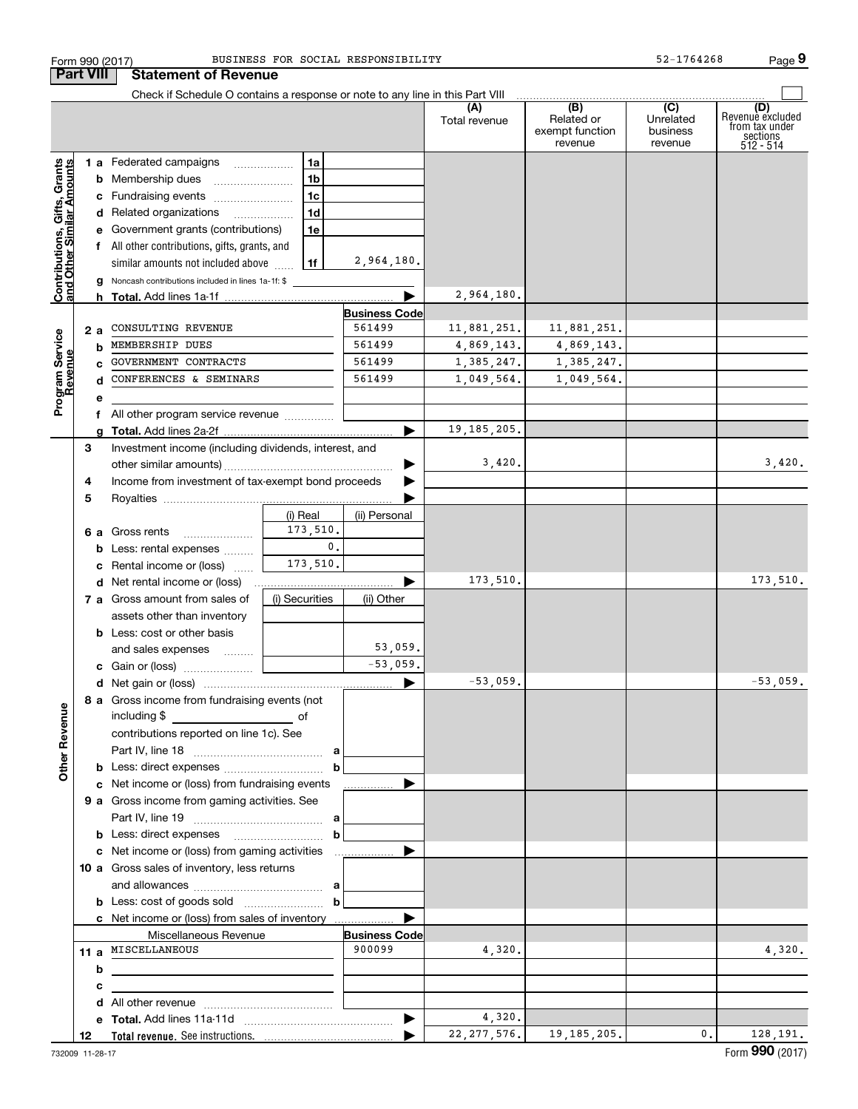|                                                           | Form 990 (2017)  |                                                                               |                | BUSINESS FOR SOCIAL RESPONSIBILITY |                      |                                                 | $52 - 1764268$                                       | Page 9                                                             |
|-----------------------------------------------------------|------------------|-------------------------------------------------------------------------------|----------------|------------------------------------|----------------------|-------------------------------------------------|------------------------------------------------------|--------------------------------------------------------------------|
|                                                           | <b>Part VIII</b> | <b>Statement of Revenue</b>                                                   |                |                                    |                      |                                                 |                                                      |                                                                    |
|                                                           |                  | Check if Schedule O contains a response or note to any line in this Part VIII |                |                                    |                      |                                                 |                                                      |                                                                    |
|                                                           |                  |                                                                               |                |                                    | (A)<br>Total revenue | (B)<br>Related or<br>exempt function<br>revenue | $\overline{(C)}$<br>Unrelated<br>business<br>revenue | (D)<br>Revenuè excluded<br>from tax under<br>sections<br>512 - 514 |
|                                                           |                  | 1 a Federated campaigns                                                       | 1a             |                                    |                      |                                                 |                                                      |                                                                    |
| Contributions, Gifts, Grants<br>and Other Similar Amounts |                  | <b>b</b> Membership dues                                                      | 1 <sub>b</sub> |                                    |                      |                                                 |                                                      |                                                                    |
|                                                           |                  | c Fundraising events                                                          | 1 <sub>c</sub> |                                    |                      |                                                 |                                                      |                                                                    |
|                                                           |                  | d Related organizations                                                       | 1 <sub>d</sub> |                                    |                      |                                                 |                                                      |                                                                    |
|                                                           |                  | e Government grants (contributions)                                           | 1e             |                                    |                      |                                                 |                                                      |                                                                    |
|                                                           |                  | f All other contributions, gifts, grants, and                                 |                |                                    |                      |                                                 |                                                      |                                                                    |
|                                                           |                  | similar amounts not included above                                            | 1f             | 2,964,180.                         |                      |                                                 |                                                      |                                                                    |
|                                                           | g                | Noncash contributions included in lines 1a-1f: \$                             |                |                                    |                      |                                                 |                                                      |                                                                    |
|                                                           | h.               |                                                                               |                |                                    | 2,964,180.           |                                                 |                                                      |                                                                    |
|                                                           |                  |                                                                               |                | <b>Business Code</b>               |                      |                                                 |                                                      |                                                                    |
|                                                           | 2 a              | CONSULTING REVENUE                                                            |                | 561499                             | 11,881,251.          | 11,881,251.                                     |                                                      |                                                                    |
|                                                           | b                | MEMBERSHIP DUES                                                               |                | 561499                             | 4,869,143.           | 4,869,143.                                      |                                                      |                                                                    |
|                                                           | C.               | GOVERNMENT CONTRACTS                                                          |                | 561499                             | 1,385,247.           | 1,385,247.                                      |                                                      |                                                                    |
| Program Service<br>Revenue                                | d                | CONFERENCES & SEMINARS                                                        |                | 561499                             | 1,049,564.           | 1,049,564.                                      |                                                      |                                                                    |
|                                                           | е                |                                                                               |                |                                    |                      |                                                 |                                                      |                                                                    |
|                                                           | f                | All other program service revenue <i>mimimini</i>                             |                |                                    |                      |                                                 |                                                      |                                                                    |
|                                                           | a                |                                                                               |                |                                    | 19, 185, 205.        |                                                 |                                                      |                                                                    |
|                                                           | З                | Investment income (including dividends, interest, and                         |                |                                    |                      |                                                 |                                                      |                                                                    |
|                                                           |                  |                                                                               |                |                                    | 3,420.               |                                                 |                                                      | 3,420.                                                             |
|                                                           | 4                | Income from investment of tax-exempt bond proceeds                            |                |                                    |                      |                                                 |                                                      |                                                                    |
|                                                           | 5                |                                                                               |                |                                    |                      |                                                 |                                                      |                                                                    |
|                                                           |                  |                                                                               | (i) Real       | (ii) Personal                      |                      |                                                 |                                                      |                                                                    |
|                                                           |                  | 6 a Gross rents                                                               | 173,510.       |                                    |                      |                                                 |                                                      |                                                                    |
|                                                           |                  | <b>b</b> Less: rental expenses                                                | $\mathbf{0}$ . |                                    |                      |                                                 |                                                      |                                                                    |
|                                                           | c                | Rental income or (loss)                                                       | 173,510.       |                                    |                      |                                                 |                                                      |                                                                    |
|                                                           |                  | <b>d</b> Net rental income or (loss)                                          |                |                                    | 173,510.             |                                                 |                                                      | 173,510.                                                           |
|                                                           |                  | 7 a Gross amount from sales of                                                | (i) Securities | (ii) Other                         |                      |                                                 |                                                      |                                                                    |
|                                                           |                  | assets other than inventory                                                   |                |                                    |                      |                                                 |                                                      |                                                                    |
|                                                           |                  | <b>b</b> Less: cost or other basis                                            |                |                                    |                      |                                                 |                                                      |                                                                    |
|                                                           |                  | and sales expenses                                                            |                | 53,059.                            |                      |                                                 |                                                      |                                                                    |
|                                                           |                  |                                                                               |                | $-53,059.$                         |                      |                                                 |                                                      |                                                                    |
|                                                           |                  |                                                                               |                |                                    | $-53,059.$           |                                                 |                                                      | $-53,059$ .                                                        |
|                                                           |                  | 8 a Gross income from fundraising events (not                                 |                |                                    |                      |                                                 |                                                      |                                                                    |
|                                                           |                  | including \$                                                                  |                |                                    |                      |                                                 |                                                      |                                                                    |
|                                                           |                  |                                                                               |                |                                    |                      |                                                 |                                                      |                                                                    |
|                                                           |                  | contributions reported on line 1c). See                                       |                |                                    |                      |                                                 |                                                      |                                                                    |
| <b>Other Revenue</b>                                      |                  |                                                                               | $\mathbf b$    |                                    |                      |                                                 |                                                      |                                                                    |
|                                                           |                  | c Net income or (loss) from fundraising events                                |                |                                    |                      |                                                 |                                                      |                                                                    |
|                                                           |                  | 9 a Gross income from gaming activities. See                                  |                |                                    |                      |                                                 |                                                      |                                                                    |
|                                                           |                  |                                                                               |                |                                    |                      |                                                 |                                                      |                                                                    |
|                                                           |                  |                                                                               |                |                                    |                      |                                                 |                                                      |                                                                    |
|                                                           |                  |                                                                               | $\mathbf b$    |                                    |                      |                                                 |                                                      |                                                                    |
|                                                           |                  |                                                                               |                |                                    |                      |                                                 |                                                      |                                                                    |
|                                                           |                  | 10 a Gross sales of inventory, less returns                                   |                |                                    |                      |                                                 |                                                      |                                                                    |
|                                                           |                  |                                                                               |                |                                    |                      |                                                 |                                                      |                                                                    |
|                                                           |                  |                                                                               | $\mathbf b$    |                                    |                      |                                                 |                                                      |                                                                    |
|                                                           |                  | c Net income or (loss) from sales of inventory                                |                |                                    |                      |                                                 |                                                      |                                                                    |
|                                                           |                  | Miscellaneous Revenue<br>11 a MISCELLANEOUS                                   |                | <b>Business Code</b><br>900099     |                      |                                                 |                                                      |                                                                    |
|                                                           |                  |                                                                               |                |                                    | 4,320.               |                                                 |                                                      | 4,320.                                                             |
|                                                           | b                |                                                                               |                |                                    |                      |                                                 |                                                      |                                                                    |
|                                                           | с                |                                                                               |                |                                    |                      |                                                 |                                                      |                                                                    |
|                                                           |                  |                                                                               |                |                                    |                      |                                                 |                                                      |                                                                    |
|                                                           |                  |                                                                               |                |                                    | 4,320.               |                                                 |                                                      |                                                                    |
|                                                           | 12               |                                                                               |                |                                    | 22, 277, 576.        | 19, 185, 205.                                   | 0.                                                   | 128, 191.                                                          |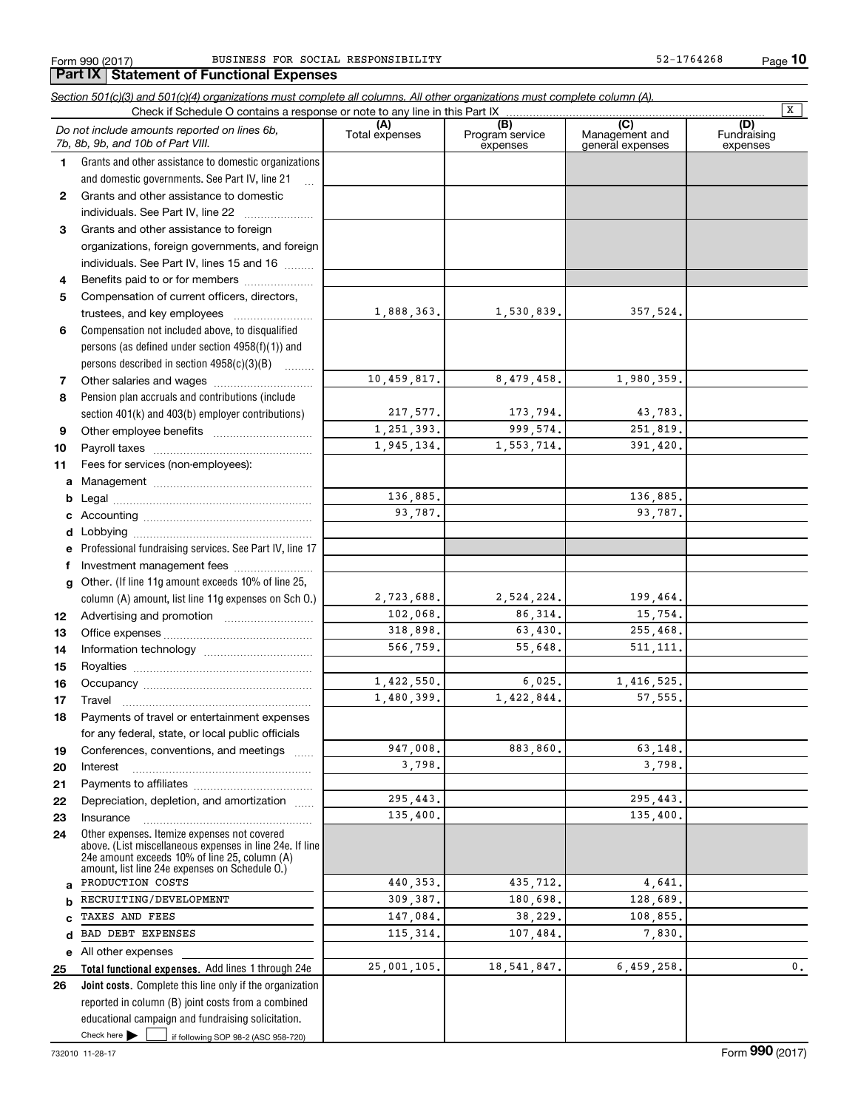**Part IX Statement of Functional Expenses**

**10**

**Total functional expenses.**  Add lines 1 through 24e **Joint costs.** Complete this line only if the organization **(A)**<br>Total expenses **(C)** (C) (C)<br>
penses Program service Management and Fundrai<br>
expenses general expenses expen **123** Grants and other assistance to foreign **4567891011abcdefg12131415161718192021222324abcde2526***Section 501(c)(3) and 501(c)(4) organizations must complete all columns. All other organizations must complete column (A).* Grants and other assistance to domestic organizations and domestic governments. See Part IV, line 21 Compensation not included above, to disqualified persons (as defined under section 4958(f)(1)) and persons described in section 4958(c)(3)(B)  $\quad \ldots \ldots \ldots$ Pension plan accruals and contributions (include section 401(k) and 403(b) employer contributions) Professional fundraising services. See Part IV, line 17 Other. (If line 11g amount exceeds 10% of line 25, column (A) amount, list line 11g expenses on Sch O.) Other expenses. Itemize expenses not covered above. (List miscellaneous expenses in line 24e. If line 24e amount exceeds 10% of line 25, column (A) amount, list line 24e expenses on Schedule O.) reported in column (B) joint costs from a combined educational campaign and fundraising solicitation. Check if Schedule O contains a response or note to any line in this Part IX (C) (C) (C) (C) (C) (C) Program service expensesFundraising expensesGrants and other assistance to domestic individuals. See Part IV, line 22 ~~~~~~~ organizations, foreign governments, and foreign individuals. See Part IV, lines 15 and 16  $\ldots$ Benefits paid to or for members .................... Compensation of current officers, directors, trustees, and key employees  $\ldots$   $\ldots$   $\ldots$   $\ldots$   $\ldots$ Other salaries and wages ~~~~~~~~~~ Other employee benefits ~~~~~~~~~~ Payroll taxes ~~~~~~~~~~~~~~~~ Fees for services (non-employees): Management ~~~~~~~~~~~~~~~~ Legal ~~~~~~~~~~~~~~~~~~~~Accounting ~~~~~~~~~~~~~~~~~ Lobbying ~~~~~~~~~~~~~~~~~~ lnvestment management fees ....................... Advertising and promotion \_\_\_\_\_\_\_\_\_\_\_\_\_\_\_\_\_\_\_ Office expenses ~~~~~~~~~~~~~~~ Information technology ~~~~~~~~~~~ Royalties ~~~~~~~~~~~~~~~~~~ Occupancy ~~~~~~~~~~~~~~~~~ Travel ……………………………………………… Payments of travel or entertainment expenses for any federal, state, or local public officials Conferences, conventions, and meetings InterestPayments to affiliates [*[[[[[[[[[[[[[]]]]]* ~~~~~~~~~~~~~~~~~~Depreciation, depletion, and amortization  $\,\,\ldots\,\,$ Insurance~~~~~~~~~~~~~~~~~All other expenses *Do not include amounts reported on lines 6b, 7b, 8b, 9b, and 10b of Part VIII.*  $\boxed{\mathbf{X}}$ 1,888,363. 10,459,817. 217,577. 1,251,393. 1,945,134. 136,885. 93,787. 2,723,688. 102,068. 318,898. 566,759. 1,422,550. 1,480,399. 947,008. 3,798. 295,443. 135,400. 440,353. 309,387. 147,084. 115,314.  $25,001,105$ . 1,530,839. 357,524. 8,479,458. 1,980,359. 173,794. 43,783. 999,574. 251,819. 1,553,714. 391,420. 136,885. 93,787. 2,524,224. 199,464. 86,314. 15,754. 63,430. 255,468. 55,648. 511,111. 6,025. 1,416,525. 1,422,844. 57,555. 883,860. 63,148. 3,798. 295,443. 135,400. 435,712. 4,641. 180,698. 128,689. 38,229. 108,855. 107,484. 7,830. 18,541,847. 6,459,258. 0. PRODUCTION COSTS RECRUITING/DEVELOPMENTTAXES AND FEES BAD DEBT EXPENSES

Check here  $\blacktriangleright$ 

Check here if following SOP 98-2 (ASC 958-720)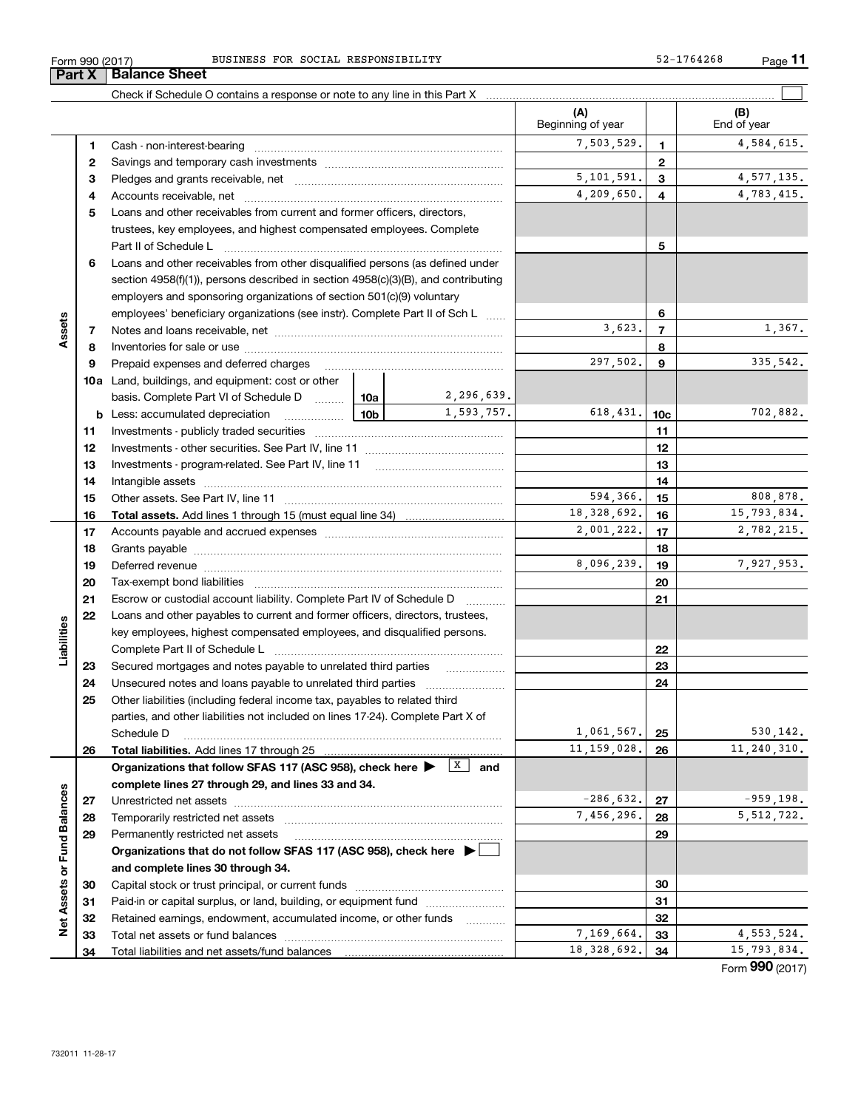| Form 990 (2017) | BUSINESS FOR SOCIAL RESPONSIBILITY     |                         |   | Page $11$<br>52-1764268 |
|-----------------|----------------------------------------|-------------------------|---|-------------------------|
| Part X          | <b>Balance Sheet</b>                   |                         |   |                         |
|                 |                                        |                         |   |                         |
|                 |                                        | ΙA<br>Beginning of year |   | (B)<br>End of year      |
|                 | Cash - non-interest-bearing            | 7.503.529.              |   | 4,584,615.              |
|                 | Savings and temporary cash investments |                         | 2 |                         |
|                 | Pledges and grants receivable, net     | 5,101,591.              | з | 4, 577, 135.            |

|                             | $\mathbf{2}$ |                                                                                                                              |     |            |               | $\mathbf{2}$    |                 |
|-----------------------------|--------------|------------------------------------------------------------------------------------------------------------------------------|-----|------------|---------------|-----------------|-----------------|
|                             | 3            |                                                                                                                              |     |            | 5,101,591.    | 3               | 4, 577, 135.    |
|                             | 4            |                                                                                                                              |     |            | 4,209,650.    | $\overline{4}$  | 4,783,415.      |
|                             | 5            | Loans and other receivables from current and former officers, directors,                                                     |     |            |               |                 |                 |
|                             |              | trustees, key employees, and highest compensated employees. Complete                                                         |     |            |               |                 |                 |
|                             |              | Part II of Schedule Landscare and Contract in the Schedule Landscare and Contract in the Schedule L                          |     |            |               | 5               |                 |
|                             | 6            | Loans and other receivables from other disqualified persons (as defined under                                                |     |            |               |                 |                 |
|                             |              | section $4958(f)(1)$ , persons described in section $4958(c)(3)(B)$ , and contributing                                       |     |            |               |                 |                 |
|                             |              | employers and sponsoring organizations of section 501(c)(9) voluntary                                                        |     |            |               |                 |                 |
|                             |              | employees' beneficiary organizations (see instr). Complete Part II of Sch L                                                  |     |            |               | 6               |                 |
| Assets                      | 7            |                                                                                                                              |     |            | 3,623.        | $\overline{7}$  | 1,367.          |
|                             | 8            |                                                                                                                              |     |            |               | 8               |                 |
|                             | 9            | Prepaid expenses and deferred charges                                                                                        |     |            | 297,502.      | 9               | 335,542.        |
|                             |              | <b>10a</b> Land, buildings, and equipment: cost or other                                                                     |     |            |               |                 |                 |
|                             |              | basis. Complete Part VI of Schedule D  10a                                                                                   |     | 2,296,639. |               |                 |                 |
|                             |              | <b>b</b> Less: accumulated depreciation                                                                                      | 10b | 1,593,757. | 618,431.      | 10 <sub>c</sub> | 702,882.        |
|                             | 11           | . 1                                                                                                                          |     |            | 11            |                 |                 |
|                             | 12           |                                                                                                                              |     |            |               | 12              |                 |
|                             | 13           | Investments - program-related. See Part IV, line 11                                                                          |     |            |               | 13              |                 |
|                             |              |                                                                                                                              |     |            |               | 14              |                 |
|                             | 14           |                                                                                                                              |     |            | 594,366.      |                 | 808,878.        |
|                             | 15           |                                                                                                                              |     |            | 18, 328, 692. | 15<br>16        | 15,793,834.     |
|                             | 16           |                                                                                                                              |     |            | 2,001,222.    |                 | 2,782,215.      |
|                             | 17           |                                                                                                                              |     |            |               | 17              |                 |
|                             | 18           |                                                                                                                              |     |            | 8,096,239.    | 18              | 7,927,953.      |
|                             | 19           |                                                                                                                              |     |            |               | 19              |                 |
|                             | 20           |                                                                                                                              |     |            |               | 20              |                 |
|                             | 21           | Escrow or custodial account liability. Complete Part IV of Schedule D                                                        |     |            |               | 21              |                 |
|                             | 22           | Loans and other payables to current and former officers, directors, trustees,                                                |     |            |               |                 |                 |
|                             |              | key employees, highest compensated employees, and disqualified persons.                                                      |     |            |               |                 |                 |
| Liabilities                 |              |                                                                                                                              |     |            | 22            |                 |                 |
|                             | 23           |                                                                                                                              |     |            |               | 23              |                 |
|                             | 24           |                                                                                                                              |     |            |               | 24              |                 |
|                             | 25           | Other liabilities (including federal income tax, payables to related third                                                   |     |            |               |                 |                 |
|                             |              | parties, and other liabilities not included on lines 17-24). Complete Part X of                                              |     |            |               |                 |                 |
|                             |              | Schedule D                                                                                                                   |     |            | 1,061,567.    | 25              | 530, 142.       |
|                             | 26           | <b>Total liabilities.</b> Add lines 17 through 25                                                                            |     |            | 11, 159, 028. | 26              | 11, 240, 310.   |
|                             |              | Organizations that follow SFAS 117 (ASC 958), check here $\blacktriangleright \begin{array}{c} \boxed{X} \\ \end{array}$ and |     |            |               |                 |                 |
|                             |              | complete lines 27 through 29, and lines 33 and 34.                                                                           |     |            |               |                 |                 |
|                             | 27           | Unrestricted net assets                                                                                                      |     |            | $-286,632.$   | 27              | $-959,198.$     |
|                             | 28           |                                                                                                                              |     |            | 7,456,296.    | 28              | 5, 512, 722.    |
|                             | 29           | Permanently restricted net assets                                                                                            |     |            |               | 29              |                 |
| Net Assets or Fund Balances |              | Organizations that do not follow SFAS 117 (ASC 958), check here $\blacktriangleright$                                        |     |            |               |                 |                 |
|                             |              | and complete lines 30 through 34.                                                                                            |     |            |               |                 |                 |
|                             | 30           |                                                                                                                              |     |            | 30            |                 |                 |
|                             | 31           | Paid-in or capital surplus, or land, building, or equipment fund                                                             |     |            |               | 31              |                 |
|                             | 32           | Retained earnings, endowment, accumulated income, or other funds                                                             |     |            |               | 32              |                 |
|                             | 33           |                                                                                                                              |     |            | 7,169,664.    | 33              | 4, 553, 524.    |
|                             | 34           | Total liabilities and net assets/fund balances                                                                               |     |            | 18, 328, 692. | 34              | 15,793,834.     |
|                             |              |                                                                                                                              |     |            |               |                 | Form 990 (2017) |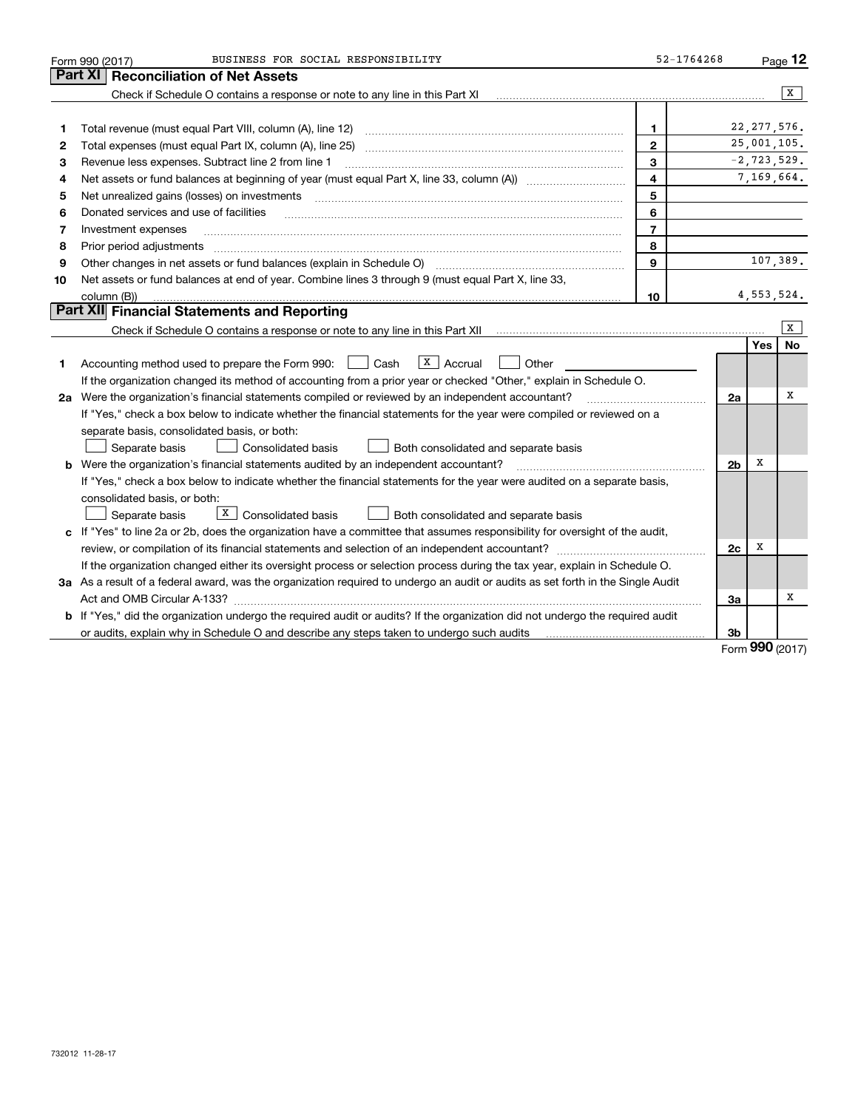|    | BUSINESS FOR SOCIAL RESPONSIBILITY<br>Form 990 (2017)                                                                                                       | 52-1764268     |                |            | $Page$ 12       |
|----|-------------------------------------------------------------------------------------------------------------------------------------------------------------|----------------|----------------|------------|-----------------|
|    | <b>Reconciliation of Net Assets</b><br>Part XI                                                                                                              |                |                |            |                 |
|    | Check if Schedule O contains a response or note to any line in this Part XI                                                                                 |                |                |            | x               |
|    |                                                                                                                                                             |                |                |            |                 |
| 1  | Total revenue (must equal Part VIII, column (A), line 12)                                                                                                   | 1              |                |            | 22, 277, 576.   |
| 2  | Total expenses (must equal Part IX, column (A), line 25)                                                                                                    | $\mathbf{2}$   |                |            | 25,001,105.     |
| з  | Revenue less expenses. Subtract line 2 from line 1                                                                                                          | 3              |                |            | $-2, 723, 529.$ |
| 4  |                                                                                                                                                             | 4              |                |            | 7,169,664.      |
| 5  | Net unrealized gains (losses) on investments [11] matter continuum matter is a set of the set of the set of the                                             | 5              |                |            |                 |
| 6  | Donated services and use of facilities                                                                                                                      | 6              |                |            |                 |
| 7  | Investment expenses                                                                                                                                         | $\overline{7}$ |                |            |                 |
| 8  | Prior period adjustments                                                                                                                                    | 8              |                |            |                 |
| 9  | Other changes in net assets or fund balances (explain in Schedule O) [11] [12] contraction contracts in net assets or fund balances (explain in Schedule O) | 9              |                |            | 107,389.        |
| 10 | Net assets or fund balances at end of year. Combine lines 3 through 9 (must equal Part X, line 33,                                                          |                |                |            |                 |
|    | column (B))                                                                                                                                                 | 10             |                |            | 4, 553, 524.    |
|    | Part XII Financial Statements and Reporting                                                                                                                 |                |                |            |                 |
|    |                                                                                                                                                             |                |                |            | x               |
|    |                                                                                                                                                             |                |                | <b>Yes</b> | No              |
| 1. | $X \mid$ Accrual<br>Accounting method used to prepare the Form 990: <u>[</u> Cash<br>Other                                                                  |                |                |            |                 |
|    | If the organization changed its method of accounting from a prior year or checked "Other," explain in Schedule O.                                           |                |                |            |                 |
|    | 2a Were the organization's financial statements compiled or reviewed by an independent accountant?                                                          |                | 2a             |            | х               |
|    | If "Yes," check a box below to indicate whether the financial statements for the year were compiled or reviewed on a                                        |                |                |            |                 |
|    | separate basis, consolidated basis, or both:                                                                                                                |                |                |            |                 |
|    | Separate basis<br>Both consolidated and separate basis<br>Consolidated basis                                                                                |                |                |            |                 |
|    | <b>b</b> Were the organization's financial statements audited by an independent accountant?                                                                 |                | 2 <sub>b</sub> | х          |                 |
|    | If "Yes," check a box below to indicate whether the financial statements for the year were audited on a separate basis,                                     |                |                |            |                 |
|    | consolidated basis, or both:                                                                                                                                |                |                |            |                 |
|    | $X$ Consolidated basis<br>Separate basis<br>Both consolidated and separate basis                                                                            |                |                |            |                 |
|    | c If "Yes" to line 2a or 2b, does the organization have a committee that assumes responsibility for oversight of the audit,                                 |                |                |            |                 |
|    |                                                                                                                                                             |                | 2c             | х          |                 |
|    | If the organization changed either its oversight process or selection process during the tax year, explain in Schedule O.                                   |                |                |            |                 |
|    | 3a As a result of a federal award, was the organization required to undergo an audit or audits as set forth in the Single Audit                             |                |                |            |                 |
|    | Act and OMB Circular A-133?                                                                                                                                 |                | За             |            | x               |
|    | b If "Yes," did the organization undergo the required audit or audits? If the organization did not undergo the required audit                               |                |                |            |                 |
|    |                                                                                                                                                             |                | 3b             | $\Omega$   |                 |

Form (2017) **990**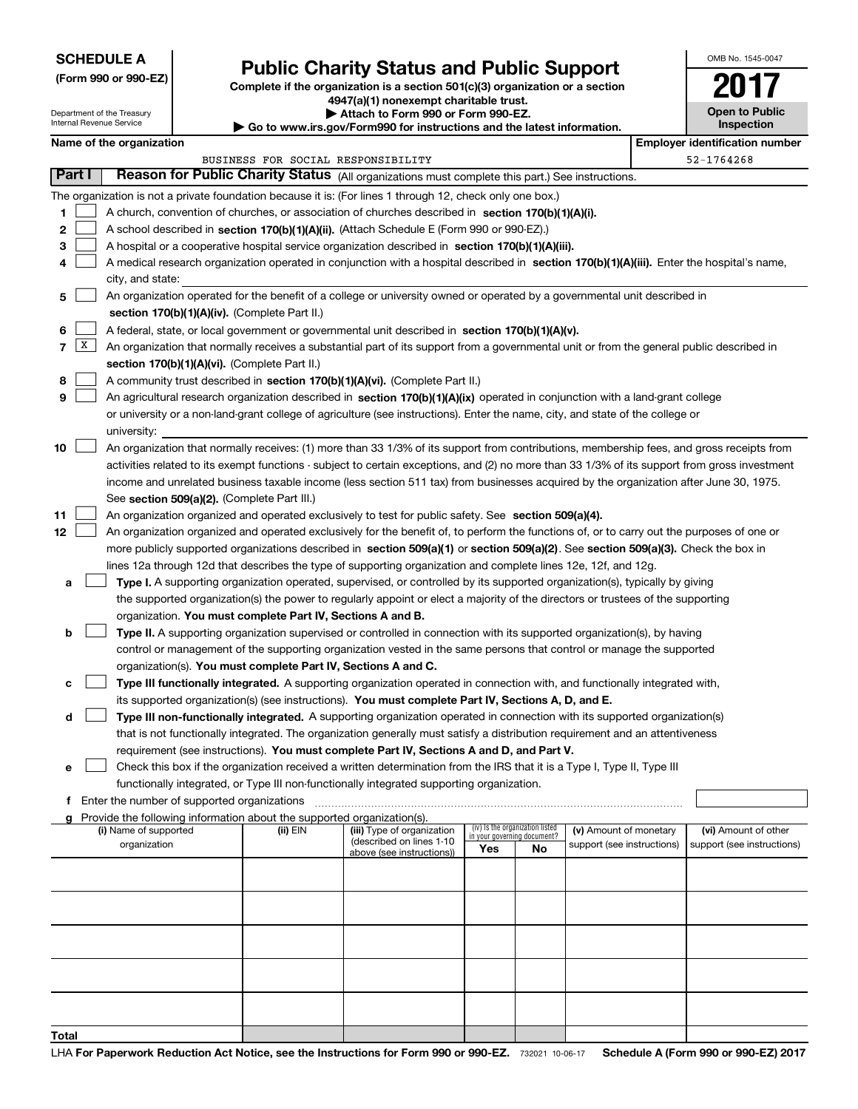# **SCHEDULE A**

**(Form 990 or 990-EZ)**

# **Public Charity Status and Public Support**

**Complete if the organization is a section 501(c)(3) organization or a section 4947(a)(1) nonexempt charitable trust.**

| OMB No. 1545-0047 |  |
|-------------------|--|
|                   |  |

| Department of the Treasury |                                                                                                                           |                                             |  | 4947(a)(1) nonexempt charitable trust.                                 | <b>Open to Public</b>                                                                                                                                                                                                                                |     |                                                                |                            |  |                                       |
|----------------------------|---------------------------------------------------------------------------------------------------------------------------|---------------------------------------------|--|------------------------------------------------------------------------|------------------------------------------------------------------------------------------------------------------------------------------------------------------------------------------------------------------------------------------------------|-----|----------------------------------------------------------------|----------------------------|--|---------------------------------------|
|                            |                                                                                                                           | Internal Revenue Service                    |  |                                                                        | Attach to Form 990 or Form 990-EZ.<br>Go to www.irs.gov/Form990 for instructions and the latest information.                                                                                                                                         |     |                                                                |                            |  | <b>Inspection</b>                     |
|                            |                                                                                                                           | Name of the organization                    |  |                                                                        |                                                                                                                                                                                                                                                      |     |                                                                |                            |  | <b>Employer identification number</b> |
|                            |                                                                                                                           |                                             |  | BUSINESS FOR SOCIAL RESPONSIBILITY                                     |                                                                                                                                                                                                                                                      |     |                                                                |                            |  | 52-1764268                            |
|                            | Part I                                                                                                                    |                                             |  |                                                                        | Reason for Public Charity Status (All organizations must complete this part.) See instructions.                                                                                                                                                      |     |                                                                |                            |  |                                       |
|                            |                                                                                                                           |                                             |  |                                                                        | The organization is not a private foundation because it is: (For lines 1 through 12, check only one box.)                                                                                                                                            |     |                                                                |                            |  |                                       |
| 1.                         |                                                                                                                           |                                             |  |                                                                        | A church, convention of churches, or association of churches described in section 170(b)(1)(A)(i).                                                                                                                                                   |     |                                                                |                            |  |                                       |
| 2                          |                                                                                                                           |                                             |  |                                                                        | A school described in section 170(b)(1)(A)(ii). (Attach Schedule E (Form 990 or 990-EZ).)                                                                                                                                                            |     |                                                                |                            |  |                                       |
| 3                          |                                                                                                                           |                                             |  |                                                                        | A hospital or a cooperative hospital service organization described in section 170(b)(1)(A)(iii).                                                                                                                                                    |     |                                                                |                            |  |                                       |
| 4                          |                                                                                                                           |                                             |  |                                                                        | A medical research organization operated in conjunction with a hospital described in section 170(b)(1)(A)(iii). Enter the hospital's name,                                                                                                           |     |                                                                |                            |  |                                       |
|                            |                                                                                                                           | city, and state:                            |  |                                                                        |                                                                                                                                                                                                                                                      |     |                                                                |                            |  |                                       |
| 5                          | An organization operated for the benefit of a college or university owned or operated by a governmental unit described in |                                             |  |                                                                        |                                                                                                                                                                                                                                                      |     |                                                                |                            |  |                                       |
|                            |                                                                                                                           |                                             |  | section 170(b)(1)(A)(iv). (Complete Part II.)                          |                                                                                                                                                                                                                                                      |     |                                                                |                            |  |                                       |
| 6                          |                                                                                                                           |                                             |  |                                                                        | A federal, state, or local government or governmental unit described in section 170(b)(1)(A)(v).                                                                                                                                                     |     |                                                                |                            |  |                                       |
| 7                          | x                                                                                                                         |                                             |  |                                                                        | An organization that normally receives a substantial part of its support from a governmental unit or from the general public described in                                                                                                            |     |                                                                |                            |  |                                       |
|                            |                                                                                                                           |                                             |  | section 170(b)(1)(A)(vi). (Complete Part II.)                          |                                                                                                                                                                                                                                                      |     |                                                                |                            |  |                                       |
| 8                          |                                                                                                                           |                                             |  |                                                                        | A community trust described in section 170(b)(1)(A)(vi). (Complete Part II.)                                                                                                                                                                         |     |                                                                |                            |  |                                       |
| 9                          |                                                                                                                           |                                             |  |                                                                        | An agricultural research organization described in section 170(b)(1)(A)(ix) operated in conjunction with a land-grant college                                                                                                                        |     |                                                                |                            |  |                                       |
|                            |                                                                                                                           |                                             |  |                                                                        | or university or a non-land-grant college of agriculture (see instructions). Enter the name, city, and state of the college or                                                                                                                       |     |                                                                |                            |  |                                       |
|                            |                                                                                                                           | university:                                 |  |                                                                        |                                                                                                                                                                                                                                                      |     |                                                                |                            |  |                                       |
| 10                         |                                                                                                                           |                                             |  |                                                                        | An organization that normally receives: (1) more than 33 1/3% of its support from contributions, membership fees, and gross receipts from                                                                                                            |     |                                                                |                            |  |                                       |
|                            |                                                                                                                           |                                             |  |                                                                        | activities related to its exempt functions - subject to certain exceptions, and (2) no more than 33 1/3% of its support from gross investment                                                                                                        |     |                                                                |                            |  |                                       |
|                            |                                                                                                                           |                                             |  |                                                                        | income and unrelated business taxable income (less section 511 tax) from businesses acquired by the organization after June 30, 1975.                                                                                                                |     |                                                                |                            |  |                                       |
|                            |                                                                                                                           |                                             |  | See section 509(a)(2). (Complete Part III.)                            |                                                                                                                                                                                                                                                      |     |                                                                |                            |  |                                       |
| 11                         |                                                                                                                           |                                             |  |                                                                        | An organization organized and operated exclusively to test for public safety. See section 509(a)(4).                                                                                                                                                 |     |                                                                |                            |  |                                       |
| 12                         |                                                                                                                           |                                             |  |                                                                        | An organization organized and operated exclusively for the benefit of, to perform the functions of, or to carry out the purposes of one or                                                                                                           |     |                                                                |                            |  |                                       |
|                            |                                                                                                                           |                                             |  |                                                                        | more publicly supported organizations described in section 509(a)(1) or section 509(a)(2). See section 509(a)(3). Check the box in<br>lines 12a through 12d that describes the type of supporting organization and complete lines 12e, 12f, and 12g. |     |                                                                |                            |  |                                       |
| а                          |                                                                                                                           |                                             |  |                                                                        | Type I. A supporting organization operated, supervised, or controlled by its supported organization(s), typically by giving                                                                                                                          |     |                                                                |                            |  |                                       |
|                            |                                                                                                                           |                                             |  |                                                                        | the supported organization(s) the power to regularly appoint or elect a majority of the directors or trustees of the supporting                                                                                                                      |     |                                                                |                            |  |                                       |
|                            |                                                                                                                           |                                             |  | organization. You must complete Part IV, Sections A and B.             |                                                                                                                                                                                                                                                      |     |                                                                |                            |  |                                       |
| b                          |                                                                                                                           |                                             |  |                                                                        | Type II. A supporting organization supervised or controlled in connection with its supported organization(s), by having                                                                                                                              |     |                                                                |                            |  |                                       |
|                            |                                                                                                                           |                                             |  |                                                                        | control or management of the supporting organization vested in the same persons that control or manage the supported                                                                                                                                 |     |                                                                |                            |  |                                       |
|                            |                                                                                                                           |                                             |  | organization(s). You must complete Part IV, Sections A and C.          |                                                                                                                                                                                                                                                      |     |                                                                |                            |  |                                       |
| с                          |                                                                                                                           |                                             |  |                                                                        | Type III functionally integrated. A supporting organization operated in connection with, and functionally integrated with,                                                                                                                           |     |                                                                |                            |  |                                       |
|                            |                                                                                                                           |                                             |  |                                                                        | its supported organization(s) (see instructions). You must complete Part IV, Sections A, D, and E.                                                                                                                                                   |     |                                                                |                            |  |                                       |
| d                          |                                                                                                                           |                                             |  |                                                                        | Type III non-functionally integrated. A supporting organization operated in connection with its supported organization(s)                                                                                                                            |     |                                                                |                            |  |                                       |
|                            |                                                                                                                           |                                             |  |                                                                        | that is not functionally integrated. The organization generally must satisfy a distribution requirement and an attentiveness                                                                                                                         |     |                                                                |                            |  |                                       |
|                            |                                                                                                                           |                                             |  |                                                                        | requirement (see instructions). You must complete Part IV, Sections A and D, and Part V.                                                                                                                                                             |     |                                                                |                            |  |                                       |
| е                          |                                                                                                                           |                                             |  |                                                                        | Check this box if the organization received a written determination from the IRS that it is a Type I, Type II, Type III                                                                                                                              |     |                                                                |                            |  |                                       |
|                            |                                                                                                                           |                                             |  |                                                                        | functionally integrated, or Type III non-functionally integrated supporting organization.                                                                                                                                                            |     |                                                                |                            |  |                                       |
| f                          |                                                                                                                           | Enter the number of supported organizations |  |                                                                        |                                                                                                                                                                                                                                                      |     |                                                                |                            |  |                                       |
|                            |                                                                                                                           |                                             |  | Provide the following information about the supported organization(s). |                                                                                                                                                                                                                                                      |     |                                                                |                            |  |                                       |
|                            |                                                                                                                           | (i) Name of supported                       |  | (ii) EIN                                                               | (iii) Type of organization<br>(described on lines 1-10                                                                                                                                                                                               |     | (iv) Is the organization listed<br>in your governing document? | (v) Amount of monetary     |  | (vi) Amount of other                  |
|                            |                                                                                                                           | organization                                |  |                                                                        | above (see instructions))                                                                                                                                                                                                                            | Yes | No                                                             | support (see instructions) |  | support (see instructions)            |
|                            |                                                                                                                           |                                             |  |                                                                        |                                                                                                                                                                                                                                                      |     |                                                                |                            |  |                                       |
|                            |                                                                                                                           |                                             |  |                                                                        |                                                                                                                                                                                                                                                      |     |                                                                |                            |  |                                       |
|                            |                                                                                                                           |                                             |  |                                                                        |                                                                                                                                                                                                                                                      |     |                                                                |                            |  |                                       |
|                            |                                                                                                                           |                                             |  |                                                                        |                                                                                                                                                                                                                                                      |     |                                                                |                            |  |                                       |
|                            |                                                                                                                           |                                             |  |                                                                        |                                                                                                                                                                                                                                                      |     |                                                                |                            |  |                                       |
|                            |                                                                                                                           |                                             |  |                                                                        |                                                                                                                                                                                                                                                      |     |                                                                |                            |  |                                       |
|                            |                                                                                                                           |                                             |  |                                                                        |                                                                                                                                                                                                                                                      |     |                                                                |                            |  |                                       |
|                            |                                                                                                                           |                                             |  |                                                                        |                                                                                                                                                                                                                                                      |     |                                                                |                            |  |                                       |
|                            |                                                                                                                           |                                             |  |                                                                        |                                                                                                                                                                                                                                                      |     |                                                                |                            |  |                                       |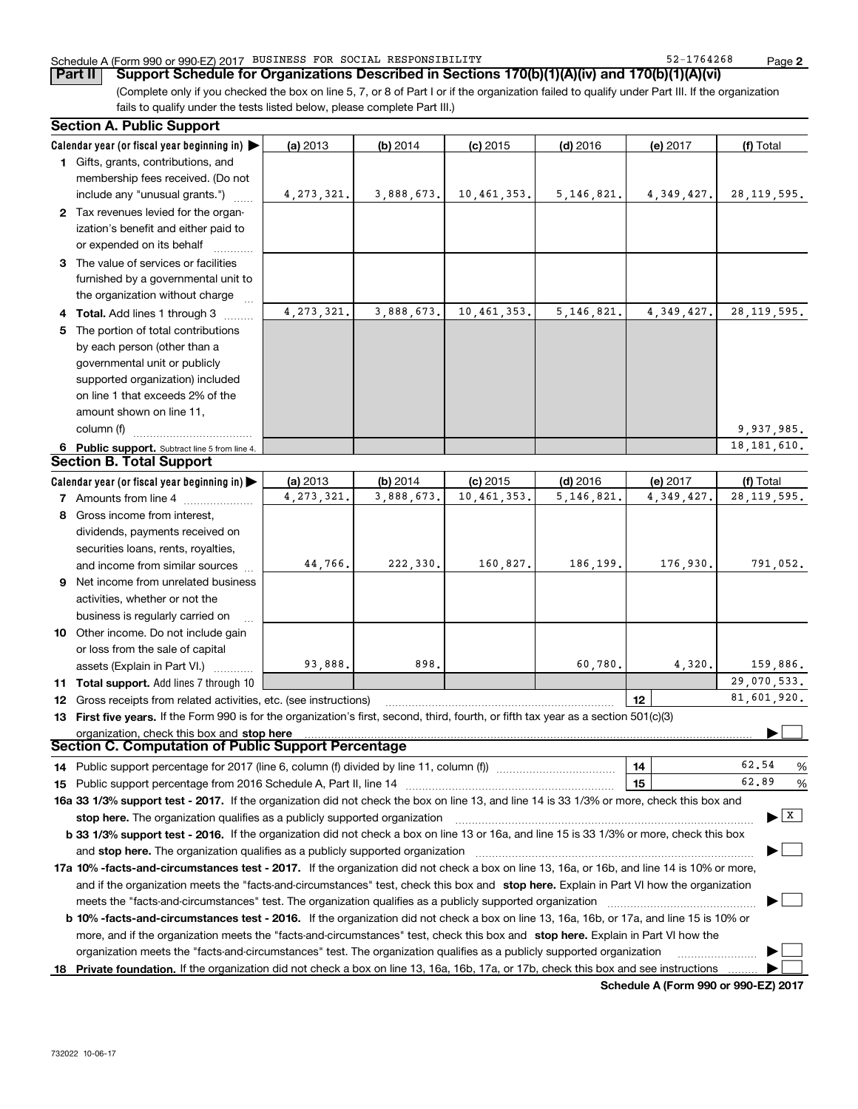### Schedule A (Form 990 or 990-EZ) 2017 BUSINESS FOR SOCIAL RESPONSIBILITY 52-1764268 Page

(Complete only if you checked the box on line 5, 7, or 8 of Part I or if the organization failed to qualify under Part III. If the organization **Part II** | Support Schedule for Organizations Described in Sections 170(b)(1)(A)(iv) and 170(b)(1)(A)(vi)

fails to qualify under the tests listed below, please complete Part III.)

|    | <b>Section A. Public Support</b>                                                                                                               |              |            |             |              |              |                                           |   |  |  |
|----|------------------------------------------------------------------------------------------------------------------------------------------------|--------------|------------|-------------|--------------|--------------|-------------------------------------------|---|--|--|
|    | Calendar year (or fiscal year beginning in)                                                                                                    | (a) 2013     | $(b)$ 2014 | $(c)$ 2015  | $(d)$ 2016   | (e) 2017     | (f) Total                                 |   |  |  |
|    | 1 Gifts, grants, contributions, and                                                                                                            |              |            |             |              |              |                                           |   |  |  |
|    | membership fees received. (Do not                                                                                                              |              |            |             |              |              |                                           |   |  |  |
|    | include any "unusual grants.")                                                                                                                 | 4, 273, 321. | 3,888,673. | 10,461,353. | 5, 146, 821. | 4, 349, 427. | 28, 119, 595.                             |   |  |  |
|    | 2 Tax revenues levied for the organ-                                                                                                           |              |            |             |              |              |                                           |   |  |  |
|    | ization's benefit and either paid to                                                                                                           |              |            |             |              |              |                                           |   |  |  |
|    | or expended on its behalf                                                                                                                      |              |            |             |              |              |                                           |   |  |  |
|    | 3 The value of services or facilities                                                                                                          |              |            |             |              |              |                                           |   |  |  |
|    | furnished by a governmental unit to                                                                                                            |              |            |             |              |              |                                           |   |  |  |
|    | the organization without charge                                                                                                                |              |            |             |              |              |                                           |   |  |  |
|    | 4 Total. Add lines 1 through 3                                                                                                                 | 4, 273, 321. | 3,888,673. | 10,461,353. | 5, 146, 821. | 4, 349, 427. | 28, 119, 595.                             |   |  |  |
| 5. | The portion of total contributions                                                                                                             |              |            |             |              |              |                                           |   |  |  |
|    | by each person (other than a                                                                                                                   |              |            |             |              |              |                                           |   |  |  |
|    | governmental unit or publicly                                                                                                                  |              |            |             |              |              |                                           |   |  |  |
|    | supported organization) included                                                                                                               |              |            |             |              |              |                                           |   |  |  |
|    | on line 1 that exceeds 2% of the                                                                                                               |              |            |             |              |              |                                           |   |  |  |
|    | amount shown on line 11,                                                                                                                       |              |            |             |              |              |                                           |   |  |  |
|    | column (f)                                                                                                                                     |              |            |             |              |              | 9,937,985.                                |   |  |  |
|    | 6 Public support. Subtract line 5 from line 4.                                                                                                 |              |            |             |              |              | 18, 181, 610.                             |   |  |  |
|    | <b>Section B. Total Support</b>                                                                                                                |              |            |             |              |              |                                           |   |  |  |
|    | Calendar year (or fiscal year beginning in)                                                                                                    | (a) 2013     | (b) 2014   | $(c)$ 2015  | $(d)$ 2016   | (e) 2017     | (f) Total                                 |   |  |  |
|    | <b>7</b> Amounts from line 4                                                                                                                   | 4, 273, 321. | 3,888,673. | 10,461,353. | 5, 146, 821  | 4,349,427.   | 28, 119, 595.                             |   |  |  |
|    | 8 Gross income from interest,                                                                                                                  |              |            |             |              |              |                                           |   |  |  |
|    | dividends, payments received on                                                                                                                |              |            |             |              |              |                                           |   |  |  |
|    | securities loans, rents, royalties,                                                                                                            |              |            |             |              |              |                                           |   |  |  |
|    | and income from similar sources                                                                                                                | 44,766.      | 222,330.   | 160,827.    | 186,199.     | 176,930.     | 791,052.                                  |   |  |  |
|    | 9 Net income from unrelated business                                                                                                           |              |            |             |              |              |                                           |   |  |  |
|    | activities, whether or not the                                                                                                                 |              |            |             |              |              |                                           |   |  |  |
|    | business is regularly carried on                                                                                                               |              |            |             |              |              |                                           |   |  |  |
|    | 10 Other income. Do not include gain                                                                                                           |              |            |             |              |              |                                           |   |  |  |
|    | or loss from the sale of capital                                                                                                               |              |            |             |              |              |                                           |   |  |  |
|    | assets (Explain in Part VI.)                                                                                                                   | 93,888.      | 898.       |             | 60,780.      | 4.320.       | 159,886.                                  |   |  |  |
|    | 11 Total support. Add lines 7 through 10                                                                                                       |              |            |             |              |              | 29,070,533.                               |   |  |  |
|    | <b>12</b> Gross receipts from related activities, etc. (see instructions)                                                                      |              |            |             |              | 12           | 81,601,920.                               |   |  |  |
|    | 13 First five years. If the Form 990 is for the organization's first, second, third, fourth, or fifth tax year as a section 501(c)(3)          |              |            |             |              |              |                                           |   |  |  |
|    | organization, check this box and stop here                                                                                                     |              |            |             |              |              |                                           |   |  |  |
|    | Section C. Computation of Public Support Percentage                                                                                            |              |            |             |              |              |                                           |   |  |  |
|    | 14 Public support percentage for 2017 (line 6, column (f) divided by line 11, column (f) <i>manumumumumum</i>                                  |              |            |             |              | 14           | 62.54                                     | % |  |  |
|    |                                                                                                                                                |              |            |             |              | 15           | 62.89                                     | % |  |  |
|    | 16a 33 1/3% support test - 2017. If the organization did not check the box on line 13, and line 14 is 33 1/3% or more, check this box and      |              |            |             |              |              |                                           |   |  |  |
|    | stop here. The organization qualifies as a publicly supported organization                                                                     |              |            |             |              |              | $\blacktriangleright$ $\lfloor x \rfloor$ |   |  |  |
|    | b 33 1/3% support test - 2016. If the organization did not check a box on line 13 or 16a, and line 15 is 33 1/3% or more, check this box       |              |            |             |              |              |                                           |   |  |  |
|    | and stop here. The organization qualifies as a publicly supported organization                                                                 |              |            |             |              |              |                                           |   |  |  |
|    | 17a 10% -facts-and-circumstances test - 2017. If the organization did not check a box on line 13, 16a, or 16b, and line 14 is 10% or more,     |              |            |             |              |              |                                           |   |  |  |
|    |                                                                                                                                                |              |            |             |              |              |                                           |   |  |  |
|    | and if the organization meets the "facts-and-circumstances" test, check this box and stop here. Explain in Part VI how the organization        |              |            |             |              |              |                                           |   |  |  |
|    | <b>b 10% -facts-and-circumstances test - 2016.</b> If the organization did not check a box on line 13, 16a, 16b, or 17a, and line 15 is 10% or |              |            |             |              |              |                                           |   |  |  |
|    | more, and if the organization meets the "facts-and-circumstances" test, check this box and stop here. Explain in Part VI how the               |              |            |             |              |              |                                           |   |  |  |
|    | organization meets the "facts-and-circumstances" test. The organization qualifies as a publicly supported organization                         |              |            |             |              |              |                                           |   |  |  |
|    | 18 Private foundation. If the organization did not check a box on line 13, 16a, 16b, 17a, or 17b, check this box and see instructions          |              |            |             |              |              |                                           |   |  |  |
|    |                                                                                                                                                |              |            |             |              |              |                                           |   |  |  |

**Schedule A (Form 990 or 990-EZ) 2017**

**2**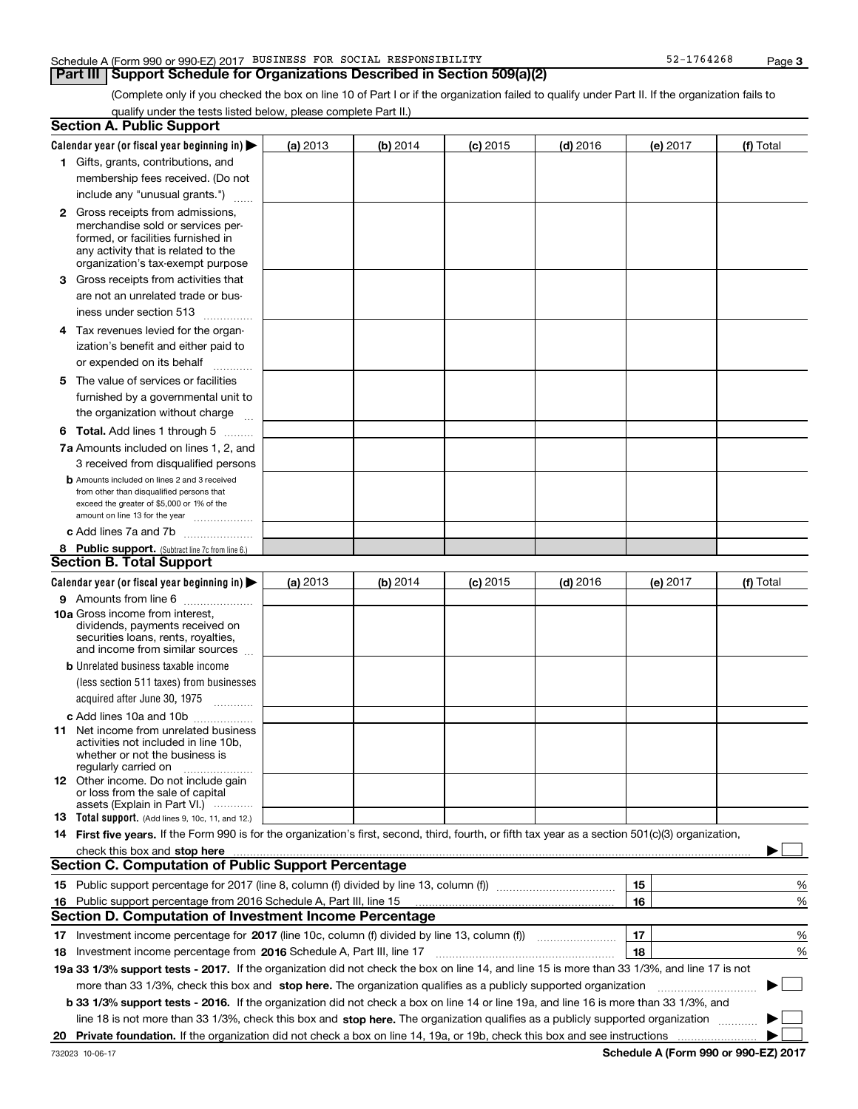### Schedule A (Form 990 or 990-EZ) 2017 BUSINESS FOR SOCIAL RESPONSIBILITY 52-1764268 Page

## **Part III Support Schedule for Organizations Described in Section 509(a)(2)**

(Complete only if you checked the box on line 10 of Part I or if the organization failed to qualify under Part II. If the organization fails to qualify under the tests listed below, please complete Part II.)

|    | <b>Section A. Public Support</b>                                                                                                                    |          |          |            |            |          |           |
|----|-----------------------------------------------------------------------------------------------------------------------------------------------------|----------|----------|------------|------------|----------|-----------|
|    | Calendar year (or fiscal year beginning in) $\blacktriangleright$                                                                                   | (a) 2013 | (b) 2014 | $(c)$ 2015 | $(d)$ 2016 | (e) 2017 | (f) Total |
|    | 1 Gifts, grants, contributions, and                                                                                                                 |          |          |            |            |          |           |
|    | membership fees received. (Do not                                                                                                                   |          |          |            |            |          |           |
|    | include any "unusual grants.")                                                                                                                      |          |          |            |            |          |           |
|    | <b>2</b> Gross receipts from admissions,                                                                                                            |          |          |            |            |          |           |
|    | merchandise sold or services per-                                                                                                                   |          |          |            |            |          |           |
|    | formed, or facilities furnished in                                                                                                                  |          |          |            |            |          |           |
|    | any activity that is related to the<br>organization's tax-exempt purpose                                                                            |          |          |            |            |          |           |
|    | 3 Gross receipts from activities that                                                                                                               |          |          |            |            |          |           |
|    | are not an unrelated trade or bus-                                                                                                                  |          |          |            |            |          |           |
|    |                                                                                                                                                     |          |          |            |            |          |           |
|    | iness under section 513                                                                                                                             |          |          |            |            |          |           |
|    | 4 Tax revenues levied for the organ-                                                                                                                |          |          |            |            |          |           |
|    | ization's benefit and either paid to                                                                                                                |          |          |            |            |          |           |
|    | or expended on its behalf<br>.                                                                                                                      |          |          |            |            |          |           |
|    | 5 The value of services or facilities                                                                                                               |          |          |            |            |          |           |
|    | furnished by a governmental unit to                                                                                                                 |          |          |            |            |          |           |
|    | the organization without charge                                                                                                                     |          |          |            |            |          |           |
|    | <b>6 Total.</b> Add lines 1 through 5                                                                                                               |          |          |            |            |          |           |
|    | 7a Amounts included on lines 1, 2, and                                                                                                              |          |          |            |            |          |           |
|    | 3 received from disqualified persons                                                                                                                |          |          |            |            |          |           |
|    | <b>b</b> Amounts included on lines 2 and 3 received                                                                                                 |          |          |            |            |          |           |
|    | from other than disqualified persons that                                                                                                           |          |          |            |            |          |           |
|    | exceed the greater of \$5,000 or 1% of the<br>amount on line 13 for the year                                                                        |          |          |            |            |          |           |
|    | c Add lines 7a and 7b                                                                                                                               |          |          |            |            |          |           |
|    | 8 Public support. (Subtract line 7c from line 6.)                                                                                                   |          |          |            |            |          |           |
|    | <b>Section B. Total Support</b>                                                                                                                     |          |          |            |            |          |           |
|    | Calendar year (or fiscal year beginning in)                                                                                                         | (a) 2013 | (b) 2014 | $(c)$ 2015 | $(d)$ 2016 | (e) 2017 | (f) Total |
|    | 9 Amounts from line 6                                                                                                                               |          |          |            |            |          |           |
|    | 10a Gross income from interest,                                                                                                                     |          |          |            |            |          |           |
|    | dividends, payments received on                                                                                                                     |          |          |            |            |          |           |
|    | securities loans, rents, royalties,<br>and income from similar sources                                                                              |          |          |            |            |          |           |
|    | <b>b</b> Unrelated business taxable income                                                                                                          |          |          |            |            |          |           |
|    | (less section 511 taxes) from businesses                                                                                                            |          |          |            |            |          |           |
|    |                                                                                                                                                     |          |          |            |            |          |           |
|    | acquired after June 30, 1975                                                                                                                        |          |          |            |            |          |           |
|    | c Add lines 10a and 10b                                                                                                                             |          |          |            |            |          |           |
|    | 11 Net income from unrelated business<br>activities not included in line 10b,                                                                       |          |          |            |            |          |           |
|    | whether or not the business is                                                                                                                      |          |          |            |            |          |           |
|    | regularly carried on                                                                                                                                |          |          |            |            |          |           |
|    | <b>12</b> Other income. Do not include gain<br>or loss from the sale of capital                                                                     |          |          |            |            |          |           |
|    | assets (Explain in Part VI.)                                                                                                                        |          |          |            |            |          |           |
|    | 13 Total support. (Add lines 9, 10c, 11, and 12.)                                                                                                   |          |          |            |            |          |           |
|    | 14 First five years. If the Form 990 is for the organization's first, second, third, fourth, or fifth tax year as a section 501(c)(3) organization, |          |          |            |            |          |           |
|    | check this box and stop here <b>with the contract of the contract of the state of the state of state and stop here</b>                              |          |          |            |            |          |           |
|    | <b>Section C. Computation of Public Support Percentage</b>                                                                                          |          |          |            |            |          |           |
|    |                                                                                                                                                     |          |          |            |            | 15       | %         |
|    | 16 Public support percentage from 2016 Schedule A, Part III, line 15                                                                                |          |          |            |            | 16       | %         |
|    | <b>Section D. Computation of Investment Income Percentage</b>                                                                                       |          |          |            |            |          |           |
|    | 17 Investment income percentage for 2017 (line 10c, column (f) divided by line 13, column (f))                                                      |          |          |            |            | 17       | %         |
|    | 18 Investment income percentage from 2016 Schedule A, Part III, line 17                                                                             |          |          |            |            | 18       | %         |
|    | 19a 33 1/3% support tests - 2017. If the organization did not check the box on line 14, and line 15 is more than 33 1/3%, and line 17 is not        |          |          |            |            |          |           |
|    | more than 33 1/3%, check this box and stop here. The organization qualifies as a publicly supported organization                                    |          |          |            |            |          | $\sim$    |
|    | b 33 1/3% support tests - 2016. If the organization did not check a box on line 14 or line 19a, and line 16 is more than 33 1/3%, and               |          |          |            |            |          |           |
|    | line 18 is not more than 33 1/3%, check this box and stop here. The organization qualifies as a publicly supported organization                     |          |          |            |            |          |           |
| 20 |                                                                                                                                                     |          |          |            |            |          |           |
|    |                                                                                                                                                     |          |          |            |            |          |           |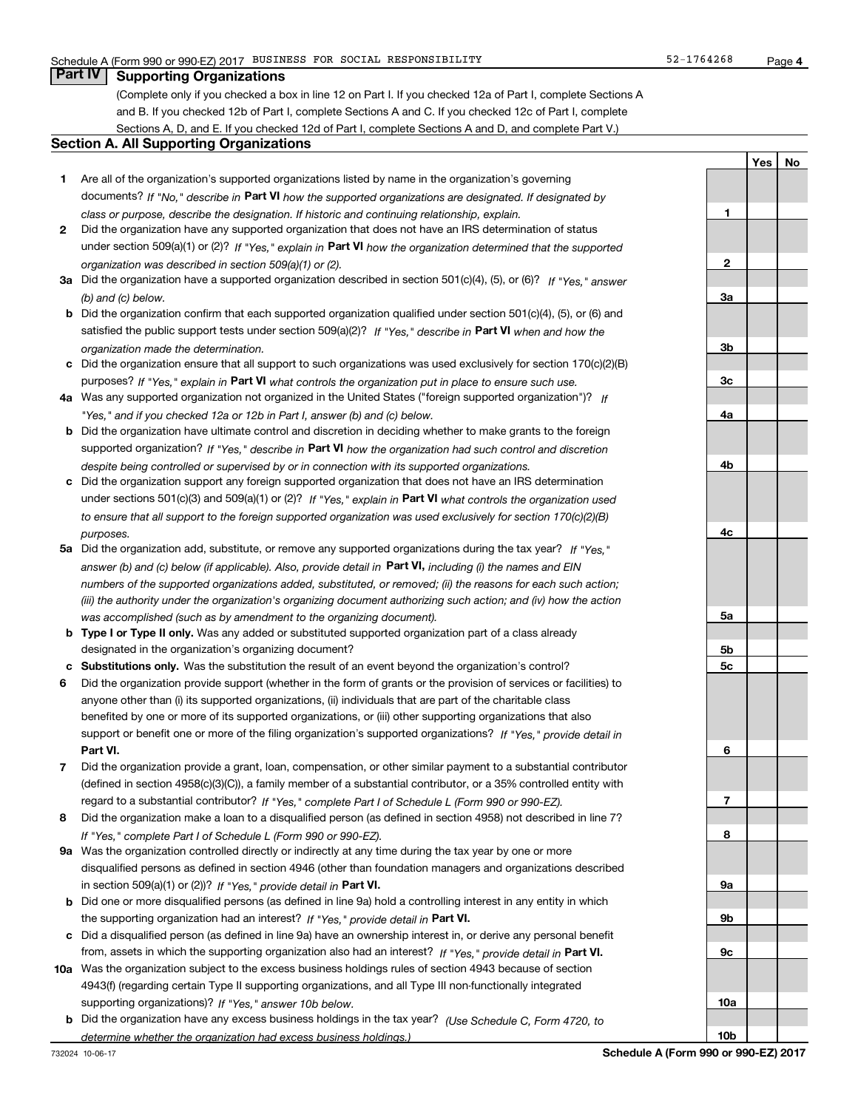# **Part IV Supporting Organizations**

(Complete only if you checked a box in line 12 on Part I. If you checked 12a of Part I, complete Sections A and B. If you checked 12b of Part I, complete Sections A and C. If you checked 12c of Part I, complete Sections A, D, and E. If you checked 12d of Part I, complete Sections A and D, and complete Part V.)

## **Section A. All Supporting Organizations**

- **1** Are all of the organization's supported organizations listed by name in the organization's governing documents? If "No," describe in **Part VI** how the supported organizations are designated. If designated by *class or purpose, describe the designation. If historic and continuing relationship, explain.*
- **2** Did the organization have any supported organization that does not have an IRS determination of status under section 509(a)(1) or (2)? If "Yes," explain in Part VI how the organization determined that the supported *organization was described in section 509(a)(1) or (2).*
- **3a** Did the organization have a supported organization described in section 501(c)(4), (5), or (6)? If "Yes," answer *(b) and (c) below.*
- **b** Did the organization confirm that each supported organization qualified under section 501(c)(4), (5), or (6) and satisfied the public support tests under section 509(a)(2)? If "Yes," describe in **Part VI** when and how the *organization made the determination.*
- **c**Did the organization ensure that all support to such organizations was used exclusively for section 170(c)(2)(B) purposes? If "Yes," explain in **Part VI** what controls the organization put in place to ensure such use.
- **4a***If* Was any supported organization not organized in the United States ("foreign supported organization")? *"Yes," and if you checked 12a or 12b in Part I, answer (b) and (c) below.*
- **b** Did the organization have ultimate control and discretion in deciding whether to make grants to the foreign supported organization? If "Yes," describe in **Part VI** how the organization had such control and discretion *despite being controlled or supervised by or in connection with its supported organizations.*
- **c** Did the organization support any foreign supported organization that does not have an IRS determination under sections 501(c)(3) and 509(a)(1) or (2)? If "Yes," explain in **Part VI** what controls the organization used *to ensure that all support to the foreign supported organization was used exclusively for section 170(c)(2)(B) purposes.*
- **5a***If "Yes,"* Did the organization add, substitute, or remove any supported organizations during the tax year? answer (b) and (c) below (if applicable). Also, provide detail in **Part VI,** including (i) the names and EIN *numbers of the supported organizations added, substituted, or removed; (ii) the reasons for each such action; (iii) the authority under the organization's organizing document authorizing such action; and (iv) how the action was accomplished (such as by amendment to the organizing document).*
- **b** Type I or Type II only. Was any added or substituted supported organization part of a class already designated in the organization's organizing document?
- **cSubstitutions only.**  Was the substitution the result of an event beyond the organization's control?
- **6** Did the organization provide support (whether in the form of grants or the provision of services or facilities) to **Part VI.** *If "Yes," provide detail in* support or benefit one or more of the filing organization's supported organizations? anyone other than (i) its supported organizations, (ii) individuals that are part of the charitable class benefited by one or more of its supported organizations, or (iii) other supporting organizations that also
- **7**Did the organization provide a grant, loan, compensation, or other similar payment to a substantial contributor *If "Yes," complete Part I of Schedule L (Form 990 or 990-EZ).* regard to a substantial contributor? (defined in section 4958(c)(3)(C)), a family member of a substantial contributor, or a 35% controlled entity with
- **8** Did the organization make a loan to a disqualified person (as defined in section 4958) not described in line 7? *If "Yes," complete Part I of Schedule L (Form 990 or 990-EZ).*
- **9a** Was the organization controlled directly or indirectly at any time during the tax year by one or more in section 509(a)(1) or (2))? If "Yes," *provide detail in* <code>Part VI.</code> disqualified persons as defined in section 4946 (other than foundation managers and organizations described
- **b** Did one or more disqualified persons (as defined in line 9a) hold a controlling interest in any entity in which the supporting organization had an interest? If "Yes," provide detail in P**art VI**.
- **c**Did a disqualified person (as defined in line 9a) have an ownership interest in, or derive any personal benefit from, assets in which the supporting organization also had an interest? If "Yes," provide detail in P**art VI.**
- **10a** Was the organization subject to the excess business holdings rules of section 4943 because of section supporting organizations)? If "Yes," answer 10b below. 4943(f) (regarding certain Type II supporting organizations, and all Type III non-functionally integrated
- **b** Did the organization have any excess business holdings in the tax year? (Use Schedule C, Form 4720, to *determine whether the organization had excess business holdings.)*

**YesNo**

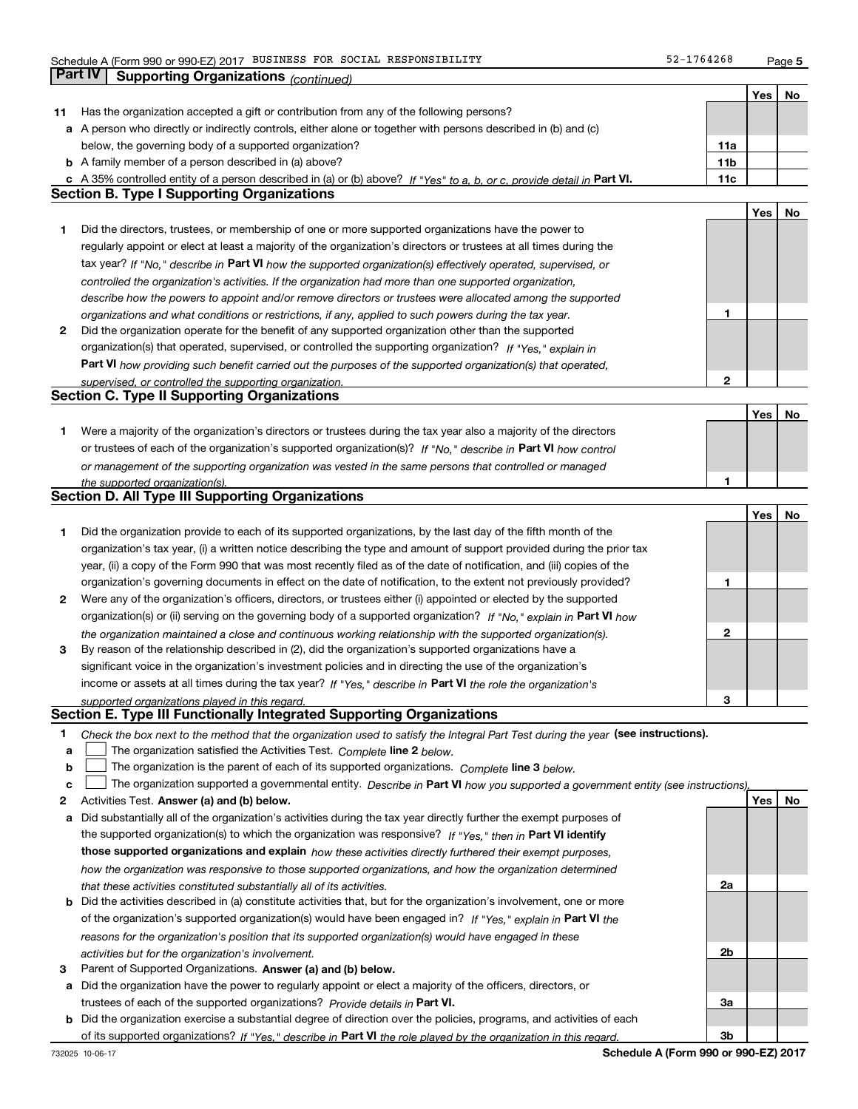**Part IV Supporting Organizations** *(continued)*

**5**

|    |                                                                                                                                                                                                               |                 | Yes | No |
|----|---------------------------------------------------------------------------------------------------------------------------------------------------------------------------------------------------------------|-----------------|-----|----|
| 11 | Has the organization accepted a gift or contribution from any of the following persons?                                                                                                                       |                 |     |    |
|    | a A person who directly or indirectly controls, either alone or together with persons described in (b) and (c)                                                                                                |                 |     |    |
|    | below, the governing body of a supported organization?                                                                                                                                                        | 11a             |     |    |
|    | <b>b</b> A family member of a person described in (a) above?                                                                                                                                                  | 11 <sub>b</sub> |     |    |
|    | A 35% controlled entity of a person described in (a) or (b) above? If "Yes" to a, b, or c, provide detail in Part VI.                                                                                         | 11c             |     |    |
|    | <b>Section B. Type I Supporting Organizations</b>                                                                                                                                                             |                 |     |    |
|    |                                                                                                                                                                                                               |                 | Yes | No |
| 1  | Did the directors, trustees, or membership of one or more supported organizations have the power to                                                                                                           |                 |     |    |
|    | regularly appoint or elect at least a majority of the organization's directors or trustees at all times during the                                                                                            |                 |     |    |
|    | tax year? If "No," describe in Part VI how the supported organization(s) effectively operated, supervised, or                                                                                                 |                 |     |    |
|    | controlled the organization's activities. If the organization had more than one supported organization,                                                                                                       |                 |     |    |
|    |                                                                                                                                                                                                               |                 |     |    |
|    | describe how the powers to appoint and/or remove directors or trustees were allocated among the supported                                                                                                     | 1               |     |    |
| 2  | organizations and what conditions or restrictions, if any, applied to such powers during the tax year.<br>Did the organization operate for the benefit of any supported organization other than the supported |                 |     |    |
|    |                                                                                                                                                                                                               |                 |     |    |
|    | organization(s) that operated, supervised, or controlled the supporting organization? If "Yes," explain in                                                                                                    |                 |     |    |
|    | Part VI how providing such benefit carried out the purposes of the supported organization(s) that operated,                                                                                                   |                 |     |    |
|    | supervised, or controlled the supporting organization.<br><b>Section C. Type II Supporting Organizations</b>                                                                                                  | 2               |     |    |
|    |                                                                                                                                                                                                               |                 |     |    |
|    |                                                                                                                                                                                                               |                 | Yes | No |
| 1  | Were a majority of the organization's directors or trustees during the tax year also a majority of the directors                                                                                              |                 |     |    |
|    | or trustees of each of the organization's supported organization(s)? If "No." describe in Part VI how control                                                                                                 |                 |     |    |
|    | or management of the supporting organization was vested in the same persons that controlled or managed                                                                                                        |                 |     |    |
|    | the supported organization(s).                                                                                                                                                                                | 1               |     |    |
|    | <b>Section D. All Type III Supporting Organizations</b>                                                                                                                                                       |                 |     |    |
|    |                                                                                                                                                                                                               |                 | Yes | No |
| 1  | Did the organization provide to each of its supported organizations, by the last day of the fifth month of the                                                                                                |                 |     |    |
|    | organization's tax year, (i) a written notice describing the type and amount of support provided during the prior tax                                                                                         |                 |     |    |
|    | year, (ii) a copy of the Form 990 that was most recently filed as of the date of notification, and (iii) copies of the                                                                                        |                 |     |    |
|    | organization's governing documents in effect on the date of notification, to the extent not previously provided?                                                                                              | 1               |     |    |
| 2  | Were any of the organization's officers, directors, or trustees either (i) appointed or elected by the supported                                                                                              |                 |     |    |
|    | organization(s) or (ii) serving on the governing body of a supported organization? If "No," explain in Part VI how                                                                                            |                 |     |    |
|    | the organization maintained a close and continuous working relationship with the supported organization(s).                                                                                                   | 2               |     |    |
| 3  | By reason of the relationship described in (2), did the organization's supported organizations have a                                                                                                         |                 |     |    |
|    | significant voice in the organization's investment policies and in directing the use of the organization's                                                                                                    |                 |     |    |
|    | income or assets at all times during the tax year? If "Yes," describe in Part VI the role the organization's                                                                                                  |                 |     |    |
|    | supported organizations played in this regard.                                                                                                                                                                | 3               |     |    |
|    | Section E. Type III Functionally Integrated Supporting Organizations                                                                                                                                          |                 |     |    |
| 1  | Check the box next to the method that the organization used to satisfy the Integral Part Test during the year (see instructions).                                                                             |                 |     |    |
| а  | The organization satisfied the Activities Test. Complete line 2 below.                                                                                                                                        |                 |     |    |
| b  | The organization is the parent of each of its supported organizations. Complete line 3 below.                                                                                                                 |                 |     |    |
| с  | The organization supported a governmental entity. Describe in Part VI how you supported a government entity (see instructions)                                                                                |                 |     |    |
| 2  | Activities Test. Answer (a) and (b) below.                                                                                                                                                                    |                 | Yes | No |
| а  | Did substantially all of the organization's activities during the tax year directly further the exempt purposes of                                                                                            |                 |     |    |
|    | the supported organization(s) to which the organization was responsive? If "Yes," then in Part VI identify                                                                                                    |                 |     |    |
|    |                                                                                                                                                                                                               |                 |     |    |
|    | those supported organizations and explain how these activities directly furthered their exempt purposes,                                                                                                      |                 |     |    |
|    | how the organization was responsive to those supported organizations, and how the organization determined                                                                                                     | 2a              |     |    |
|    | that these activities constituted substantially all of its activities.                                                                                                                                        |                 |     |    |
| b  | Did the activities described in (a) constitute activities that, but for the organization's involvement, one or more                                                                                           |                 |     |    |
|    | of the organization's supported organization(s) would have been engaged in? If "Yes," explain in Part VI the                                                                                                  |                 |     |    |
|    | reasons for the organization's position that its supported organization(s) would have engaged in these                                                                                                        |                 |     |    |
|    | activities but for the organization's involvement.                                                                                                                                                            | 2 <sub>b</sub>  |     |    |
| З  | Parent of Supported Organizations. Answer (a) and (b) below.                                                                                                                                                  |                 |     |    |
| а  | Did the organization have the power to regularly appoint or elect a majority of the officers, directors, or                                                                                                   |                 |     |    |
|    | trustees of each of the supported organizations? Provide details in Part VI.                                                                                                                                  | За              |     |    |
| b  | Did the organization exercise a substantial degree of direction over the policies, programs, and activities of each                                                                                           |                 |     |    |
|    | of its supported organizations? If "Yes," describe in Part VI the role played by the organization in this regard.                                                                                             | 3b              |     |    |
|    | Schedule A (Form 990 or 990-F7) 2017<br>732025 10.06.17                                                                                                                                                       |                 |     |    |

**Schedule A (Form 990 or 990-EZ) 2017**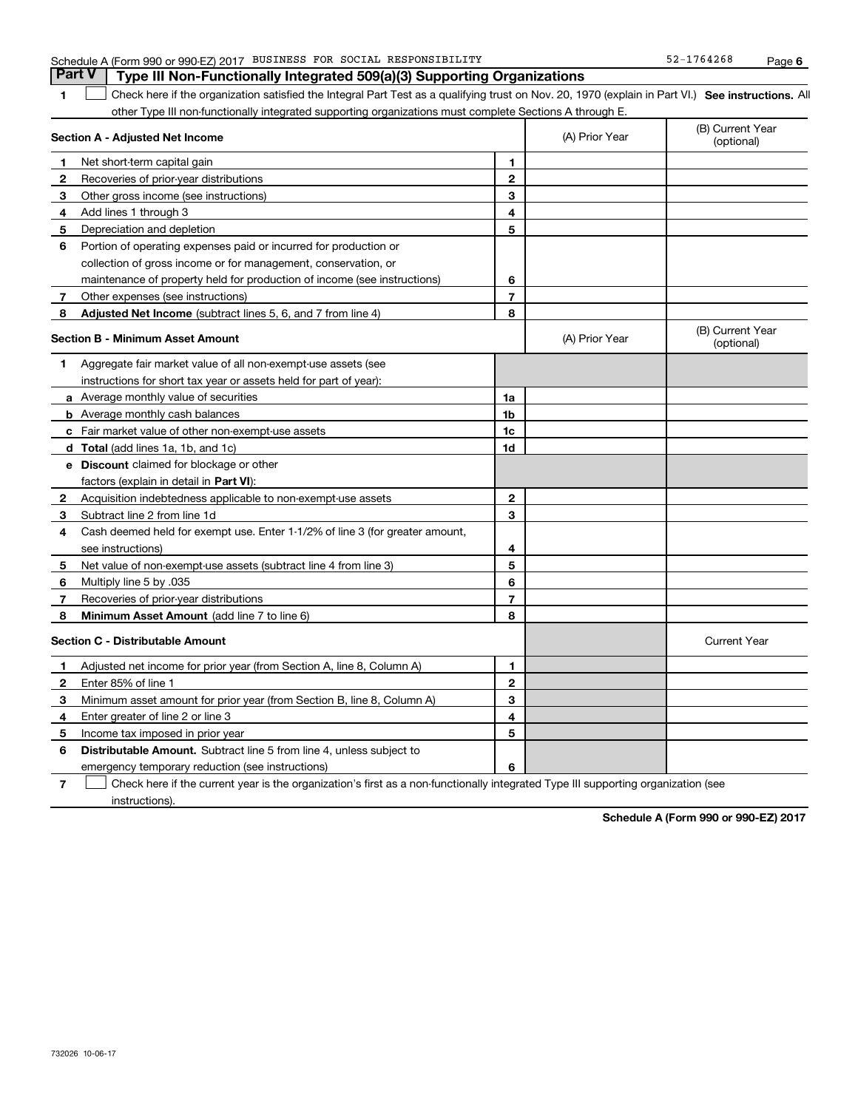| 1            | Check here if the organization satisfied the Integral Part Test as a qualifying trust on Nov. 20, 1970 (explain in Part VI.) See instructions. All |                |                |                                |
|--------------|----------------------------------------------------------------------------------------------------------------------------------------------------|----------------|----------------|--------------------------------|
|              | other Type III non-functionally integrated supporting organizations must complete Sections A through E.<br>Section A - Adjusted Net Income         |                | (A) Prior Year | (B) Current Year<br>(optional) |
| 1            | Net short-term capital gain                                                                                                                        | $\mathbf{1}$   |                |                                |
| 2            | Recoveries of prior-year distributions                                                                                                             | $\mathbf{2}$   |                |                                |
| 3            | Other gross income (see instructions)                                                                                                              | 3              |                |                                |
| 4            | Add lines 1 through 3                                                                                                                              | 4              |                |                                |
| 5            | Depreciation and depletion                                                                                                                         | 5              |                |                                |
| 6            | Portion of operating expenses paid or incurred for production or                                                                                   |                |                |                                |
|              | collection of gross income or for management, conservation, or                                                                                     |                |                |                                |
|              | maintenance of property held for production of income (see instructions)                                                                           | 6              |                |                                |
| 7            | Other expenses (see instructions)                                                                                                                  | $\overline{7}$ |                |                                |
| 8            | <b>Adjusted Net Income</b> (subtract lines 5, 6, and 7 from line 4)                                                                                | 8              |                |                                |
|              | Section B - Minimum Asset Amount                                                                                                                   |                | (A) Prior Year | (B) Current Year<br>(optional) |
| 1            | Aggregate fair market value of all non-exempt-use assets (see                                                                                      |                |                |                                |
|              | instructions for short tax year or assets held for part of year):                                                                                  |                |                |                                |
|              | <b>a</b> Average monthly value of securities                                                                                                       | 1a             |                |                                |
|              | <b>b</b> Average monthly cash balances                                                                                                             | 1b             |                |                                |
|              | <b>c</b> Fair market value of other non-exempt-use assets                                                                                          | 1c             |                |                                |
|              | <b>d</b> Total (add lines 1a, 1b, and 1c)                                                                                                          | 1d             |                |                                |
|              | <b>e</b> Discount claimed for blockage or other                                                                                                    |                |                |                                |
|              | factors (explain in detail in Part VI):                                                                                                            |                |                |                                |
| $\mathbf{2}$ | Acquisition indebtedness applicable to non-exempt-use assets                                                                                       | $\mathbf{2}$   |                |                                |
| 3            | Subtract line 2 from line 1d                                                                                                                       | 3              |                |                                |
| 4            | Cash deemed held for exempt use. Enter 1-1/2% of line 3 (for greater amount,                                                                       |                |                |                                |
|              | see instructions)                                                                                                                                  | 4              |                |                                |
| 5            | Net value of non-exempt-use assets (subtract line 4 from line 3)                                                                                   | 5              |                |                                |
| 6            | Multiply line 5 by .035                                                                                                                            | 6              |                |                                |
| 7            | Recoveries of prior-year distributions                                                                                                             | $\overline{7}$ |                |                                |
| 8            | <b>Minimum Asset Amount</b> (add line 7 to line 6)                                                                                                 | 8              |                |                                |
|              | <b>Section C - Distributable Amount</b>                                                                                                            |                |                | <b>Current Year</b>            |
| 1            | Adjusted net income for prior year (from Section A, line 8, Column A)                                                                              | $\mathbf{1}$   |                |                                |
| 2            | Enter 85% of line 1                                                                                                                                | $\mathbf{2}$   |                |                                |
| 3            | Minimum asset amount for prior year (from Section B, line 8, Column A)                                                                             | 3              |                |                                |
| 4            | Enter greater of line 2 or line 3                                                                                                                  | 4              |                |                                |
| 5            | Income tax imposed in prior year                                                                                                                   | 5              |                |                                |
| 6            | <b>Distributable Amount.</b> Subtract line 5 from line 4, unless subject to                                                                        |                |                |                                |
|              | emergency temporary reduction (see instructions)                                                                                                   | 6              |                |                                |

Check here if the current year is the organization's first as a non-functionally integrated Type III supporting organization (see

Schedule A (Form 990 or 990-EZ) 2017 BUSINESS FOR SOCIAL RESPONSIBILITY 52-1764268 Page **Part V Type III Non-Functionally Integrated 509(a)(3) Supporting Organizations** 

**Schedule A (Form 990 or 990-EZ) 2017**

**7**

 $\mathcal{L}^{\text{max}}$ 

instructions).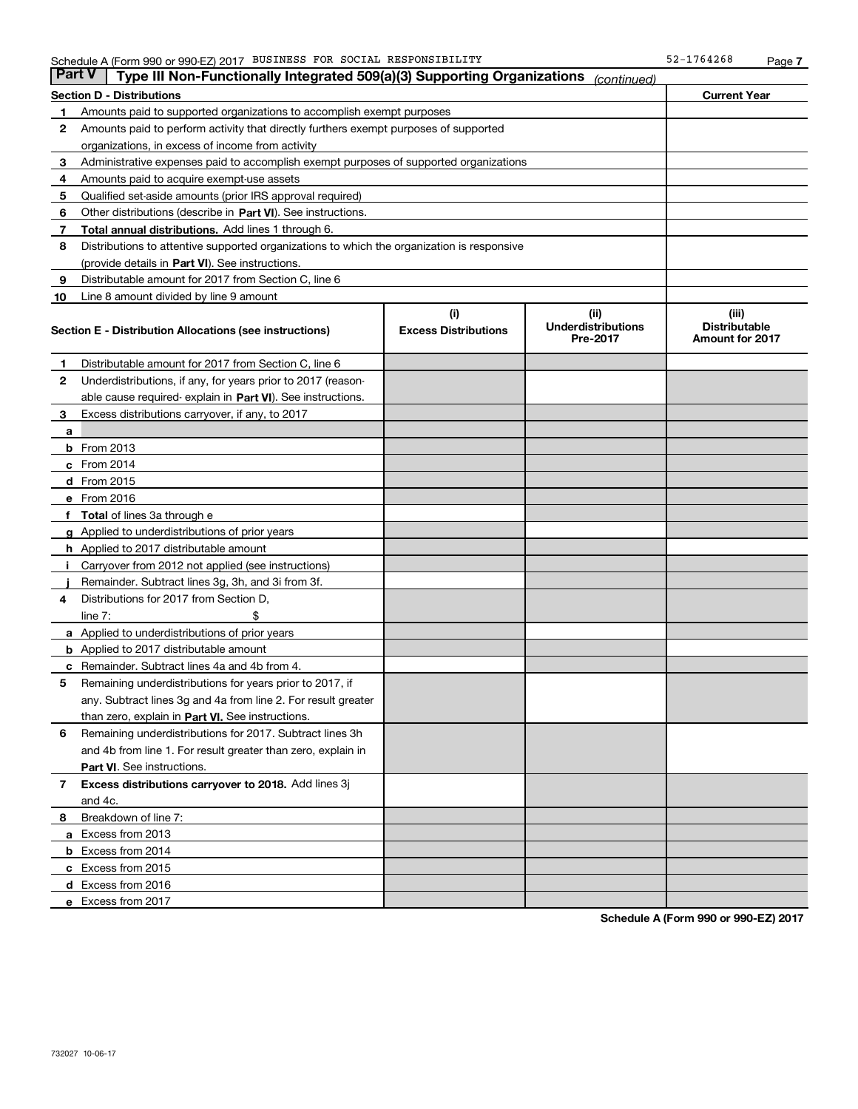| <b>Part V</b> | Type III Non-Functionally Integrated 509(a)(3) Supporting Organizations                    |                             | (continued)                           |                                                |  |  |  |
|---------------|--------------------------------------------------------------------------------------------|-----------------------------|---------------------------------------|------------------------------------------------|--|--|--|
|               | <b>Section D - Distributions</b>                                                           |                             |                                       | <b>Current Year</b>                            |  |  |  |
| 1             | Amounts paid to supported organizations to accomplish exempt purposes                      |                             |                                       |                                                |  |  |  |
| 2             | Amounts paid to perform activity that directly furthers exempt purposes of supported       |                             |                                       |                                                |  |  |  |
|               | organizations, in excess of income from activity                                           |                             |                                       |                                                |  |  |  |
| з             | Administrative expenses paid to accomplish exempt purposes of supported organizations      |                             |                                       |                                                |  |  |  |
| 4             | Amounts paid to acquire exempt-use assets                                                  |                             |                                       |                                                |  |  |  |
| 5             | Qualified set-aside amounts (prior IRS approval required)                                  |                             |                                       |                                                |  |  |  |
| 6             | Other distributions (describe in Part VI). See instructions.                               |                             |                                       |                                                |  |  |  |
| 7             | <b>Total annual distributions.</b> Add lines 1 through 6.                                  |                             |                                       |                                                |  |  |  |
| 8             | Distributions to attentive supported organizations to which the organization is responsive |                             |                                       |                                                |  |  |  |
|               | (provide details in Part VI). See instructions.                                            |                             |                                       |                                                |  |  |  |
| 9             | Distributable amount for 2017 from Section C, line 6                                       |                             |                                       |                                                |  |  |  |
| 10            | Line 8 amount divided by line 9 amount                                                     |                             |                                       |                                                |  |  |  |
|               |                                                                                            | (i)                         | (iii)                                 | (iii)                                          |  |  |  |
|               | Section E - Distribution Allocations (see instructions)                                    | <b>Excess Distributions</b> | <b>Underdistributions</b><br>Pre-2017 | <b>Distributable</b><br><b>Amount for 2017</b> |  |  |  |
| 1             | Distributable amount for 2017 from Section C, line 6                                       |                             |                                       |                                                |  |  |  |
| 2             | Underdistributions, if any, for years prior to 2017 (reason-                               |                             |                                       |                                                |  |  |  |
|               | able cause required- explain in Part VI). See instructions.                                |                             |                                       |                                                |  |  |  |
| 3             | Excess distributions carryover, if any, to 2017                                            |                             |                                       |                                                |  |  |  |
| а             |                                                                                            |                             |                                       |                                                |  |  |  |
|               | <b>b</b> From 2013                                                                         |                             |                                       |                                                |  |  |  |
|               | c From 2014                                                                                |                             |                                       |                                                |  |  |  |
|               | <b>d</b> From 2015                                                                         |                             |                                       |                                                |  |  |  |
|               | e From 2016                                                                                |                             |                                       |                                                |  |  |  |
|               | Total of lines 3a through e                                                                |                             |                                       |                                                |  |  |  |
|               | <b>g</b> Applied to underdistributions of prior years                                      |                             |                                       |                                                |  |  |  |
|               | <b>h</b> Applied to 2017 distributable amount                                              |                             |                                       |                                                |  |  |  |
|               | Carryover from 2012 not applied (see instructions)                                         |                             |                                       |                                                |  |  |  |
|               | Remainder. Subtract lines 3g, 3h, and 3i from 3f.                                          |                             |                                       |                                                |  |  |  |
| 4             | Distributions for 2017 from Section D,                                                     |                             |                                       |                                                |  |  |  |
|               | line $7:$                                                                                  |                             |                                       |                                                |  |  |  |
|               | <b>a</b> Applied to underdistributions of prior years                                      |                             |                                       |                                                |  |  |  |
|               | <b>b</b> Applied to 2017 distributable amount                                              |                             |                                       |                                                |  |  |  |
| с             | Remainder. Subtract lines 4a and 4b from 4.                                                |                             |                                       |                                                |  |  |  |
| 5             | Remaining underdistributions for years prior to 2017, if                                   |                             |                                       |                                                |  |  |  |
|               | any. Subtract lines 3g and 4a from line 2. For result greater                              |                             |                                       |                                                |  |  |  |
|               | than zero, explain in Part VI. See instructions.                                           |                             |                                       |                                                |  |  |  |
| 6             | Remaining underdistributions for 2017. Subtract lines 3h                                   |                             |                                       |                                                |  |  |  |
|               | and 4b from line 1. For result greater than zero, explain in                               |                             |                                       |                                                |  |  |  |
|               | Part VI. See instructions.                                                                 |                             |                                       |                                                |  |  |  |
| 7             | Excess distributions carryover to 2018. Add lines 3j                                       |                             |                                       |                                                |  |  |  |
|               | and 4c.                                                                                    |                             |                                       |                                                |  |  |  |
| 8             | Breakdown of line 7:                                                                       |                             |                                       |                                                |  |  |  |
|               | a Excess from 2013                                                                         |                             |                                       |                                                |  |  |  |
|               | <b>b</b> Excess from 2014                                                                  |                             |                                       |                                                |  |  |  |
|               | c Excess from 2015                                                                         |                             |                                       |                                                |  |  |  |
|               | d Excess from 2016                                                                         |                             |                                       |                                                |  |  |  |
|               |                                                                                            |                             |                                       |                                                |  |  |  |
|               | e Excess from 2017                                                                         |                             |                                       |                                                |  |  |  |

**Schedule A (Form 990 or 990-EZ) 2017**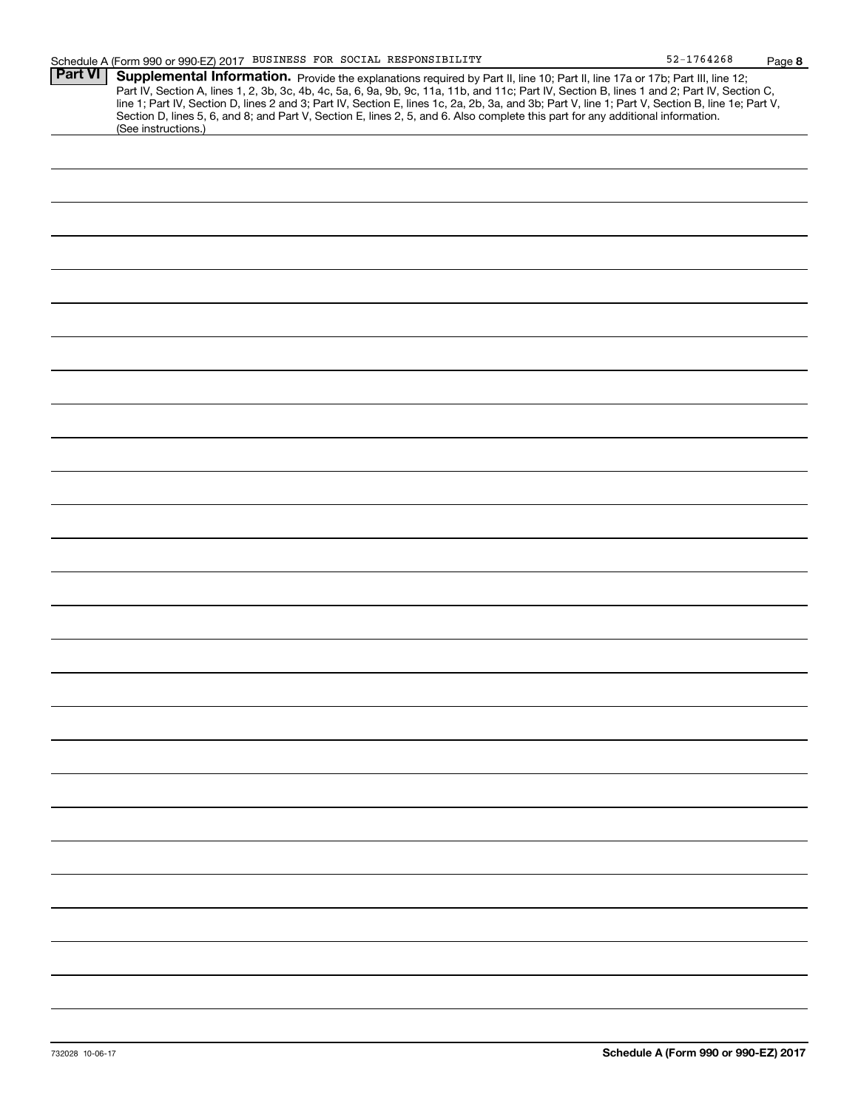**8**

| <b>Part VI</b> | Supplemental Information. Provide the explanations required by Part II, line 10; Part II, line 17a or 17b; Part III, line 12;                    |
|----------------|--------------------------------------------------------------------------------------------------------------------------------------------------|
|                | Part IV, Section A, lines 1, 2, 3b, 3c, 4b, 4c, 5a, 6, 9a, 9b, 9c, 11a, 11b, and 11c; Part IV, Section B, lines 1 and 2; Part IV, Section C,     |
|                | line 1; Part IV, Section D, lines 2 and 3; Part IV, Section E, lines 1c, 2a, 2b, 3a, and 3b; Part V, line 1; Part V, Section B, line 1e; Part V, |
|                | Section D, lines 5, 6, and 8; and Part V, Section E, lines 2, 5, and 6. Also complete this part for any additional information.                  |
|                | (See instructions.)                                                                                                                              |
|                |                                                                                                                                                  |
|                |                                                                                                                                                  |
|                |                                                                                                                                                  |
|                |                                                                                                                                                  |
|                |                                                                                                                                                  |
|                |                                                                                                                                                  |
|                |                                                                                                                                                  |
|                |                                                                                                                                                  |
|                |                                                                                                                                                  |
|                |                                                                                                                                                  |
|                |                                                                                                                                                  |
|                |                                                                                                                                                  |
|                |                                                                                                                                                  |
|                |                                                                                                                                                  |
|                |                                                                                                                                                  |
|                |                                                                                                                                                  |
|                |                                                                                                                                                  |
|                |                                                                                                                                                  |
|                |                                                                                                                                                  |
|                |                                                                                                                                                  |
|                |                                                                                                                                                  |
|                |                                                                                                                                                  |
|                |                                                                                                                                                  |
|                |                                                                                                                                                  |
|                |                                                                                                                                                  |
|                |                                                                                                                                                  |
|                |                                                                                                                                                  |
|                |                                                                                                                                                  |
|                |                                                                                                                                                  |
|                |                                                                                                                                                  |
|                |                                                                                                                                                  |
|                |                                                                                                                                                  |
|                |                                                                                                                                                  |
|                |                                                                                                                                                  |
|                |                                                                                                                                                  |
|                |                                                                                                                                                  |
|                |                                                                                                                                                  |
|                |                                                                                                                                                  |
|                |                                                                                                                                                  |
|                |                                                                                                                                                  |
|                |                                                                                                                                                  |
|                |                                                                                                                                                  |
|                |                                                                                                                                                  |
|                |                                                                                                                                                  |
|                |                                                                                                                                                  |
|                |                                                                                                                                                  |
|                |                                                                                                                                                  |
|                |                                                                                                                                                  |
|                |                                                                                                                                                  |
|                |                                                                                                                                                  |
|                |                                                                                                                                                  |
|                |                                                                                                                                                  |
|                |                                                                                                                                                  |
|                |                                                                                                                                                  |
|                |                                                                                                                                                  |
|                |                                                                                                                                                  |
|                |                                                                                                                                                  |
|                |                                                                                                                                                  |
|                |                                                                                                                                                  |
|                |                                                                                                                                                  |
|                |                                                                                                                                                  |
|                |                                                                                                                                                  |
|                |                                                                                                                                                  |
|                |                                                                                                                                                  |
|                |                                                                                                                                                  |
|                |                                                                                                                                                  |
|                |                                                                                                                                                  |
|                |                                                                                                                                                  |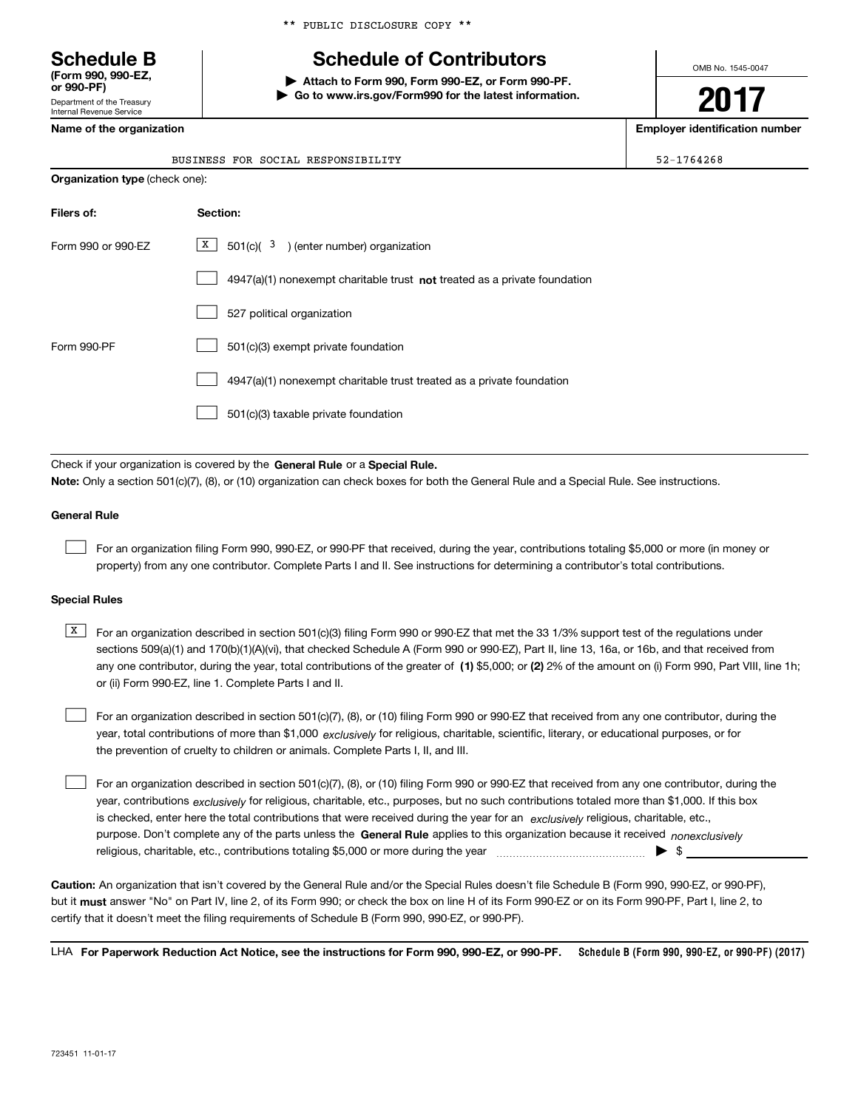\*\* PUBLIC DISCLOSURE COPY \*\*

# **Schedule B Schedule of Contributors**

**| Attach to Form 990, Form 990-EZ, or Form 990-PF.**

**| Go to www.irs.gov/Form990 for the latest information.**

OMB No. 1545-0047

**2017**

**Name of the organization Employer identification number**

|     | Department of the Treasury<br>Internal Revenue Service |  |
|-----|--------------------------------------------------------|--|
| . . |                                                        |  |

**(Form 990, 990-EZ, or 990-PF)**

|  | BUSINESS FOR SOCIAL RESPONSIBILITY | $52 - 1764268$ |
|--|------------------------------------|----------------|

| <b>Organization type (check one):</b> |                                                                           |  |  |  |
|---------------------------------------|---------------------------------------------------------------------------|--|--|--|
| Filers of:                            | Section:                                                                  |  |  |  |
| Form 990 or 990-EZ                    | $X$ 501(c)( 3) (enter number) organization                                |  |  |  |
|                                       | 4947(a)(1) nonexempt charitable trust not treated as a private foundation |  |  |  |
|                                       | 527 political organization                                                |  |  |  |
| Form 990-PF                           | 501(c)(3) exempt private foundation                                       |  |  |  |
|                                       | 4947(a)(1) nonexempt charitable trust treated as a private foundation     |  |  |  |
|                                       | 501(c)(3) taxable private foundation                                      |  |  |  |

Check if your organization is covered by the **General Rule** or a **Special Rule. Note:**  Only a section 501(c)(7), (8), or (10) organization can check boxes for both the General Rule and a Special Rule. See instructions.

## **General Rule**

 $\mathcal{L}^{\text{max}}$ 

For an organization filing Form 990, 990-EZ, or 990-PF that received, during the year, contributions totaling \$5,000 or more (in money or property) from any one contributor. Complete Parts I and II. See instructions for determining a contributor's total contributions.

### **Special Rules**

 $\mathcal{L}^{\text{max}}$ 

any one contributor, during the year, total contributions of the greater of  $\,$  (1) \$5,000; or **(2)** 2% of the amount on (i) Form 990, Part VIII, line 1h;  $\overline{X}$  For an organization described in section 501(c)(3) filing Form 990 or 990-EZ that met the 33 1/3% support test of the regulations under sections 509(a)(1) and 170(b)(1)(A)(vi), that checked Schedule A (Form 990 or 990-EZ), Part II, line 13, 16a, or 16b, and that received from or (ii) Form 990-EZ, line 1. Complete Parts I and II.

year, total contributions of more than \$1,000 *exclusively* for religious, charitable, scientific, literary, or educational purposes, or for For an organization described in section 501(c)(7), (8), or (10) filing Form 990 or 990-EZ that received from any one contributor, during the the prevention of cruelty to children or animals. Complete Parts I, II, and III.  $\mathcal{L}^{\text{max}}$ 

purpose. Don't complete any of the parts unless the **General Rule** applies to this organization because it received *nonexclusively* year, contributions <sub>exclusively</sub> for religious, charitable, etc., purposes, but no such contributions totaled more than \$1,000. If this box is checked, enter here the total contributions that were received during the year for an  $\;$ exclusively religious, charitable, etc., For an organization described in section 501(c)(7), (8), or (10) filing Form 990 or 990-EZ that received from any one contributor, during the religious, charitable, etc., contributions totaling \$5,000 or more during the year  $\ldots$  $\ldots$  $\ldots$  $\ldots$  $\ldots$  $\ldots$ 

**Caution:**  An organization that isn't covered by the General Rule and/or the Special Rules doesn't file Schedule B (Form 990, 990-EZ, or 990-PF),  **must** but it answer "No" on Part IV, line 2, of its Form 990; or check the box on line H of its Form 990-EZ or on its Form 990-PF, Part I, line 2, to certify that it doesn't meet the filing requirements of Schedule B (Form 990, 990-EZ, or 990-PF).

**Schedule B (Form 990, 990-EZ, or 990-PF) (2017) For Paperwork Reduction Act Notice, see the instructions for Form 990, 990-EZ, or 990-PF.** LHA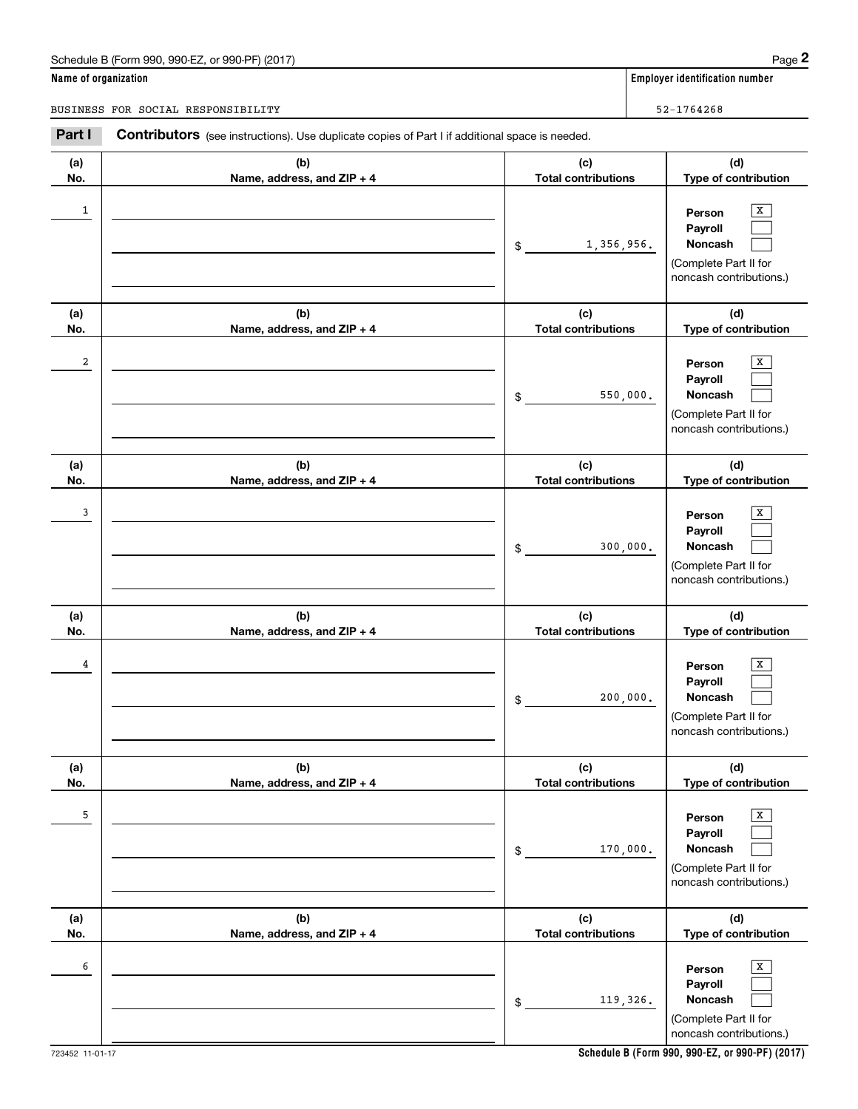## Schedule B (Form 990, 990-EZ, or 990-PF) (2017)

|                      | Schedule B (Form 990, 990-EZ, or 990-PF) (2017)                                                       |                                   |                | Page 2                                                                                                        |
|----------------------|-------------------------------------------------------------------------------------------------------|-----------------------------------|----------------|---------------------------------------------------------------------------------------------------------------|
| Name of organization |                                                                                                       |                                   |                | <b>Employer identification number</b>                                                                         |
|                      | BUSINESS FOR SOCIAL RESPONSIBILITY                                                                    |                                   | $52 - 1764268$ |                                                                                                               |
| Part I               | <b>Contributors</b> (see instructions). Use duplicate copies of Part I if additional space is needed. |                                   |                |                                                                                                               |
| (a)<br>No.           | (b)<br>Name, address, and ZIP + 4                                                                     | (c)<br><b>Total contributions</b> |                | (d)<br>Type of contribution                                                                                   |
| $\mathbf{1}$         |                                                                                                       | \$                                | 1,356,956.     | х<br>Person<br>Payroll<br>Noncash<br>(Complete Part II for<br>noncash contributions.)                         |
| (a)<br>No.           | (b)<br>Name, address, and ZIP + 4                                                                     | (c)<br><b>Total contributions</b> |                | (d)                                                                                                           |
| 2                    |                                                                                                       | \$                                | 550,000.       | Type of contribution<br>X<br>Person<br>Payroll<br>Noncash<br>(Complete Part II for<br>noncash contributions.) |
| (a)<br>No.           | (b)<br>Name, address, and ZIP + 4                                                                     | (c)<br><b>Total contributions</b> |                | (d)<br>Type of contribution                                                                                   |
| 3                    |                                                                                                       | \$                                | 300,000.       | Х<br>Person<br>Payroll<br>Noncash<br>(Complete Part II for<br>noncash contributions.)                         |
| (a)<br>No.           | (b)<br>Name, address, and ZIP + 4                                                                     | (c)<br><b>Total contributions</b> |                | (d)<br>Type of contribution                                                                                   |
| 4                    |                                                                                                       | \$                                | 200,000.       | х<br>Person<br>Payroll<br>Noncash<br>(Complete Part II for<br>noncash contributions.)                         |
| (a)<br>No.           | (b)<br>Name, address, and ZIP + 4                                                                     | (c)<br><b>Total contributions</b> |                | (d)<br>Type of contribution                                                                                   |
| 5                    |                                                                                                       | \$                                | 170,000.       | Х<br>Person<br>Payroll<br>Noncash<br>(Complete Part II for<br>noncash contributions.)                         |
| (a)<br>No.           | (b)<br>Name, address, and ZIP + 4                                                                     | (c)<br><b>Total contributions</b> |                | (d)<br>Type of contribution                                                                                   |
| 6                    |                                                                                                       | \$                                | 119,326.       | Х<br>Person<br>Payroll<br>Noncash<br>(Complete Part II for<br>noncash contributions.)                         |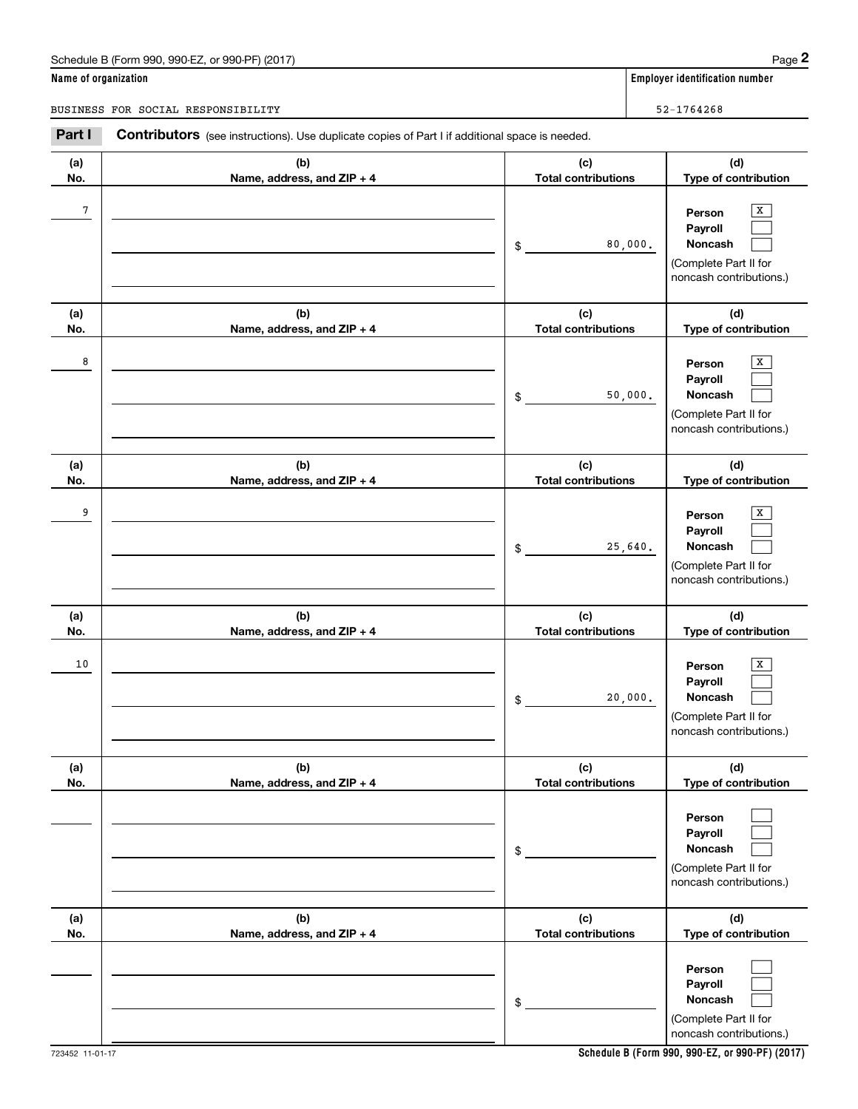# Schedule B (Form 990, 990-EZ, or 990-PF) (2017) Page 2

|                      | Schedule B (Form 990, 990-EZ, or 990-PF) (2017)                                                       |                                   | Page 2                                                                                           |
|----------------------|-------------------------------------------------------------------------------------------------------|-----------------------------------|--------------------------------------------------------------------------------------------------|
| Name of organization |                                                                                                       |                                   | <b>Employer identification number</b>                                                            |
|                      | BUSINESS FOR SOCIAL RESPONSIBILITY                                                                    |                                   | $52 - 1764268$                                                                                   |
| Part I               | <b>Contributors</b> (see instructions). Use duplicate copies of Part I if additional space is needed. |                                   |                                                                                                  |
| (a)<br>No.           | (b)<br>Name, address, and ZIP + 4                                                                     | (c)<br><b>Total contributions</b> | (d)<br>Type of contribution                                                                      |
| 7                    |                                                                                                       | \$                                | х<br>Person<br>Payroll<br>80,000.<br>Noncash<br>(Complete Part II for<br>noncash contributions.) |
| (a)<br>No.           | (b)                                                                                                   | (c)<br><b>Total contributions</b> | (d)<br>Type of contribution                                                                      |
| 8                    | Name, address, and ZIP + 4                                                                            | \$                                | X<br>Person<br>Payroll<br>Noncash<br>50,000.<br>(Complete Part II for<br>noncash contributions.) |
| (a)<br>No.           | (b)<br>Name, address, and ZIP + 4                                                                     | (c)<br><b>Total contributions</b> | (d)<br>Type of contribution                                                                      |
| 9                    |                                                                                                       | \$                                | Х<br>Person<br>Payroll<br>Noncash<br>25,640.<br>(Complete Part II for<br>noncash contributions.) |
| (a)<br>No.           | (b)<br>Name, address, and ZIP + 4                                                                     | (c)<br><b>Total contributions</b> | (d)<br>Type of contribution                                                                      |
| 10                   |                                                                                                       | \$                                | х<br>Person<br>Payroll<br>20,000.<br>Noncash<br>(Complete Part II for<br>noncash contributions.) |
| (a)<br>No.           | (b)<br>Name, address, and ZIP + 4                                                                     | (c)<br><b>Total contributions</b> | (d)<br>Type of contribution                                                                      |
|                      |                                                                                                       | \$                                | Person<br>Payroll<br>Noncash<br>(Complete Part II for<br>noncash contributions.)                 |
| (a)<br>No.           | (b)<br>Name, address, and ZIP + 4                                                                     | (c)<br><b>Total contributions</b> | (d)<br>Type of contribution                                                                      |
|                      |                                                                                                       | \$                                | Person<br>Payroll<br>Noncash<br>(Complete Part II for<br>noncash contributions.)                 |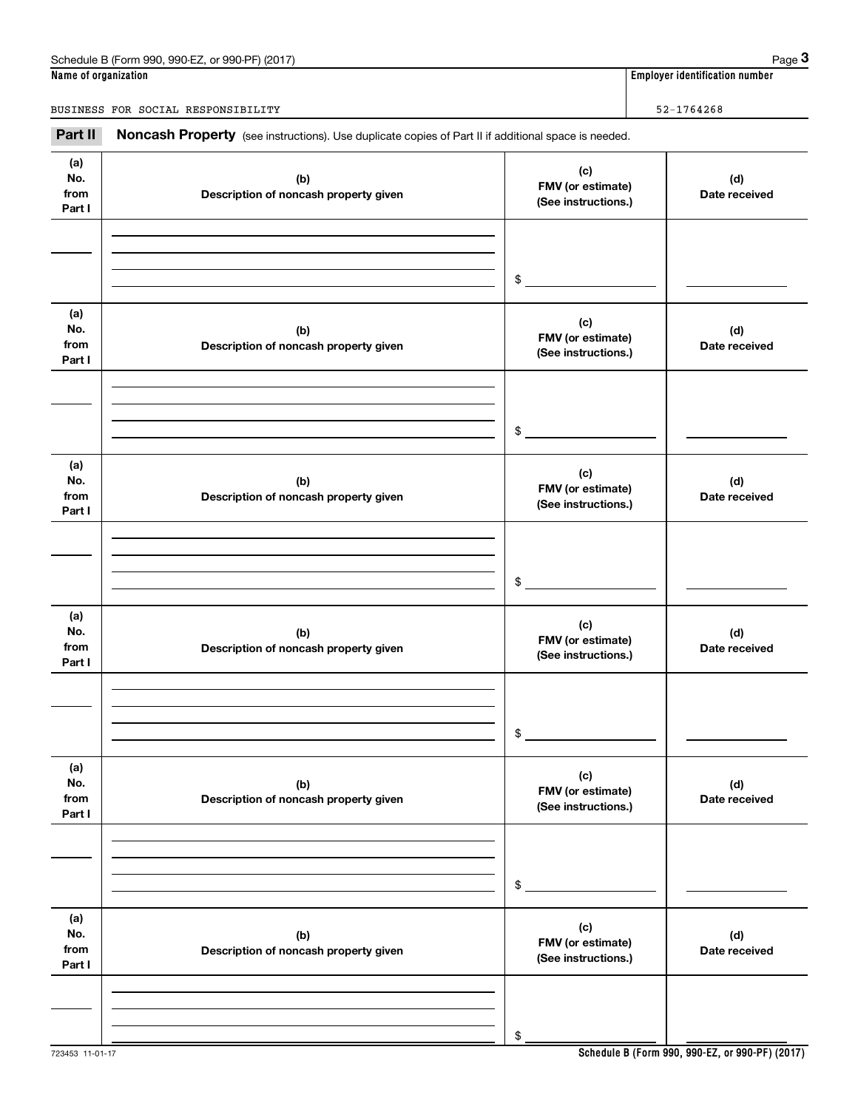# **Name of organization Employer identification number** Schedule B (Form 990, 990-EZ, or 990-PF) (2017) Page 3

BUSINESS FOR SOCIAL RESPONSIBILITY 52-1764268

Employer identification number<br>
ame of organization<br>
USINESS FOR SOCIAL RESPONSIBILITY<br> **Part II Noncash Property** (see instructions). Use duplicate copies of Part II if additional space is needed.

|                              | so modiacionoj. Oso adprioato sopres or riartimin additional |                                                 |                      |
|------------------------------|--------------------------------------------------------------|-------------------------------------------------|----------------------|
| (a)<br>No.<br>from<br>Part I | (b)<br>Description of noncash property given                 | (c)<br>FMV (or estimate)<br>(See instructions.) | (d)<br>Date received |
|                              |                                                              | $\,$                                            |                      |
| (a)<br>No.<br>from<br>Part I | (b)<br>Description of noncash property given                 | (c)<br>FMV (or estimate)<br>(See instructions.) | (d)<br>Date received |
|                              |                                                              | \$                                              |                      |
| (a)<br>No.<br>from<br>Part I | (b)<br>Description of noncash property given                 | (c)<br>FMV (or estimate)<br>(See instructions.) | (d)<br>Date received |
|                              |                                                              | \$                                              |                      |
| (a)<br>No.<br>from<br>Part I | (b)<br>Description of noncash property given                 | (c)<br>FMV (or estimate)<br>(See instructions.) | (d)<br>Date received |
|                              |                                                              | \$                                              |                      |
| (a)<br>No.<br>from<br>Part I | (b)<br>Description of noncash property given                 | (c)<br>FMV (or estimate)<br>(See instructions.) | (d)<br>Date received |
|                              |                                                              | \$                                              |                      |
| (a)<br>No.<br>from<br>Part I | (b)<br>Description of noncash property given                 | (c)<br>FMV (or estimate)<br>(See instructions.) | (d)<br>Date received |
|                              |                                                              | \$                                              |                      |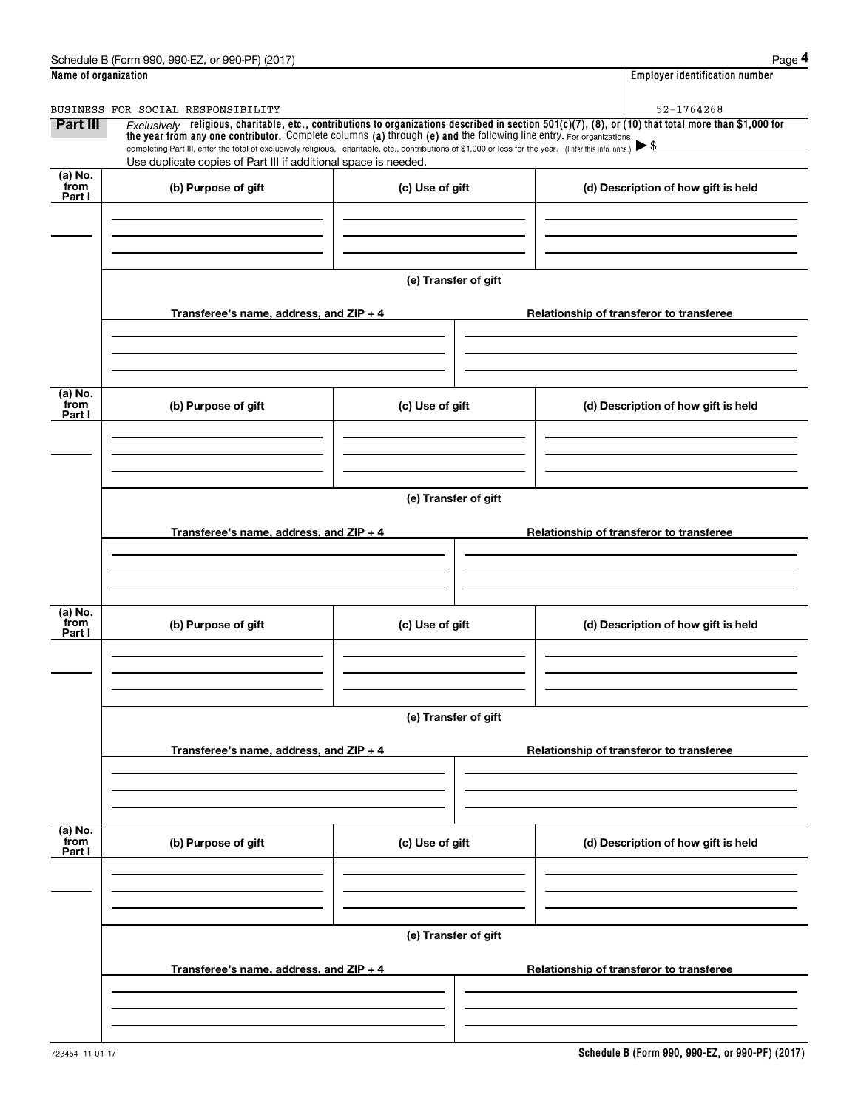|                           | Schedule B (Form 990, 990-EZ, or 990-PF) (2017)                                                                                                                                   |                      | Page 4                                                                                                                                                  |  |  |  |  |
|---------------------------|-----------------------------------------------------------------------------------------------------------------------------------------------------------------------------------|----------------------|---------------------------------------------------------------------------------------------------------------------------------------------------------|--|--|--|--|
| Name of organization      |                                                                                                                                                                                   |                      | <b>Employer identification number</b>                                                                                                                   |  |  |  |  |
|                           | BUSINESS FOR SOCIAL RESPONSIBILITY                                                                                                                                                |                      | 52-1764268                                                                                                                                              |  |  |  |  |
| Part III                  | the year from any one contributor. Complete columns (a) through (e) and the following line entry. For organizations                                                               |                      | $Exclusively$ religious, charitable, etc., contributions to organizations described in section 501(c)(7), (8), or (10) that total more than \$1,000 for |  |  |  |  |
|                           | completing Part III, enter the total of exclusively religious, charitable, etc., contributions of \$1,000 or less for the year. (Enter this info. once.) $\blacktriangleright$ \$ |                      |                                                                                                                                                         |  |  |  |  |
| (a) No.                   | Use duplicate copies of Part III if additional space is needed.                                                                                                                   |                      |                                                                                                                                                         |  |  |  |  |
| from<br>Part I            | (b) Purpose of gift                                                                                                                                                               | (c) Use of gift      | (d) Description of how gift is held                                                                                                                     |  |  |  |  |
|                           |                                                                                                                                                                                   |                      |                                                                                                                                                         |  |  |  |  |
|                           |                                                                                                                                                                                   |                      |                                                                                                                                                         |  |  |  |  |
|                           |                                                                                                                                                                                   |                      |                                                                                                                                                         |  |  |  |  |
|                           |                                                                                                                                                                                   | (e) Transfer of gift |                                                                                                                                                         |  |  |  |  |
|                           | Transferee's name, address, and ZIP + 4                                                                                                                                           |                      | Relationship of transferor to transferee                                                                                                                |  |  |  |  |
|                           |                                                                                                                                                                                   |                      |                                                                                                                                                         |  |  |  |  |
|                           |                                                                                                                                                                                   |                      |                                                                                                                                                         |  |  |  |  |
|                           |                                                                                                                                                                                   |                      |                                                                                                                                                         |  |  |  |  |
| (a) No.<br>from<br>Part I | (b) Purpose of gift                                                                                                                                                               | (c) Use of gift      | (d) Description of how gift is held                                                                                                                     |  |  |  |  |
|                           |                                                                                                                                                                                   |                      |                                                                                                                                                         |  |  |  |  |
|                           |                                                                                                                                                                                   |                      |                                                                                                                                                         |  |  |  |  |
|                           |                                                                                                                                                                                   |                      |                                                                                                                                                         |  |  |  |  |
|                           | (e) Transfer of gift                                                                                                                                                              |                      |                                                                                                                                                         |  |  |  |  |
|                           | Transferee's name, address, and $ZIP + 4$                                                                                                                                         |                      | Relationship of transferor to transferee                                                                                                                |  |  |  |  |
|                           |                                                                                                                                                                                   |                      |                                                                                                                                                         |  |  |  |  |
|                           |                                                                                                                                                                                   |                      |                                                                                                                                                         |  |  |  |  |
|                           |                                                                                                                                                                                   |                      |                                                                                                                                                         |  |  |  |  |
| (a) No.<br>from           | (b) Purpose of gift                                                                                                                                                               | (c) Use of gift      | (d) Description of how gift is held                                                                                                                     |  |  |  |  |
| Part I                    |                                                                                                                                                                                   |                      |                                                                                                                                                         |  |  |  |  |
|                           |                                                                                                                                                                                   |                      |                                                                                                                                                         |  |  |  |  |
|                           |                                                                                                                                                                                   |                      |                                                                                                                                                         |  |  |  |  |
|                           |                                                                                                                                                                                   | (e) Transfer of gift |                                                                                                                                                         |  |  |  |  |
|                           |                                                                                                                                                                                   |                      |                                                                                                                                                         |  |  |  |  |
|                           | Transferee's name, address, and $ZIP + 4$                                                                                                                                         |                      | Relationship of transferor to transferee                                                                                                                |  |  |  |  |
|                           |                                                                                                                                                                                   |                      |                                                                                                                                                         |  |  |  |  |
|                           |                                                                                                                                                                                   |                      |                                                                                                                                                         |  |  |  |  |
|                           |                                                                                                                                                                                   |                      |                                                                                                                                                         |  |  |  |  |
| (a) No.<br>from<br>Part I | (b) Purpose of gift                                                                                                                                                               | (c) Use of gift      | (d) Description of how gift is held                                                                                                                     |  |  |  |  |
|                           |                                                                                                                                                                                   |                      |                                                                                                                                                         |  |  |  |  |
|                           |                                                                                                                                                                                   |                      |                                                                                                                                                         |  |  |  |  |
|                           |                                                                                                                                                                                   |                      |                                                                                                                                                         |  |  |  |  |
|                           | (e) Transfer of gift                                                                                                                                                              |                      |                                                                                                                                                         |  |  |  |  |
|                           | Transferee's name, address, and $ZIP + 4$                                                                                                                                         |                      | Relationship of transferor to transferee                                                                                                                |  |  |  |  |
|                           |                                                                                                                                                                                   |                      |                                                                                                                                                         |  |  |  |  |
|                           |                                                                                                                                                                                   |                      |                                                                                                                                                         |  |  |  |  |
|                           |                                                                                                                                                                                   |                      |                                                                                                                                                         |  |  |  |  |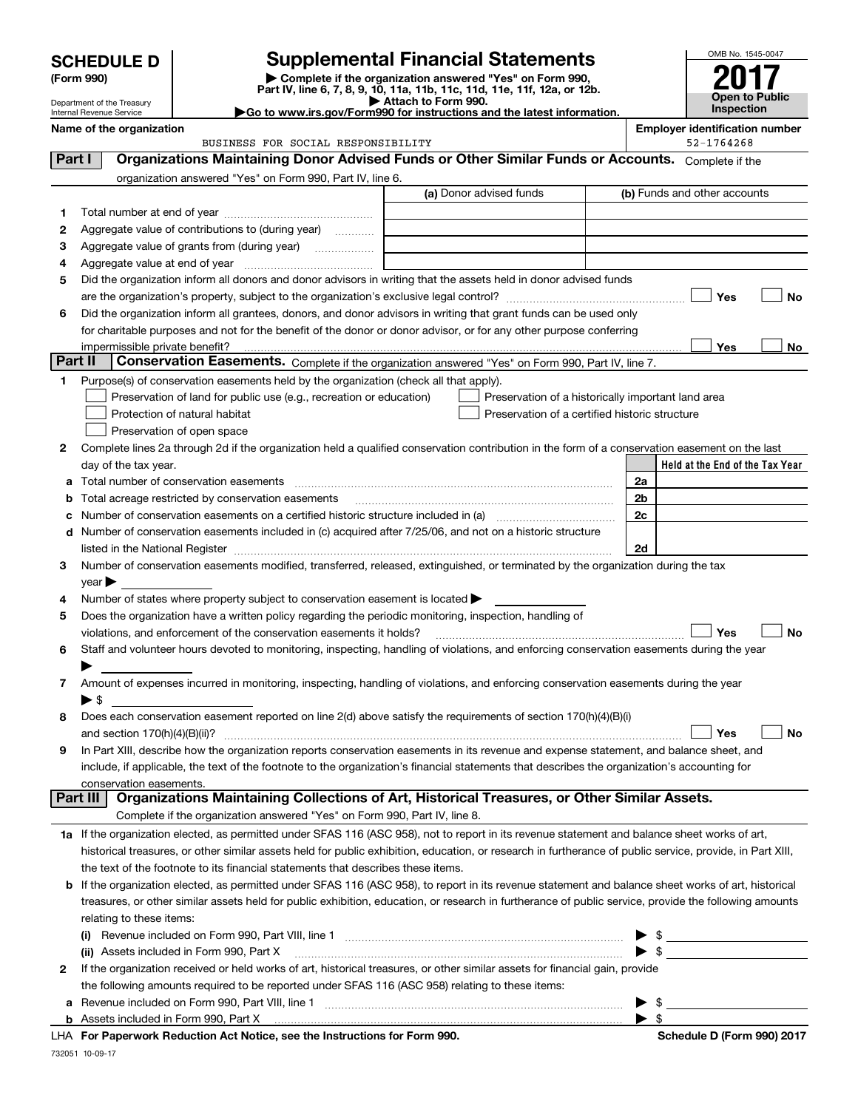|                                                                                                                                                           | <b>SCHEDULE D</b>          | <b>Supplemental Financial Statements</b>                                                                                                                                                                                                                                                                                                                          |                     |                                                    |    |                                       | OMB No. 1545-0047     |
|-----------------------------------------------------------------------------------------------------------------------------------------------------------|----------------------------|-------------------------------------------------------------------------------------------------------------------------------------------------------------------------------------------------------------------------------------------------------------------------------------------------------------------------------------------------------------------|---------------------|----------------------------------------------------|----|---------------------------------------|-----------------------|
| (Form 990)<br>Department of the Treasury                                                                                                                  |                            | Complete if the organization answered "Yes" on Form 990,<br>Part IV, line 6, 7, 8, 9, 10, 11a, 11b, 11c, 11d, 11e, 11f, 12a, or 12b.                                                                                                                                                                                                                              | Attach to Form 990. |                                                    |    |                                       | <b>Open to Public</b> |
|                                                                                                                                                           | Internal Revenue Service   | Go to www.irs.gov/Form990 for instructions and the latest information.                                                                                                                                                                                                                                                                                            |                     |                                                    |    |                                       | <b>Inspection</b>     |
|                                                                                                                                                           | Name of the organization   |                                                                                                                                                                                                                                                                                                                                                                   |                     |                                                    |    | <b>Employer identification number</b> |                       |
|                                                                                                                                                           |                            | BUSINESS FOR SOCIAL RESPONSIBILITY                                                                                                                                                                                                                                                                                                                                |                     |                                                    |    | 52-1764268                            |                       |
| Part I                                                                                                                                                    |                            | Organizations Maintaining Donor Advised Funds or Other Similar Funds or Accounts. Complete if the                                                                                                                                                                                                                                                                 |                     |                                                    |    |                                       |                       |
|                                                                                                                                                           |                            | organization answered "Yes" on Form 990, Part IV, line 6.                                                                                                                                                                                                                                                                                                         |                     | (a) Donor advised funds                            |    | (b) Funds and other accounts          |                       |
|                                                                                                                                                           |                            |                                                                                                                                                                                                                                                                                                                                                                   |                     |                                                    |    |                                       |                       |
| 1<br>2                                                                                                                                                    |                            | Aggregate value of contributions to (during year)                                                                                                                                                                                                                                                                                                                 |                     |                                                    |    |                                       |                       |
| 3                                                                                                                                                         |                            |                                                                                                                                                                                                                                                                                                                                                                   |                     |                                                    |    |                                       |                       |
| 4                                                                                                                                                         |                            |                                                                                                                                                                                                                                                                                                                                                                   |                     |                                                    |    |                                       |                       |
| 5                                                                                                                                                         |                            | Did the organization inform all donors and donor advisors in writing that the assets held in donor advised funds                                                                                                                                                                                                                                                  |                     |                                                    |    |                                       |                       |
|                                                                                                                                                           |                            |                                                                                                                                                                                                                                                                                                                                                                   |                     |                                                    |    | Yes                                   | <b>No</b>             |
| 6                                                                                                                                                         |                            | Did the organization inform all grantees, donors, and donor advisors in writing that grant funds can be used only                                                                                                                                                                                                                                                 |                     |                                                    |    |                                       |                       |
|                                                                                                                                                           |                            | for charitable purposes and not for the benefit of the donor or donor advisor, or for any other purpose conferring                                                                                                                                                                                                                                                |                     |                                                    |    |                                       |                       |
|                                                                                                                                                           |                            |                                                                                                                                                                                                                                                                                                                                                                   |                     |                                                    |    | Yes                                   | No                    |
| Part II                                                                                                                                                   |                            | Conservation Easements. Complete if the organization answered "Yes" on Form 990, Part IV, line 7.                                                                                                                                                                                                                                                                 |                     |                                                    |    |                                       |                       |
| 1                                                                                                                                                         |                            | Purpose(s) of conservation easements held by the organization (check all that apply).                                                                                                                                                                                                                                                                             |                     |                                                    |    |                                       |                       |
|                                                                                                                                                           |                            | Preservation of land for public use (e.g., recreation or education)                                                                                                                                                                                                                                                                                               |                     | Preservation of a historically important land area |    |                                       |                       |
|                                                                                                                                                           |                            | Protection of natural habitat                                                                                                                                                                                                                                                                                                                                     |                     | Preservation of a certified historic structure     |    |                                       |                       |
|                                                                                                                                                           |                            | Preservation of open space                                                                                                                                                                                                                                                                                                                                        |                     |                                                    |    |                                       |                       |
| Complete lines 2a through 2d if the organization held a qualified conservation contribution in the form of a conservation easement on the last<br>2       |                            |                                                                                                                                                                                                                                                                                                                                                                   |                     |                                                    |    |                                       |                       |
|                                                                                                                                                           | day of the tax year.       |                                                                                                                                                                                                                                                                                                                                                                   |                     |                                                    |    | Held at the End of the Tax Year       |                       |
| а                                                                                                                                                         |                            |                                                                                                                                                                                                                                                                                                                                                                   |                     |                                                    | 2a |                                       |                       |
| b                                                                                                                                                         |                            | Total acreage restricted by conservation easements                                                                                                                                                                                                                                                                                                                |                     |                                                    | 2b |                                       |                       |
| с                                                                                                                                                         |                            |                                                                                                                                                                                                                                                                                                                                                                   |                     |                                                    | 2c |                                       |                       |
|                                                                                                                                                           |                            | d Number of conservation easements included in (c) acquired after 7/25/06, and not on a historic structure                                                                                                                                                                                                                                                        |                     |                                                    |    |                                       |                       |
| 3                                                                                                                                                         |                            | listed in the National Register [11, 1200] [12] The National Register [11, 1200] [12] The National Register [11, 1200] [12] The National Register [11, 1200] [12] The National Register [11, 1200] [12] The National Register<br>Number of conservation easements modified, transferred, released, extinguished, or terminated by the organization during the tax |                     |                                                    | 2d |                                       |                       |
|                                                                                                                                                           | $year \blacktriangleright$ |                                                                                                                                                                                                                                                                                                                                                                   |                     |                                                    |    |                                       |                       |
| 4                                                                                                                                                         |                            | Number of states where property subject to conservation easement is located >                                                                                                                                                                                                                                                                                     |                     |                                                    |    |                                       |                       |
| 5                                                                                                                                                         |                            | Does the organization have a written policy regarding the periodic monitoring, inspection, handling of                                                                                                                                                                                                                                                            |                     |                                                    |    |                                       |                       |
|                                                                                                                                                           |                            | violations, and enforcement of the conservation easements it holds?                                                                                                                                                                                                                                                                                               |                     |                                                    |    | Yes                                   | No                    |
|                                                                                                                                                           |                            | Staff and volunteer hours devoted to monitoring, inspecting, handling of violations, and enforcing conservation easements during the year                                                                                                                                                                                                                         |                     |                                                    |    |                                       |                       |
|                                                                                                                                                           |                            |                                                                                                                                                                                                                                                                                                                                                                   |                     |                                                    |    |                                       |                       |
| 7                                                                                                                                                         |                            | Amount of expenses incurred in monitoring, inspecting, handling of violations, and enforcing conservation easements during the year                                                                                                                                                                                                                               |                     |                                                    |    |                                       |                       |
|                                                                                                                                                           | ▶ \$                       |                                                                                                                                                                                                                                                                                                                                                                   |                     |                                                    |    |                                       |                       |
| 8                                                                                                                                                         |                            | Does each conservation easement reported on line 2(d) above satisfy the requirements of section 170(h)(4)(B)(i)                                                                                                                                                                                                                                                   |                     |                                                    |    |                                       |                       |
|                                                                                                                                                           |                            |                                                                                                                                                                                                                                                                                                                                                                   |                     |                                                    |    | Yes                                   | No                    |
| 9                                                                                                                                                         |                            | In Part XIII, describe how the organization reports conservation easements in its revenue and expense statement, and balance sheet, and                                                                                                                                                                                                                           |                     |                                                    |    |                                       |                       |
|                                                                                                                                                           |                            | include, if applicable, the text of the footnote to the organization's financial statements that describes the organization's accounting for                                                                                                                                                                                                                      |                     |                                                    |    |                                       |                       |
|                                                                                                                                                           | conservation easements.    |                                                                                                                                                                                                                                                                                                                                                                   |                     |                                                    |    |                                       |                       |
|                                                                                                                                                           | Part III                   | Organizations Maintaining Collections of Art, Historical Treasures, or Other Similar Assets.                                                                                                                                                                                                                                                                      |                     |                                                    |    |                                       |                       |
|                                                                                                                                                           |                            | Complete if the organization answered "Yes" on Form 990, Part IV, line 8.                                                                                                                                                                                                                                                                                         |                     |                                                    |    |                                       |                       |
|                                                                                                                                                           |                            | 1a If the organization elected, as permitted under SFAS 116 (ASC 958), not to report in its revenue statement and balance sheet works of art,                                                                                                                                                                                                                     |                     |                                                    |    |                                       |                       |
| historical treasures, or other similar assets held for public exhibition, education, or research in furtherance of public service, provide, in Part XIII, |                            |                                                                                                                                                                                                                                                                                                                                                                   |                     |                                                    |    |                                       |                       |
|                                                                                                                                                           |                            | the text of the footnote to its financial statements that describes these items.                                                                                                                                                                                                                                                                                  |                     |                                                    |    |                                       |                       |
| b                                                                                                                                                         |                            | If the organization elected, as permitted under SFAS 116 (ASC 958), to report in its revenue statement and balance sheet works of art, historical                                                                                                                                                                                                                 |                     |                                                    |    |                                       |                       |
|                                                                                                                                                           |                            | treasures, or other similar assets held for public exhibition, education, or research in furtherance of public service, provide the following amounts                                                                                                                                                                                                             |                     |                                                    |    |                                       |                       |
|                                                                                                                                                           | relating to these items:   |                                                                                                                                                                                                                                                                                                                                                                   |                     |                                                    |    |                                       |                       |
|                                                                                                                                                           |                            | (ii) Assets included in Form 990, Part X [110] Marting and Martin Martin Martin Martin Martin Martin Martin Ma                                                                                                                                                                                                                                                    |                     |                                                    |    |                                       |                       |
|                                                                                                                                                           |                            |                                                                                                                                                                                                                                                                                                                                                                   |                     |                                                    |    |                                       |                       |

| <b>b</b> Assets included in Form 990. Part X |  |
|----------------------------------------------|--|
|                                              |  |

**2**If the organization received or held works of art, historical treasures, or other similar assets for financial gain, provide

**a**Revenue included on Form 990, Part VIII, line 1 ~~~~~~~~~~~~~~~~~~~~~~~~~~~~~~

the following amounts required to be reported under SFAS 116 (ASC 958) relating to these items:

**For Paperwork Reduction Act Notice, see the Instructions for Form 990. Schedule D (Form 990) 2017** LHA

 $\blacktriangleright$  \$

 $\blacktriangleright$  \$

732051 10-09-17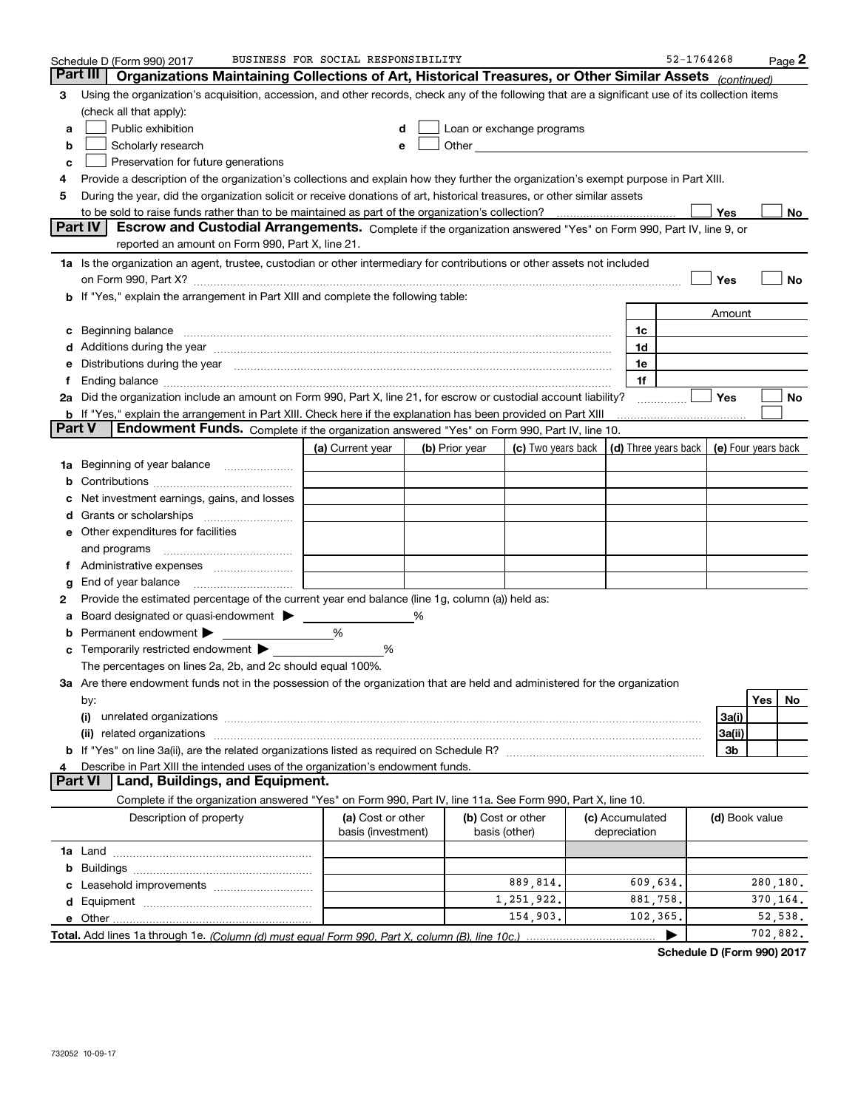|               | Schedule D (Form 990) 2017                                                                                                                                                                                                            | BUSINESS FOR SOCIAL RESPONSIBILITY |   |                |                                                                                                                                                                                                                               |                 | 52-1764268                                       |                |           | Page 2  |
|---------------|---------------------------------------------------------------------------------------------------------------------------------------------------------------------------------------------------------------------------------------|------------------------------------|---|----------------|-------------------------------------------------------------------------------------------------------------------------------------------------------------------------------------------------------------------------------|-----------------|--------------------------------------------------|----------------|-----------|---------|
| Part III      | Organizations Maintaining Collections of Art, Historical Treasures, or Other Similar Assets (continued)                                                                                                                               |                                    |   |                |                                                                                                                                                                                                                               |                 |                                                  |                |           |         |
| 3             | Using the organization's acquisition, accession, and other records, check any of the following that are a significant use of its collection items                                                                                     |                                    |   |                |                                                                                                                                                                                                                               |                 |                                                  |                |           |         |
|               | (check all that apply):                                                                                                                                                                                                               |                                    |   |                |                                                                                                                                                                                                                               |                 |                                                  |                |           |         |
| a             | Public exhibition                                                                                                                                                                                                                     |                                    | d |                | Loan or exchange programs                                                                                                                                                                                                     |                 |                                                  |                |           |         |
| b             | Scholarly research                                                                                                                                                                                                                    |                                    | е |                | Other and the contract of the contract of the contract of the contract of the contract of the contract of the contract of the contract of the contract of the contract of the contract of the contract of the contract of the |                 |                                                  |                |           |         |
| c             | Preservation for future generations                                                                                                                                                                                                   |                                    |   |                |                                                                                                                                                                                                                               |                 |                                                  |                |           |         |
| 4             | Provide a description of the organization's collections and explain how they further the organization's exempt purpose in Part XIII.                                                                                                  |                                    |   |                |                                                                                                                                                                                                                               |                 |                                                  |                |           |         |
| 5             | During the year, did the organization solicit or receive donations of art, historical treasures, or other similar assets                                                                                                              |                                    |   |                |                                                                                                                                                                                                                               |                 |                                                  |                |           |         |
|               |                                                                                                                                                                                                                                       |                                    |   |                |                                                                                                                                                                                                                               |                 |                                                  | Yes            |           | No      |
|               | Part IV<br>Escrow and Custodial Arrangements. Complete if the organization answered "Yes" on Form 990, Part IV, line 9, or                                                                                                            |                                    |   |                |                                                                                                                                                                                                                               |                 |                                                  |                |           |         |
|               | reported an amount on Form 990, Part X, line 21.                                                                                                                                                                                      |                                    |   |                |                                                                                                                                                                                                                               |                 |                                                  |                |           |         |
|               | 1a Is the organization an agent, trustee, custodian or other intermediary for contributions or other assets not included                                                                                                              |                                    |   |                |                                                                                                                                                                                                                               |                 |                                                  |                |           |         |
|               |                                                                                                                                                                                                                                       |                                    |   |                |                                                                                                                                                                                                                               |                 |                                                  | Yes            |           | No      |
|               | <b>b</b> If "Yes," explain the arrangement in Part XIII and complete the following table:                                                                                                                                             |                                    |   |                |                                                                                                                                                                                                                               |                 |                                                  |                |           |         |
|               |                                                                                                                                                                                                                                       |                                    |   |                |                                                                                                                                                                                                                               |                 |                                                  | Amount         |           |         |
| c             | Beginning balance <b>contract to the contract of the contract of the contract of the contract of the contract of t</b>                                                                                                                |                                    |   |                |                                                                                                                                                                                                                               | 1c              |                                                  |                |           |         |
|               | Additions during the year manufactured and an annual contract of the year manufactured and all the year manufactured and all the year manufactured and all the year manufactured and all the year manufactured and all the yea        |                                    |   |                |                                                                                                                                                                                                                               | 1d              |                                                  |                |           |         |
| е             | Distributions during the year measurements are all the state of the state of the state of the state of the state of the state of the state of the state of the state of the state of the state of the state of the state of th        |                                    |   |                |                                                                                                                                                                                                                               | 1e              |                                                  |                |           |         |
| Ť.            |                                                                                                                                                                                                                                       |                                    |   |                |                                                                                                                                                                                                                               | 1f              |                                                  |                |           |         |
|               | 2a Did the organization include an amount on Form 990, Part X, line 21, for escrow or custodial account liability?                                                                                                                    |                                    |   |                |                                                                                                                                                                                                                               |                 |                                                  | <b>Yes</b>     |           | No      |
| <b>Part V</b> | <b>b</b> If "Yes," explain the arrangement in Part XIII. Check here if the explanation has been provided on Part XIII<br>Endowment Funds. Complete if the organization answered "Yes" on Form 990, Part IV, line 10.                  |                                    |   |                |                                                                                                                                                                                                                               |                 |                                                  |                |           |         |
|               |                                                                                                                                                                                                                                       | (a) Current year                   |   | (b) Prior year | (c) Two years back                                                                                                                                                                                                            |                 | (d) Three years back $\vert$ (e) Four years back |                |           |         |
| 1a            | Beginning of year balance                                                                                                                                                                                                             |                                    |   |                |                                                                                                                                                                                                                               |                 |                                                  |                |           |         |
| b             |                                                                                                                                                                                                                                       |                                    |   |                |                                                                                                                                                                                                                               |                 |                                                  |                |           |         |
|               | Net investment earnings, gains, and losses                                                                                                                                                                                            |                                    |   |                |                                                                                                                                                                                                                               |                 |                                                  |                |           |         |
| d             |                                                                                                                                                                                                                                       |                                    |   |                |                                                                                                                                                                                                                               |                 |                                                  |                |           |         |
|               | <b>e</b> Other expenditures for facilities                                                                                                                                                                                            |                                    |   |                |                                                                                                                                                                                                                               |                 |                                                  |                |           |         |
|               | and programs                                                                                                                                                                                                                          |                                    |   |                |                                                                                                                                                                                                                               |                 |                                                  |                |           |         |
| Ť.            |                                                                                                                                                                                                                                       |                                    |   |                |                                                                                                                                                                                                                               |                 |                                                  |                |           |         |
| g             | End of year balance                                                                                                                                                                                                                   |                                    |   |                |                                                                                                                                                                                                                               |                 |                                                  |                |           |         |
| 2             | Provide the estimated percentage of the current year end balance (line 1g, column (a)) held as:                                                                                                                                       |                                    |   |                |                                                                                                                                                                                                                               |                 |                                                  |                |           |         |
| а             | Board designated or quasi-endowment > ____                                                                                                                                                                                            |                                    |   |                |                                                                                                                                                                                                                               |                 |                                                  |                |           |         |
| b             | Permanent endowment                                                                                                                                                                                                                   | %                                  |   |                |                                                                                                                                                                                                                               |                 |                                                  |                |           |         |
| c             | Temporarily restricted endowment >                                                                                                                                                                                                    | %                                  |   |                |                                                                                                                                                                                                                               |                 |                                                  |                |           |         |
|               | The percentages on lines 2a, 2b, and 2c should equal 100%.                                                                                                                                                                            |                                    |   |                |                                                                                                                                                                                                                               |                 |                                                  |                |           |         |
|               | 3a Are there endowment funds not in the possession of the organization that are held and administered for the organization                                                                                                            |                                    |   |                |                                                                                                                                                                                                                               |                 |                                                  |                |           |         |
|               | by:                                                                                                                                                                                                                                   |                                    |   |                |                                                                                                                                                                                                                               |                 |                                                  |                | Yes       | No      |
|               | (i)<br>unrelated organizations [111] material contracts are all the contracts and contracts are all the contracts and contracts are all the contracts and contracts are all the contracts and contracts are all the contracts and con |                                    |   |                |                                                                                                                                                                                                                               |                 |                                                  | 3a(i)          |           |         |
|               |                                                                                                                                                                                                                                       |                                    |   |                |                                                                                                                                                                                                                               |                 |                                                  | 3a(ii)         |           |         |
|               |                                                                                                                                                                                                                                       |                                    |   |                |                                                                                                                                                                                                                               |                 |                                                  | 3b             |           |         |
|               | Describe in Part XIII the intended uses of the organization's endowment funds.                                                                                                                                                        |                                    |   |                |                                                                                                                                                                                                                               |                 |                                                  |                |           |         |
|               | Part VI<br>Land, Buildings, and Equipment.                                                                                                                                                                                            |                                    |   |                |                                                                                                                                                                                                                               |                 |                                                  |                |           |         |
|               | Complete if the organization answered "Yes" on Form 990, Part IV, line 11a. See Form 990, Part X, line 10.                                                                                                                            |                                    |   |                |                                                                                                                                                                                                                               |                 |                                                  |                |           |         |
|               | Description of property                                                                                                                                                                                                               | (a) Cost or other                  |   |                | (b) Cost or other                                                                                                                                                                                                             | (c) Accumulated |                                                  | (d) Book value |           |         |
|               |                                                                                                                                                                                                                                       | basis (investment)                 |   |                | basis (other)                                                                                                                                                                                                                 | depreciation    |                                                  |                |           |         |
|               |                                                                                                                                                                                                                                       |                                    |   |                |                                                                                                                                                                                                                               |                 |                                                  |                |           |         |
|               |                                                                                                                                                                                                                                       |                                    |   |                |                                                                                                                                                                                                                               |                 |                                                  |                |           |         |
|               |                                                                                                                                                                                                                                       |                                    |   |                | 889,814.                                                                                                                                                                                                                      | 609,634.        |                                                  |                | 280,180.  |         |
|               |                                                                                                                                                                                                                                       |                                    |   |                | 1,251,922.                                                                                                                                                                                                                    | 881,758.        |                                                  |                | 370, 164. |         |
|               |                                                                                                                                                                                                                                       |                                    |   |                | 154,903.                                                                                                                                                                                                                      | 102,365.        |                                                  |                | 702,882.  | 52,538. |
|               |                                                                                                                                                                                                                                       |                                    |   |                |                                                                                                                                                                                                                               |                 |                                                  |                |           |         |

**Schedule D (Form 990) 2017**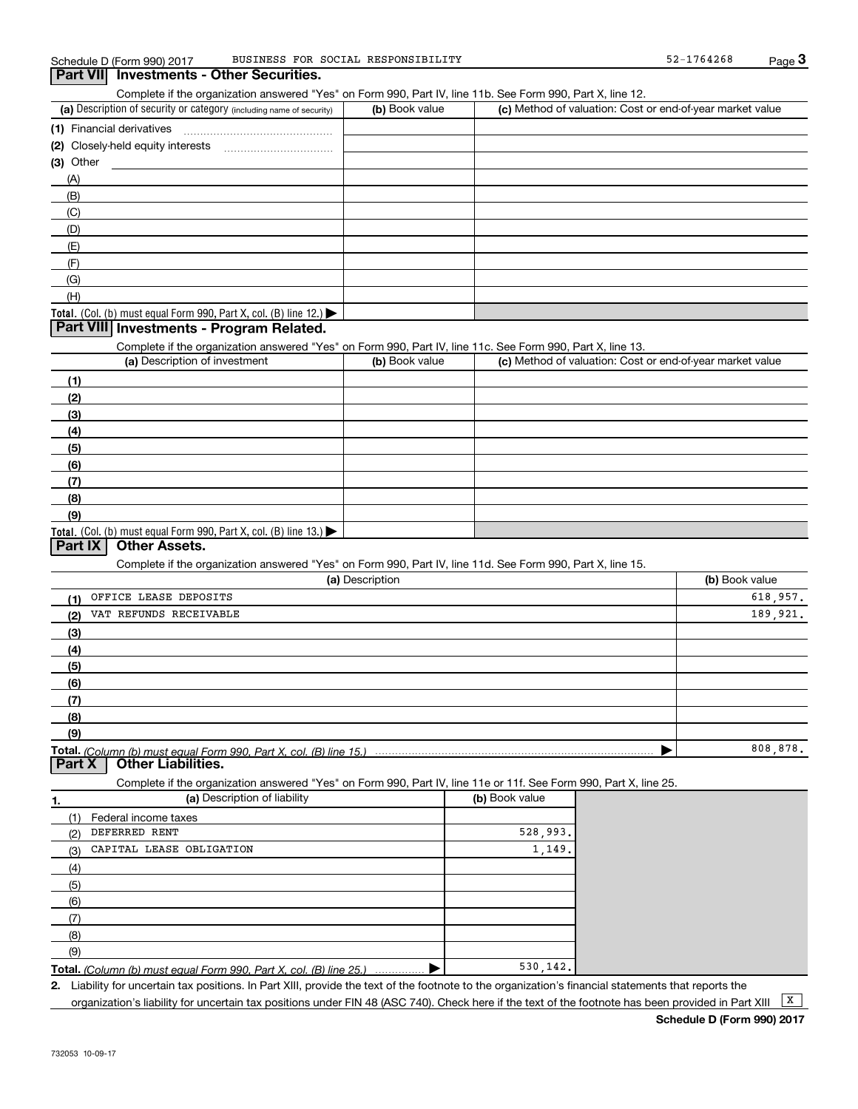Complete if the organization answered "Yes" on Form 990, Part IV, line 11b. See Form 990, Part X, line 12.

| (a) Description of security or category (including name of security) | (b) Book value | (c) Method of valuation: Cost or end-of-year market value |
|----------------------------------------------------------------------|----------------|-----------------------------------------------------------|
| (1) Financial derivatives                                            |                |                                                           |
| (2) Closely-held equity interests                                    |                |                                                           |
| $(3)$ Other                                                          |                |                                                           |
| (A)                                                                  |                |                                                           |
| (B)                                                                  |                |                                                           |
| (C)                                                                  |                |                                                           |
| (D)                                                                  |                |                                                           |
| (E)                                                                  |                |                                                           |
| (F)                                                                  |                |                                                           |
| (G)                                                                  |                |                                                           |
| (H)                                                                  |                |                                                           |
| Total. (Col. (b) must equal Form 990, Part X, col. (B) line $12$ .)  |                |                                                           |

## **Part VIII Investments - Program Related.**

Complete if the organization answered "Yes" on Form 990, Part IV, line 11c. See Form 990, Part X, line 13.

| (a) Description of investment                                                                 | (b) Book value | (c) Method of valuation: Cost or end-of-year market value |
|-----------------------------------------------------------------------------------------------|----------------|-----------------------------------------------------------|
| (1)                                                                                           |                |                                                           |
| (2)                                                                                           |                |                                                           |
| $\frac{1}{2}$                                                                                 |                |                                                           |
| (4)                                                                                           |                |                                                           |
| (5)                                                                                           |                |                                                           |
| (6)                                                                                           |                |                                                           |
| (7)                                                                                           |                |                                                           |
| (8)                                                                                           |                |                                                           |
| (9)                                                                                           |                |                                                           |
| <b>Total.</b> (Col. (b) must equal Form 990, Part X, col. (B) line 13.) $\blacktriangleright$ |                |                                                           |

## **Part IX Other Assets.**

Complete if the organization answered "Yes" on Form 990, Part IV, line 11d. See Form 990, Part X, line 15.

| (a) Description               | (b) Book value |
|-------------------------------|----------------|
| OFFICE LEASE DEPOSITS<br>(1)  | 618.957.       |
| VAT REFUNDS RECEIVABLE<br>(2) | 189.921.       |
| $\frac{1}{2}$                 |                |
| (4)                           |                |
| (5)                           |                |
| $\frac{6}{6}$                 |                |
| (7)                           |                |
| (8)                           |                |
| (9)                           |                |
|                               | 808,878.       |

**Part X Other Liabilities.**

Complete if the organization answered "Yes" on Form 990, Part IV, line 11e or 11f. See Form 990, Part X, line 25.

|     | (a) Description of liability                                              | (b) Book value |
|-----|---------------------------------------------------------------------------|----------------|
| (1) | Federal income taxes                                                      |                |
| (2) | DEFERRED RENT                                                             | 528,993.       |
| (3) | CAPITAL LEASE OBLIGATION                                                  | 1,149.         |
| (4) |                                                                           |                |
| (5) |                                                                           |                |
| (6) |                                                                           |                |
|     |                                                                           |                |
| (8) |                                                                           |                |
| (9) |                                                                           |                |
|     | <b>Total,</b> (Column (b) must equal Form 990, Part X, col. (B) line 25.) | 530.142.       |

**Total.** (Column (b) must equal Form 990, Part X, col. (B) line 25.) ................ ▶

**2.** Liability for uncertain tax positions. In Part XIII, provide the text of the footnote to the organization's financial statements that reports the organization's liability for uncertain tax positions under FIN 48 (ASC 740). Check here if the text of the footnote has been provided in Part XIII  $\boxed{\text{X}}$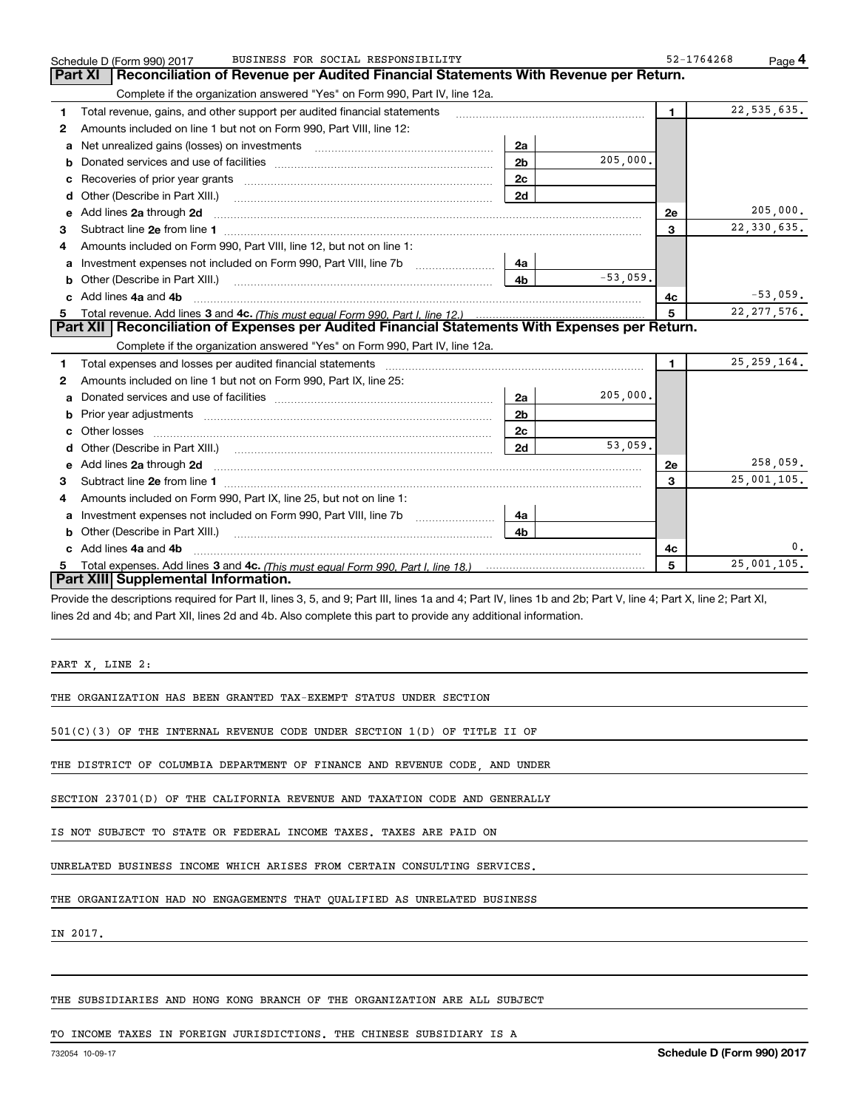|              | BUSINESS FOR SOCIAL RESPONSIBILITY<br>Schedule D (Form 990) 2017                                                                             |                |            | 52-1764268     | Page 4         |
|--------------|----------------------------------------------------------------------------------------------------------------------------------------------|----------------|------------|----------------|----------------|
|              | <b>Part XI</b><br>Reconciliation of Revenue per Audited Financial Statements With Revenue per Return.                                        |                |            |                |                |
|              | Complete if the organization answered "Yes" on Form 990, Part IV, line 12a.                                                                  |                |            |                |                |
| 1            | Total revenue, gains, and other support per audited financial statements                                                                     |                |            | $\blacksquare$ | 22, 535, 635.  |
| $\mathbf{2}$ | Amounts included on line 1 but not on Form 990, Part VIII, line 12:                                                                          |                |            |                |                |
| a            | Net unrealized gains (losses) on investments [11] matter contracts and the unrealized gains (losses) on investments                          | 2a             |            |                |                |
|              |                                                                                                                                              | 2 <sub>b</sub> | 205,000.   |                |                |
|              |                                                                                                                                              | 2c             |            |                |                |
| d            | Other (Describe in Part XIII.) <b>Construction Contract Construction</b> Chern Construction Construction Construction                        | 2d             |            |                |                |
| е            | Add lines 2a through 2d                                                                                                                      |                |            | 2e             | 205,000.       |
| 3            |                                                                                                                                              |                |            | 3              | 22,330,635.    |
| 4            | Amounts included on Form 990, Part VIII, line 12, but not on line 1:                                                                         |                |            |                |                |
|              | Investment expenses not included on Form 990, Part VIII, line 7b [111] [11] Investment expenses not included on Form 990, Part VIII, line 7b | 4a             |            |                |                |
| b            |                                                                                                                                              | 4 <sub>b</sub> | $-53,059.$ |                |                |
|              | Add lines 4a and 4b                                                                                                                          |                |            | 4c             | $-53,059.$     |
| 5            |                                                                                                                                              |                |            | 5              | 22, 277, 576.  |
|              | Part XII   Reconciliation of Expenses per Audited Financial Statements With Expenses per Return.                                             |                |            |                |                |
|              | Complete if the organization answered "Yes" on Form 990, Part IV, line 12a.                                                                  |                |            |                |                |
| 1            |                                                                                                                                              |                |            |                |                |
| 2            |                                                                                                                                              |                |            | 1.             | 25, 259, 164.  |
|              | Amounts included on line 1 but not on Form 990, Part IX, line 25:                                                                            |                |            |                |                |
| a            |                                                                                                                                              | 2a             | 205,000.   |                |                |
|              |                                                                                                                                              | 2 <sub>b</sub> |            |                |                |
|              |                                                                                                                                              | 2 <sub>c</sub> |            |                |                |
| d            |                                                                                                                                              | 2d             | 53.059.    |                |                |
|              | Add lines 2a through 2d <b>must be a constructed as the constant of the constant of the constant of the construction</b>                     |                |            | 2e             | 258,059.       |
| з            |                                                                                                                                              |                |            | $\mathbf{a}$   | 25,001,105.    |
| 4            | Amounts included on Form 990, Part IX, line 25, but not on line 1:                                                                           |                |            |                |                |
| a            | Investment expenses not included on Form 990, Part VIII, line 7b [1000000000000000000000000000000000                                         | 4a             |            |                |                |
| b            | Other (Describe in Part XIII.) <b>Construction Contract Construction</b> Chern Construction Construction Construction                        | 4b.            |            |                |                |
|              | Add lines 4a and 4b                                                                                                                          |                |            | 4c             | $\mathbf{0}$ . |
|              | Part XIII Supplemental Information.                                                                                                          |                |            | 5              | 25,001,105.    |

Provide the descriptions required for Part II, lines 3, 5, and 9; Part III, lines 1a and 4; Part IV, lines 1b and 2b; Part V, line 4; Part X, line 2; Part XI, lines 2d and 4b; and Part XII, lines 2d and 4b. Also complete this part to provide any additional information.

PART X, LINE 2:

THE ORGANIZATION HAS BEEN GRANTED TAX-EXEMPT STATUS UNDER SECTION

501(C)(3) OF THE INTERNAL REVENUE CODE UNDER SECTION 1(D) OF TITLE II OF

THE DISTRICT OF COLUMBIA DEPARTMENT OF FINANCE AND REVENUE CODE, AND UNDER

SECTION 23701(D) OF THE CALIFORNIA REVENUE AND TAXATION CODE AND GENERALLY

IS NOT SUBJECT TO STATE OR FEDERAL INCOME TAXES. TAXES ARE PAID ON

UNRELATED BUSINESS INCOME WHICH ARISES FROM CERTAIN CONSULTING SERVICES.

THE ORGANIZATION HAD NO ENGAGEMENTS THAT QUALIFIED AS UNRELATED BUSINESS

IN 2017.

THE SUBSIDIARIES AND HONG KONG BRANCH OF THE ORGANIZATION ARE ALL SUBJECT

TO INCOME TAXES IN FOREIGN JURISDICTIONS. THE CHINESE SUBSIDIARY IS A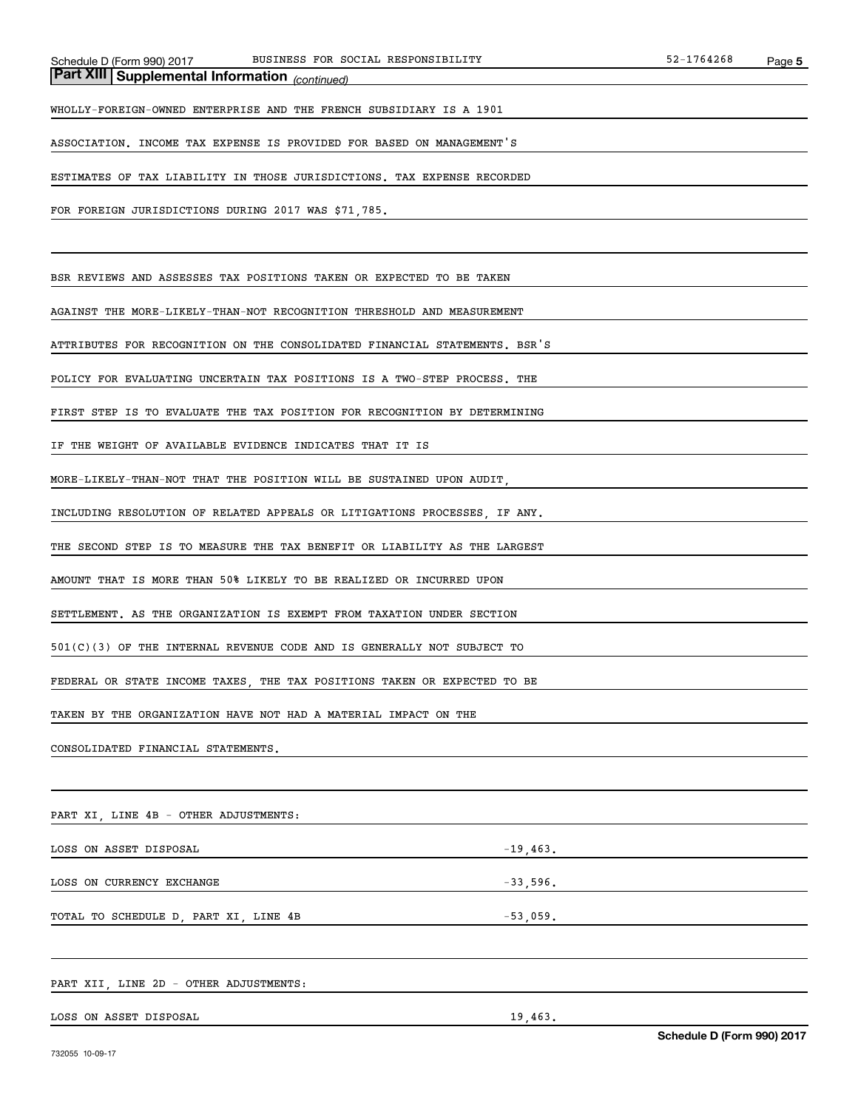*(continued)* **Part XIII Supplemental Information** 

WHOLLY-FOREIGN-OWNED ENTERPRISE AND THE FRENCH SUBSIDIARY IS A 1901

ASSOCIATION. INCOME TAX EXPENSE IS PROVIDED FOR BASED ON MANAGEMENT'S

ESTIMATES OF TAX LIABILITY IN THOSE JURISDICTIONS. TAX EXPENSE RECORDED

FOR FOREIGN JURISDICTIONS DURING 2017 WAS \$71,785.

BSR REVIEWS AND ASSESSES TAX POSITIONS TAKEN OR EXPECTED TO BE TAKEN

AGAINST THE MORE-LIKELY-THAN-NOT RECOGNITION THRESHOLD AND MEASUREMENT

ATTRIBUTES FOR RECOGNITION ON THE CONSOLIDATED FINANCIAL STATEMENTS. BSR'S

POLICY FOR EVALUATING UNCERTAIN TAX POSITIONS IS A TWO-STEP PROCESS. THE

FIRST STEP IS TO EVALUATE THE TAX POSITION FOR RECOGNITION BY DETERMINING

IF THE WEIGHT OF AVAILABLE EVIDENCE INDICATES THAT IT IS

MORE-LIKELY-THAN-NOT THAT THE POSITION WILL BE SUSTAINED UPON AUDIT,

INCLUDING RESOLUTION OF RELATED APPEALS OR LITIGATIONS PROCESSES, IF ANY.

THE SECOND STEP IS TO MEASURE THE TAX BENEFIT OR LIABILITY AS THE LARGEST

AMOUNT THAT IS MORE THAN 50% LIKELY TO BE REALIZED OR INCURRED UPON

SETTLEMENT. AS THE ORGANIZATION IS EXEMPT FROM TAXATION UNDER SECTION

501(C)(3) OF THE INTERNAL REVENUE CODE AND IS GENERALLY NOT SUBJECT TO

FEDERAL OR STATE INCOME TAXES, THE TAX POSITIONS TAKEN OR EXPECTED TO BE

TAKEN BY THE ORGANIZATION HAVE NOT HAD A MATERIAL IMPACT ON THE

CONSOLIDATED FINANCIAL STATEMENTS.

PART XI, LINE 4B - OTHER ADJUSTMENTS:

LOSS ON ASSET DISPOSAL  $-19,463$ .

LOSS ON CURRENCY EXCHANGE  $-33,596$ .

TOTAL TO SCHEDULE D, PART XI, LINE 4B -53,059.

PART XII, LINE 2D - OTHER ADJUSTMENTS:

LOSS ON ASSET DISPOSAL 19,463.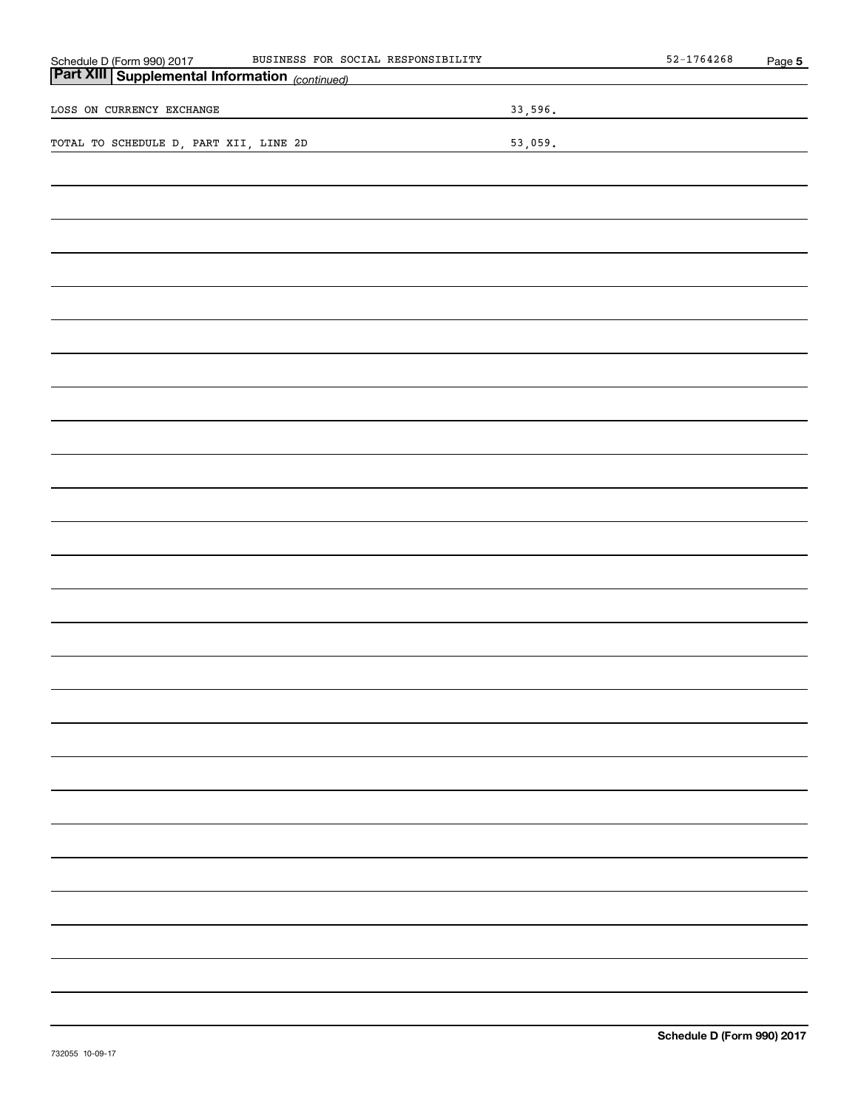| BUSINESS FOR SOCIAL RESPONSIBILITY                                                                  | $52 - 1764268$ | Page 5 |
|-----------------------------------------------------------------------------------------------------|----------------|--------|
| Schedule D (Form 990) 2017 BUSINESS FOR SO<br><b>Part XIII Supplemental Information</b> (continued) |                |        |
| LOSS ON CURRENCY EXCHANGE                                                                           | 33,596.        |        |
| TOTAL TO SCHEDULE D, PART XII, LINE 2D                                                              | 53,059.        |        |
|                                                                                                     |                |        |
|                                                                                                     |                |        |
|                                                                                                     |                |        |
|                                                                                                     |                |        |
|                                                                                                     |                |        |
|                                                                                                     |                |        |
|                                                                                                     |                |        |
|                                                                                                     |                |        |
|                                                                                                     |                |        |
|                                                                                                     |                |        |
|                                                                                                     |                |        |
|                                                                                                     |                |        |
|                                                                                                     |                |        |
|                                                                                                     |                |        |
|                                                                                                     |                |        |
|                                                                                                     |                |        |
|                                                                                                     |                |        |
|                                                                                                     |                |        |
|                                                                                                     |                |        |
|                                                                                                     |                |        |
|                                                                                                     |                |        |
|                                                                                                     |                |        |
|                                                                                                     |                |        |
|                                                                                                     |                |        |
|                                                                                                     |                |        |
|                                                                                                     |                |        |
|                                                                                                     |                |        |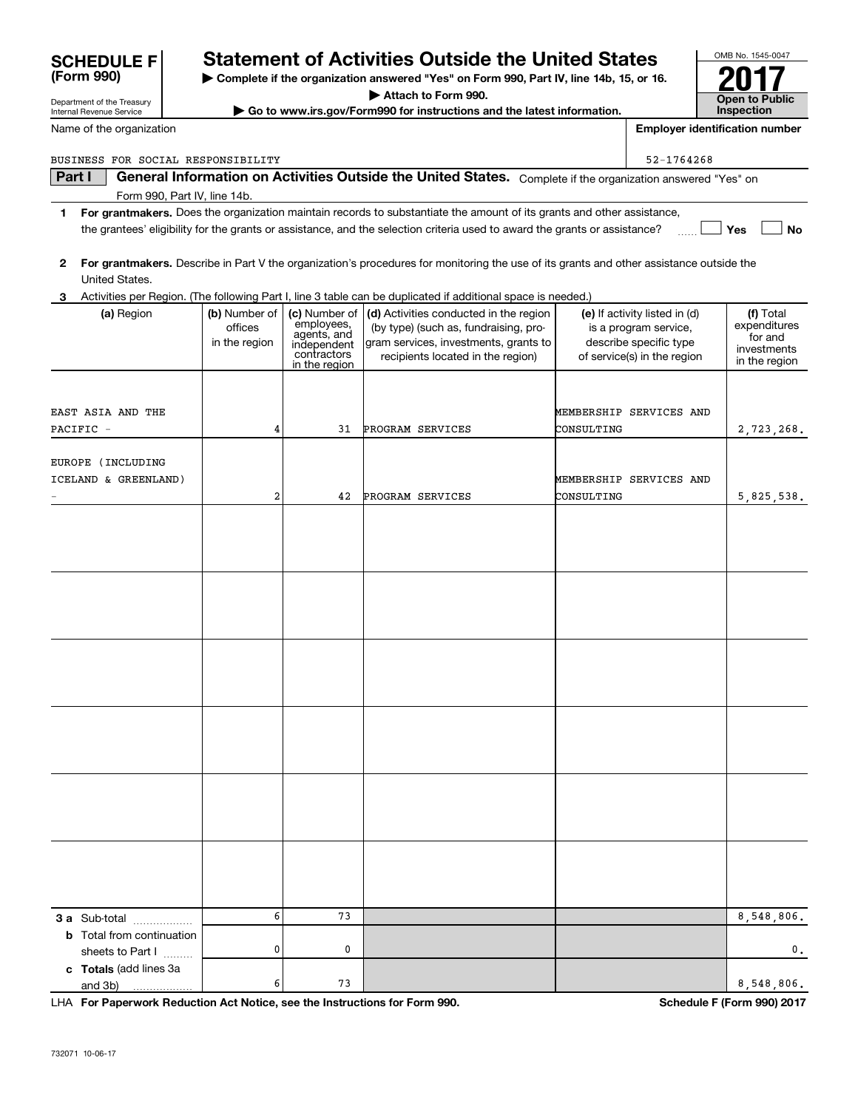| Name of the organization           |               |                                                         |                                                                                                                                         |            | <b>Employer identification number</b> |                         |
|------------------------------------|---------------|---------------------------------------------------------|-----------------------------------------------------------------------------------------------------------------------------------------|------------|---------------------------------------|-------------------------|
| BUSINESS FOR SOCIAL RESPONSIBILITY |               |                                                         |                                                                                                                                         |            | 52-1764268                            |                         |
| Part I                             |               |                                                         | General Information on Activities Outside the United States. Complete if the organization answered "Yes" on                             |            |                                       |                         |
| Form 990, Part IV, line 14b.       |               |                                                         |                                                                                                                                         |            |                                       |                         |
| 1                                  |               |                                                         | For grantmakers. Does the organization maintain records to substantiate the amount of its grants and other assistance,                  |            |                                       |                         |
|                                    |               |                                                         | the grantees' eligibility for the grants or assistance, and the selection criteria used to award the grants or assistance?              |            |                                       | Yes<br>No               |
|                                    |               |                                                         |                                                                                                                                         |            |                                       |                         |
| $\mathbf{2}$                       |               |                                                         | For grantmakers. Describe in Part V the organization's procedures for monitoring the use of its grants and other assistance outside the |            |                                       |                         |
| United States.                     |               |                                                         |                                                                                                                                         |            |                                       |                         |
| З.                                 |               |                                                         | Activities per Region. (The following Part I, line 3 table can be duplicated if additional space is needed.)                            |            |                                       |                         |
| (a) Region                         | (b) Number of | (c) Number of                                           | (d) Activities conducted in the region                                                                                                  |            | (e) If activity listed in (d)         | (f) Total               |
|                                    | offices       | employees,<br>agents, and<br>independent<br>contractors | (by type) (such as, fundraising, pro-                                                                                                   |            | is a program service,                 | expenditures<br>for and |
|                                    | in the region |                                                         | gram services, investments, grants to                                                                                                   |            | describe specific type                | investments             |
|                                    |               | in the region                                           | recipients located in the region)                                                                                                       |            | of service(s) in the region           | in the region           |
|                                    |               |                                                         |                                                                                                                                         |            |                                       |                         |
|                                    |               |                                                         |                                                                                                                                         |            |                                       |                         |
| EAST ASIA AND THE                  |               |                                                         |                                                                                                                                         |            | MEMBERSHIP SERVICES AND               |                         |
| PACIFIC -                          | 4             | 31                                                      | PROGRAM SERVICES                                                                                                                        | CONSULTING |                                       | 2,723,268.              |
|                                    |               |                                                         |                                                                                                                                         |            |                                       |                         |
| EUROPE (INCLUDING                  |               |                                                         |                                                                                                                                         |            |                                       |                         |
| ICELAND & GREENLAND)               |               |                                                         |                                                                                                                                         |            | MEMBERSHIP SERVICES AND               |                         |
|                                    | 2             | 42                                                      | PROGRAM SERVICES                                                                                                                        | CONSULTING |                                       | 5,825,538.              |
|                                    |               |                                                         |                                                                                                                                         |            |                                       |                         |
|                                    |               |                                                         |                                                                                                                                         |            |                                       |                         |
|                                    |               |                                                         |                                                                                                                                         |            |                                       |                         |
|                                    |               |                                                         |                                                                                                                                         |            |                                       |                         |
|                                    |               |                                                         |                                                                                                                                         |            |                                       |                         |
|                                    |               |                                                         |                                                                                                                                         |            |                                       |                         |
|                                    |               |                                                         |                                                                                                                                         |            |                                       |                         |
|                                    |               |                                                         |                                                                                                                                         |            |                                       |                         |
|                                    |               |                                                         |                                                                                                                                         |            |                                       |                         |
|                                    |               |                                                         |                                                                                                                                         |            |                                       |                         |
|                                    |               |                                                         |                                                                                                                                         |            |                                       |                         |
|                                    |               |                                                         |                                                                                                                                         |            |                                       |                         |
|                                    |               |                                                         |                                                                                                                                         |            |                                       |                         |
|                                    |               |                                                         |                                                                                                                                         |            |                                       |                         |
|                                    |               |                                                         |                                                                                                                                         |            |                                       |                         |
|                                    |               |                                                         |                                                                                                                                         |            |                                       |                         |
|                                    |               |                                                         |                                                                                                                                         |            |                                       |                         |
|                                    |               |                                                         |                                                                                                                                         |            |                                       |                         |
|                                    |               |                                                         |                                                                                                                                         |            |                                       |                         |
|                                    |               |                                                         |                                                                                                                                         |            |                                       |                         |
|                                    |               |                                                         |                                                                                                                                         |            |                                       |                         |
|                                    |               |                                                         |                                                                                                                                         |            |                                       |                         |
|                                    |               |                                                         |                                                                                                                                         |            |                                       |                         |

**| Complete if the organization answered "Yes" on Form 990, Part IV, line 14b, 15, or 16. | Attach to Form 990. | Go to www.irs.gov/Form990 for instructions and the latest information.**

**Statement of Activities Outside the United States** 

| <b>3 a</b> Sub-total<br>         |   | 73 |  | 8.548.806.     |
|----------------------------------|---|----|--|----------------|
| <b>b</b> Total from continuation |   |    |  |                |
| sheets to Part I<br>             |   |    |  | $\mathbf{0}$ . |
| c Totals (add lines 3a           |   |    |  |                |
| and 3b)<br>.                     | 6 | 73 |  | 8 548 806.     |

**For Paperwork Reduction Act Notice, see the Instructions for Form 990. Schedule F (Form 990) 2017** LHA

OMB No. 1545-0047

**2017**

**Open to Public Inspection**

Department of the Treasury Internal Revenue Service

**(Form 990)**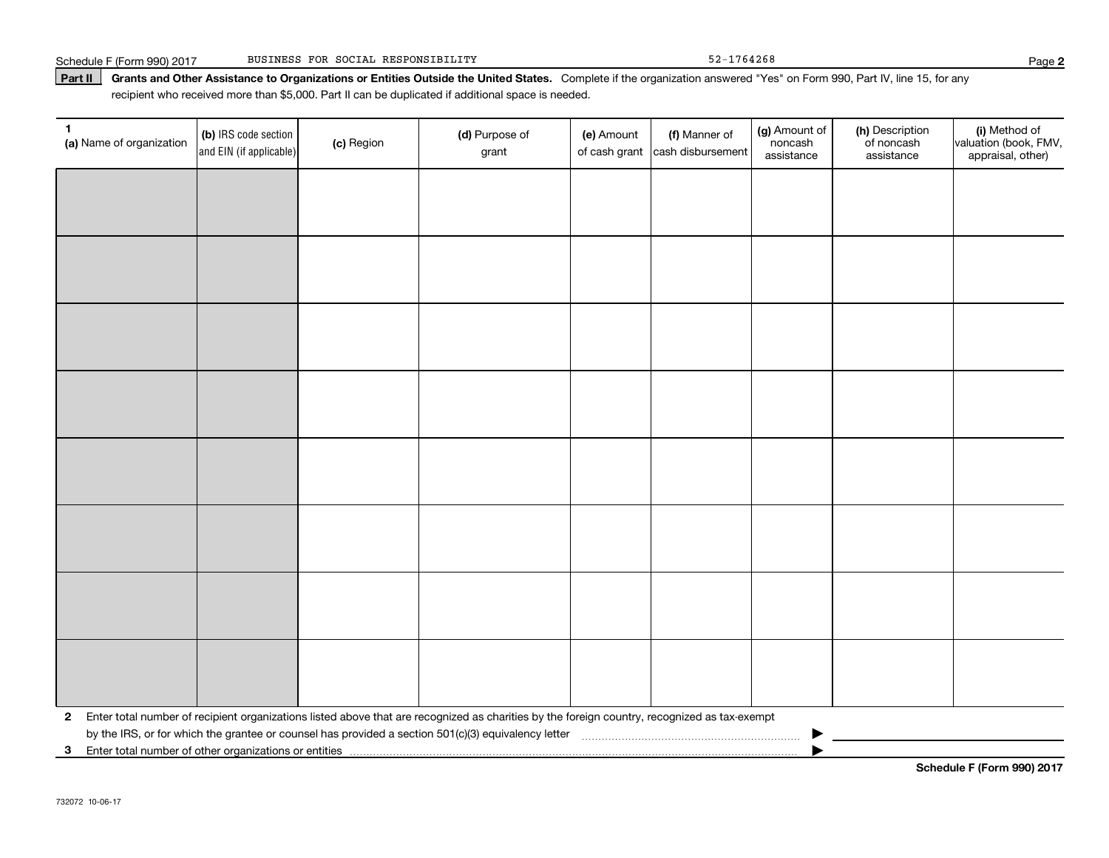### Part II | Grants and Other Assistance to Organizations or Entities Outside the United States. Complete if the organization answered "Yes" on Form 990, Part IV, line 15, for any recipient who received more than \$5,000. Part II can be duplicated if additional space is needed.

| 1.<br>(a) Name of organization | (b) IRS code section<br>and EIN (if applicable)         | (c) Region | (d) Purpose of<br>grant                                                                                                                      | (e) Amount | (f) Manner of<br>of cash grant cash disbursement | (g) Amount of<br>noncash<br>assistance | (h) Description<br>of noncash<br>assistance | (i) Method of<br>valuation (book, FMV,<br>appraisal, other) |  |  |
|--------------------------------|---------------------------------------------------------|------------|----------------------------------------------------------------------------------------------------------------------------------------------|------------|--------------------------------------------------|----------------------------------------|---------------------------------------------|-------------------------------------------------------------|--|--|
|                                |                                                         |            |                                                                                                                                              |            |                                                  |                                        |                                             |                                                             |  |  |
|                                |                                                         |            |                                                                                                                                              |            |                                                  |                                        |                                             |                                                             |  |  |
|                                |                                                         |            |                                                                                                                                              |            |                                                  |                                        |                                             |                                                             |  |  |
|                                |                                                         |            |                                                                                                                                              |            |                                                  |                                        |                                             |                                                             |  |  |
|                                |                                                         |            |                                                                                                                                              |            |                                                  |                                        |                                             |                                                             |  |  |
|                                |                                                         |            |                                                                                                                                              |            |                                                  |                                        |                                             |                                                             |  |  |
|                                |                                                         |            |                                                                                                                                              |            |                                                  |                                        |                                             |                                                             |  |  |
|                                |                                                         |            |                                                                                                                                              |            |                                                  |                                        |                                             |                                                             |  |  |
|                                |                                                         |            |                                                                                                                                              |            |                                                  |                                        |                                             |                                                             |  |  |
|                                |                                                         |            |                                                                                                                                              |            |                                                  |                                        |                                             |                                                             |  |  |
|                                |                                                         |            |                                                                                                                                              |            |                                                  |                                        |                                             |                                                             |  |  |
|                                |                                                         |            |                                                                                                                                              |            |                                                  |                                        |                                             |                                                             |  |  |
|                                |                                                         |            |                                                                                                                                              |            |                                                  |                                        |                                             |                                                             |  |  |
|                                |                                                         |            |                                                                                                                                              |            |                                                  |                                        |                                             |                                                             |  |  |
|                                |                                                         |            |                                                                                                                                              |            |                                                  |                                        |                                             |                                                             |  |  |
|                                |                                                         |            |                                                                                                                                              |            |                                                  |                                        |                                             |                                                             |  |  |
| $\mathbf{2}$                   |                                                         |            | Enter total number of recipient organizations listed above that are recognized as charities by the foreign country, recognized as tax-exempt |            |                                                  |                                        |                                             |                                                             |  |  |
|                                | 3 Enter total number of other organizations or entities |            |                                                                                                                                              |            |                                                  |                                        |                                             |                                                             |  |  |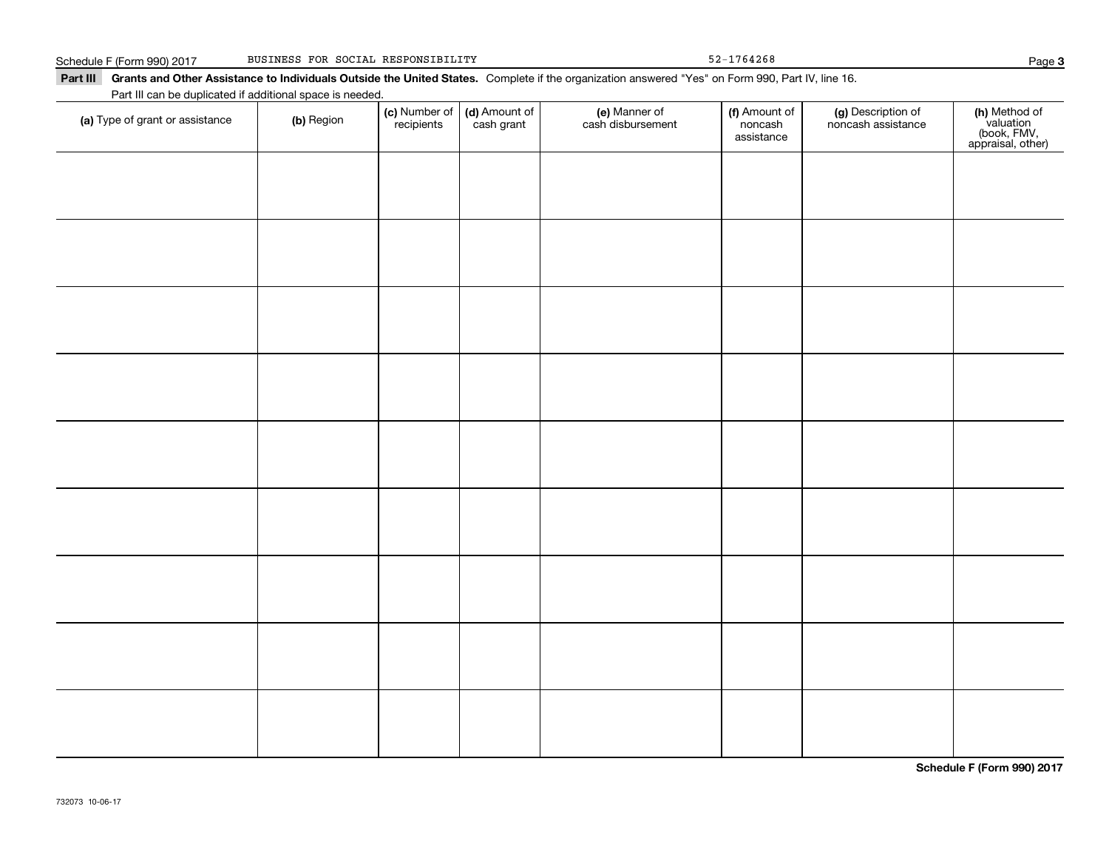Schedule F (Form 990) 2017 BUSINESS FOR SOCIAL RESPONSIBILITY 52-1764268 Page

Part III Grants and Other Assistance to Individuals Outside the United States. Complete if the organization answered "Yes" on Form 990, Part IV, line 16. Part III can be duplicated if additional space is needed.

| Fait in car be duplicated if additional space is needed.<br>(a) Type of grant or assistance | (b) Region | (c) Number of<br>recipients | (d) Amount of<br>cash grant | (e) Manner of<br>cash disbursement | (f) Amount of<br>noncash<br>assistance | (g) Description of<br>noncash assistance | (h) Method of<br>valuation<br>(book, FMV,<br>appraisal, other) |
|---------------------------------------------------------------------------------------------|------------|-----------------------------|-----------------------------|------------------------------------|----------------------------------------|------------------------------------------|----------------------------------------------------------------|
|                                                                                             |            |                             |                             |                                    |                                        |                                          |                                                                |
|                                                                                             |            |                             |                             |                                    |                                        |                                          |                                                                |
|                                                                                             |            |                             |                             |                                    |                                        |                                          |                                                                |
|                                                                                             |            |                             |                             |                                    |                                        |                                          |                                                                |
|                                                                                             |            |                             |                             |                                    |                                        |                                          |                                                                |
|                                                                                             |            |                             |                             |                                    |                                        |                                          |                                                                |
|                                                                                             |            |                             |                             |                                    |                                        |                                          |                                                                |
|                                                                                             |            |                             |                             |                                    |                                        |                                          |                                                                |
|                                                                                             |            |                             |                             |                                    |                                        |                                          |                                                                |
|                                                                                             |            |                             |                             |                                    |                                        |                                          |                                                                |
|                                                                                             |            |                             |                             |                                    |                                        |                                          |                                                                |

**Schedule F (Form 990) 2017**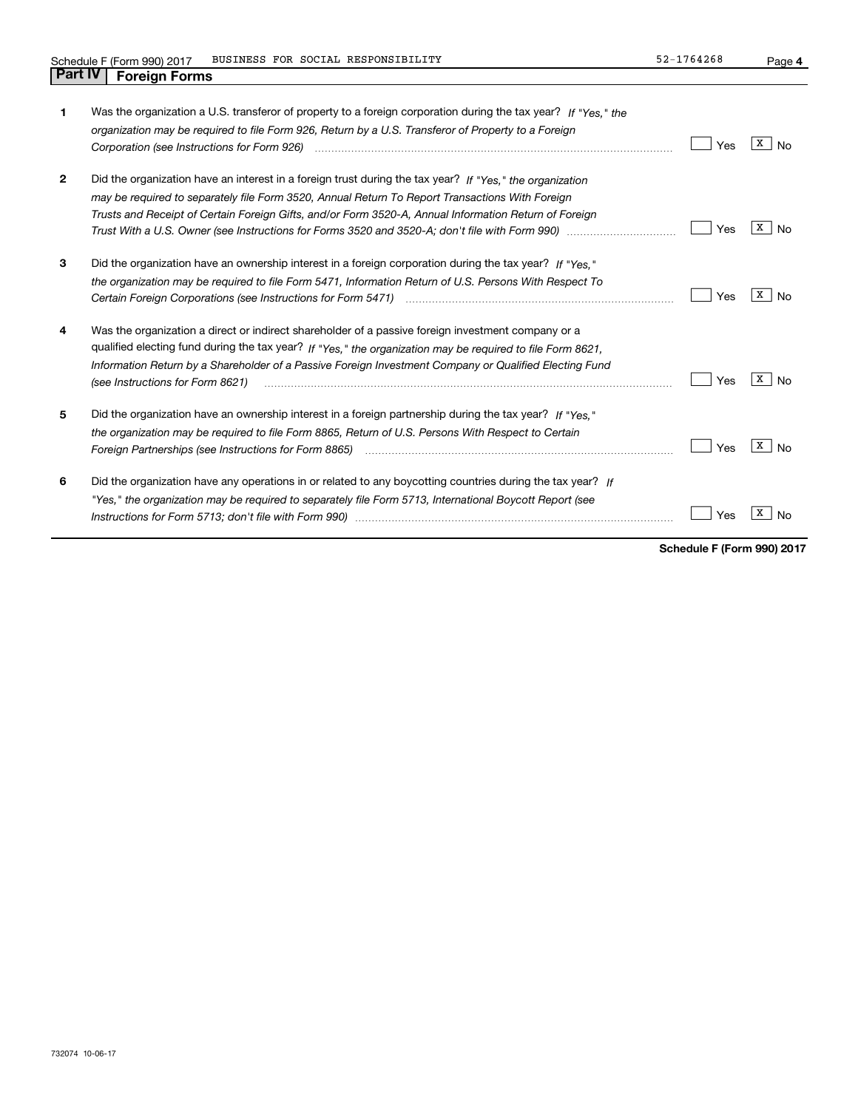**4**

| 1              | Was the organization a U.S. transferor of property to a foreign corporation during the tax year? If "Yes." the<br>organization may be required to file Form 926, Return by a U.S. Transferor of Property to a Foreign<br>Corporation (see Instructions for Form 926) <i>manual content content corporation</i> (see Instructions for Form 926)                                                                                              | Yes | x<br>No |
|----------------|---------------------------------------------------------------------------------------------------------------------------------------------------------------------------------------------------------------------------------------------------------------------------------------------------------------------------------------------------------------------------------------------------------------------------------------------|-----|---------|
| $\overline{2}$ | Did the organization have an interest in a foreign trust during the tax year? If "Yes," the organization<br>may be required to separately file Form 3520, Annual Return To Report Transactions With Foreign<br>Trusts and Receipt of Certain Foreign Gifts, and/or Form 3520-A, Annual Information Return of Foreign<br>Trust With a U.S. Owner (see Instructions for Forms 3520 and 3520-A; don't file with Form 990) manual manual manual | Yes | x<br>No |
| 3              | Did the organization have an ownership interest in a foreign corporation during the tax year? If "Yes."<br>the organization may be required to file Form 5471, Information Return of U.S. Persons With Respect To                                                                                                                                                                                                                           | Yes | x<br>No |
| 4              | Was the organization a direct or indirect shareholder of a passive foreign investment company or a<br>qualified electing fund during the tax year? If "Yes," the organization may be required to file Form 8621.<br>Information Return by a Shareholder of a Passive Foreign Investment Company or Qualified Electing Fund<br>(see Instructions for Form 8621)                                                                              | Yes | x<br>No |
| 5              | Did the organization have an ownership interest in a foreign partnership during the tax year? If "Yes."<br>the organization may be required to file Form 8865, Return of U.S. Persons With Respect to Certain                                                                                                                                                                                                                               | Yes | x<br>No |
| 6              | Did the organization have any operations in or related to any boycotting countries during the tax year? If<br>"Yes," the organization may be required to separately file Form 5713, International Boycott Report (see                                                                                                                                                                                                                       | Yes |         |

**Schedule F (Form 990) 2017**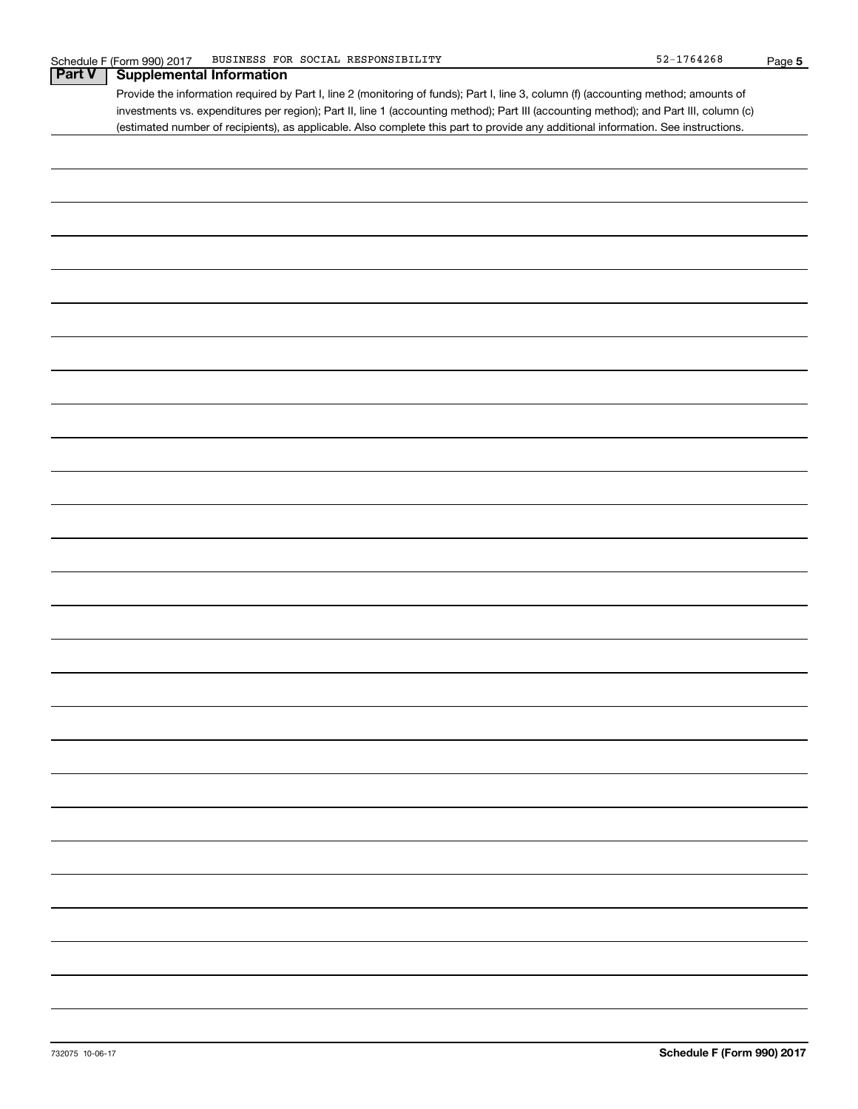| <b>Part V</b> | <u>JUIGUUG FIITUITII 990 ZUTT</u>                                                                                                     | <u>raye J</u> |
|---------------|---------------------------------------------------------------------------------------------------------------------------------------|---------------|
|               | <b>Supplemental Information</b>                                                                                                       |               |
|               | Provide the information required by Part I, line 2 (monitoring of funds); Part I, line 3, column (f) (accounting method; amounts of   |               |
|               | investments vs. expenditures per region); Part II, line 1 (accounting method); Part III (accounting method); and Part III, column (c) |               |
|               | (estimated number of recipients), as applicable. Also complete this part to provide any additional information. See instructions.     |               |
|               |                                                                                                                                       |               |
|               |                                                                                                                                       |               |
|               |                                                                                                                                       |               |
|               |                                                                                                                                       |               |
|               |                                                                                                                                       |               |
|               |                                                                                                                                       |               |
|               |                                                                                                                                       |               |
|               |                                                                                                                                       |               |
|               |                                                                                                                                       |               |
|               |                                                                                                                                       |               |
|               |                                                                                                                                       |               |
|               |                                                                                                                                       |               |
|               |                                                                                                                                       |               |
|               |                                                                                                                                       |               |
|               |                                                                                                                                       |               |
|               |                                                                                                                                       |               |
|               |                                                                                                                                       |               |
|               |                                                                                                                                       |               |
|               |                                                                                                                                       |               |
|               |                                                                                                                                       |               |
|               |                                                                                                                                       |               |
|               |                                                                                                                                       |               |
|               |                                                                                                                                       |               |
|               |                                                                                                                                       |               |
|               |                                                                                                                                       |               |
|               |                                                                                                                                       |               |
|               |                                                                                                                                       |               |
|               |                                                                                                                                       |               |
|               |                                                                                                                                       |               |
|               |                                                                                                                                       |               |
|               |                                                                                                                                       |               |
|               |                                                                                                                                       |               |
|               |                                                                                                                                       |               |
|               |                                                                                                                                       |               |
|               |                                                                                                                                       |               |
|               |                                                                                                                                       |               |
|               |                                                                                                                                       |               |
|               |                                                                                                                                       |               |
|               |                                                                                                                                       |               |
|               |                                                                                                                                       |               |
|               |                                                                                                                                       |               |
|               |                                                                                                                                       |               |
|               |                                                                                                                                       |               |
|               |                                                                                                                                       |               |
|               |                                                                                                                                       |               |
|               |                                                                                                                                       |               |
|               |                                                                                                                                       |               |
|               |                                                                                                                                       |               |
|               |                                                                                                                                       |               |
|               |                                                                                                                                       |               |
|               |                                                                                                                                       |               |
|               |                                                                                                                                       |               |
|               |                                                                                                                                       |               |
|               |                                                                                                                                       |               |
|               |                                                                                                                                       |               |
|               |                                                                                                                                       |               |
|               |                                                                                                                                       |               |
|               |                                                                                                                                       |               |
|               |                                                                                                                                       |               |
|               |                                                                                                                                       |               |
|               |                                                                                                                                       |               |
|               |                                                                                                                                       |               |
|               |                                                                                                                                       |               |
|               |                                                                                                                                       |               |
|               |                                                                                                                                       |               |
|               |                                                                                                                                       |               |
|               |                                                                                                                                       |               |
|               |                                                                                                                                       |               |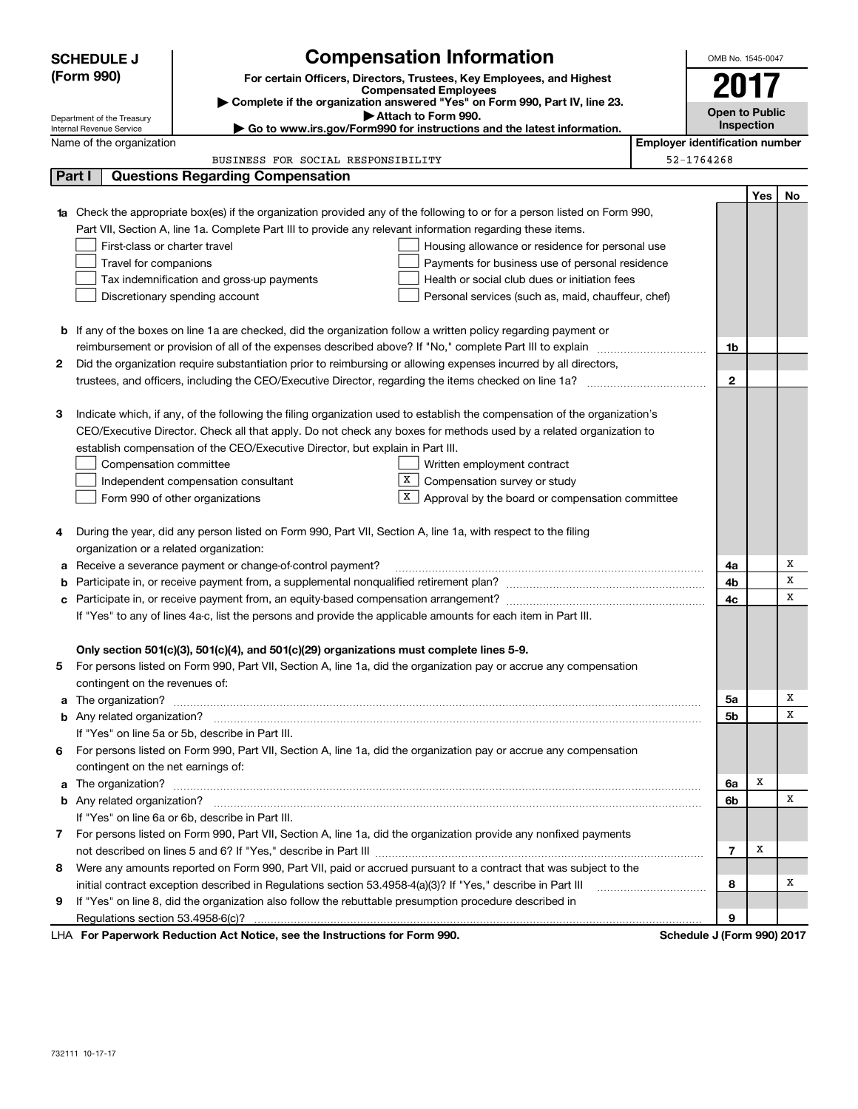|        | <b>SCHEDULE J</b>                                                                                  | <b>Compensation Information</b>                                                                                                  |  |  | OMB No. 1545-0047                   |     |    |  |
|--------|----------------------------------------------------------------------------------------------------|----------------------------------------------------------------------------------------------------------------------------------|--|--|-------------------------------------|-----|----|--|
|        | (Form 990)                                                                                         | For certain Officers, Directors, Trustees, Key Employees, and Highest                                                            |  |  |                                     |     |    |  |
|        |                                                                                                    | <b>Compensated Employees</b><br>Complete if the organization answered "Yes" on Form 990, Part IV, line 23.                       |  |  | 2017                                |     |    |  |
|        | Department of the Treasury                                                                         | Attach to Form 990.                                                                                                              |  |  | <b>Open to Public</b><br>Inspection |     |    |  |
|        | Go to www.irs.gov/Form990 for instructions and the latest information.<br>Internal Revenue Service |                                                                                                                                  |  |  |                                     |     |    |  |
|        | <b>Employer identification number</b><br>Name of the organization                                  |                                                                                                                                  |  |  |                                     |     |    |  |
|        |                                                                                                    | BUSINESS FOR SOCIAL RESPONSIBILITY                                                                                               |  |  | 52-1764268                          |     |    |  |
| Part I |                                                                                                    | <b>Questions Regarding Compensation</b>                                                                                          |  |  |                                     |     |    |  |
|        |                                                                                                    |                                                                                                                                  |  |  |                                     | Yes | No |  |
|        |                                                                                                    | <b>1a</b> Check the appropriate box(es) if the organization provided any of the following to or for a person listed on Form 990, |  |  |                                     |     |    |  |
|        |                                                                                                    | Part VII, Section A, line 1a. Complete Part III to provide any relevant information regarding these items.                       |  |  |                                     |     |    |  |
|        | First-class or charter travel                                                                      | Housing allowance or residence for personal use                                                                                  |  |  |                                     |     |    |  |
|        | Travel for companions                                                                              | Payments for business use of personal residence                                                                                  |  |  |                                     |     |    |  |
|        |                                                                                                    | Tax indemnification and gross-up payments<br>Health or social club dues or initiation fees                                       |  |  |                                     |     |    |  |
|        |                                                                                                    | Discretionary spending account<br>Personal services (such as, maid, chauffeur, chef)                                             |  |  |                                     |     |    |  |
|        |                                                                                                    | <b>b</b> If any of the boxes on line 1a are checked, did the organization follow a written policy regarding payment or           |  |  |                                     |     |    |  |
|        |                                                                                                    |                                                                                                                                  |  |  | 1b                                  |     |    |  |
| 2      |                                                                                                    | Did the organization require substantiation prior to reimbursing or allowing expenses incurred by all directors,                 |  |  |                                     |     |    |  |
|        |                                                                                                    |                                                                                                                                  |  |  | $\mathbf{2}$                        |     |    |  |
|        |                                                                                                    |                                                                                                                                  |  |  |                                     |     |    |  |
| З      |                                                                                                    | Indicate which, if any, of the following the filing organization used to establish the compensation of the organization's        |  |  |                                     |     |    |  |
|        |                                                                                                    | CEO/Executive Director. Check all that apply. Do not check any boxes for methods used by a related organization to               |  |  |                                     |     |    |  |
|        |                                                                                                    | establish compensation of the CEO/Executive Director, but explain in Part III.                                                   |  |  |                                     |     |    |  |
|        | Compensation committee                                                                             | Written employment contract                                                                                                      |  |  |                                     |     |    |  |
|        |                                                                                                    | X  <br>Compensation survey or study<br>Independent compensation consultant                                                       |  |  |                                     |     |    |  |
|        |                                                                                                    | Form 990 of other organizations<br>X  <br>Approval by the board or compensation committee                                        |  |  |                                     |     |    |  |
|        |                                                                                                    |                                                                                                                                  |  |  |                                     |     |    |  |
| 4      |                                                                                                    | During the year, did any person listed on Form 990, Part VII, Section A, line 1a, with respect to the filing                     |  |  |                                     |     |    |  |
|        | organization or a related organization:                                                            |                                                                                                                                  |  |  |                                     |     |    |  |
|        |                                                                                                    | Receive a severance payment or change-of-control payment?                                                                        |  |  | 4a                                  |     | х  |  |
| b      |                                                                                                    |                                                                                                                                  |  |  | 4b                                  |     | X  |  |
| c      |                                                                                                    |                                                                                                                                  |  |  | 4c                                  |     | X  |  |
|        |                                                                                                    | If "Yes" to any of lines 4a-c, list the persons and provide the applicable amounts for each item in Part III.                    |  |  |                                     |     |    |  |
|        |                                                                                                    |                                                                                                                                  |  |  |                                     |     |    |  |
|        |                                                                                                    | Only section 501(c)(3), 501(c)(4), and 501(c)(29) organizations must complete lines 5-9.                                         |  |  |                                     |     |    |  |
|        |                                                                                                    | For persons listed on Form 990, Part VII, Section A, line 1a, did the organization pay or accrue any compensation                |  |  |                                     |     |    |  |
|        | contingent on the revenues of:                                                                     |                                                                                                                                  |  |  |                                     |     |    |  |
|        |                                                                                                    |                                                                                                                                  |  |  | 5a                                  |     | х  |  |
|        | <b>b</b> Any related organization?                                                                 |                                                                                                                                  |  |  | 5b                                  |     | x  |  |
|        |                                                                                                    | If "Yes" on line 5a or 5b, describe in Part III.                                                                                 |  |  |                                     |     |    |  |
| 6.     |                                                                                                    | For persons listed on Form 990, Part VII, Section A, line 1a, did the organization pay or accrue any compensation                |  |  |                                     |     |    |  |
|        | contingent on the net earnings of:                                                                 |                                                                                                                                  |  |  |                                     |     |    |  |
|        |                                                                                                    |                                                                                                                                  |  |  | 6a                                  | х   |    |  |
|        | <b>b</b> Any related organization?                                                                 |                                                                                                                                  |  |  | 6b                                  |     | X  |  |
|        |                                                                                                    | If "Yes" on line 6a or 6b, describe in Part III.                                                                                 |  |  |                                     |     |    |  |
|        |                                                                                                    | 7 For persons listed on Form 990, Part VII, Section A, line 1a, did the organization provide any nonfixed payments               |  |  |                                     |     |    |  |
|        |                                                                                                    |                                                                                                                                  |  |  | $\overline{7}$                      | х   |    |  |
| 8      |                                                                                                    | Were any amounts reported on Form 990, Part VII, paid or accrued pursuant to a contract that was subject to the                  |  |  |                                     |     |    |  |
|        |                                                                                                    | initial contract exception described in Regulations section 53.4958-4(a)(3)? If "Yes," describe in Part III                      |  |  | 8                                   |     | х  |  |
| 9      |                                                                                                    | If "Yes" on line 8, did the organization also follow the rebuttable presumption procedure described in                           |  |  |                                     |     |    |  |
|        | Regulations section 53.4958-6(c)?                                                                  |                                                                                                                                  |  |  | 9                                   |     |    |  |
|        |                                                                                                    | LHA For Paperwork Reduction Act Notice, see the Instructions for Form 990.                                                       |  |  | Schedule J (Form 990) 2017          |     |    |  |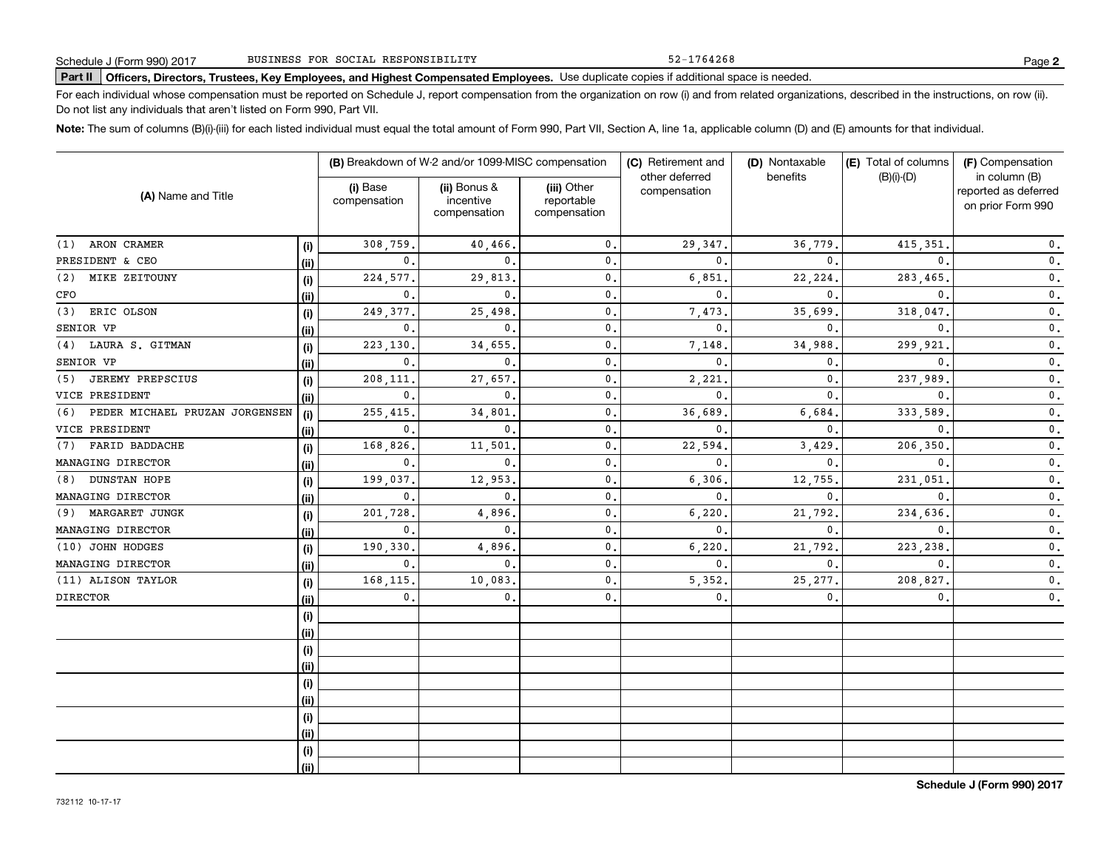52-1764268

# **Part II Officers, Directors, Trustees, Key Employees, and Highest Compensated Employees.**  Schedule J (Form 990) 2017 Page Use duplicate copies if additional space is needed.

For each individual whose compensation must be reported on Schedule J, report compensation from the organization on row (i) and from related organizations, described in the instructions, on row (ii). Do not list any individuals that aren't listed on Form 990, Part VII.

**Note:**  The sum of columns (B)(i)-(iii) for each listed individual must equal the total amount of Form 990, Part VII, Section A, line 1a, applicable column (D) and (E) amounts for that individual.

|                                       |      |                          | (B) Breakdown of W-2 and/or 1099-MISC compensation |                                           | (C) Retirement and             | (D) Nontaxable | (E) Total of columns | (F) Compensation                                           |  |
|---------------------------------------|------|--------------------------|----------------------------------------------------|-------------------------------------------|--------------------------------|----------------|----------------------|------------------------------------------------------------|--|
| (A) Name and Title                    |      | (i) Base<br>compensation | (ii) Bonus &<br>incentive<br>compensation          | (iii) Other<br>reportable<br>compensation | other deferred<br>compensation | benefits       | $(B)(i)$ - $(D)$     | in column (B)<br>reported as deferred<br>on prior Form 990 |  |
| ARON CRAMER<br>(1)                    | (i)  | 308,759.                 | 40,466,                                            | $\mathbf{0}$ .                            | 29, 347.                       | 36,779         | 415,351              | 0.                                                         |  |
| PRESIDENT & CEO                       | (ii) | $\mathbf{0}$ .           | $\Omega$                                           | $\mathbf 0$ .                             | $\mathbf{0}$                   | $\Omega$       | 0                    | $\mathbf 0$ .                                              |  |
| (2)<br>MIKE ZEITOUNY                  | (i)  | 224,577.                 | 29,813                                             | $\mathbf 0$ .                             | 6,851                          | 22,224         | 283,465              | $\mathbf 0$ .                                              |  |
| CFO                                   | (ii) | $\mathbf{0}$ .           | $\mathbf{0}$ .                                     | $\mathbf 0$ .                             | $\mathbf{0}$ .                 | 0              | 0                    | $\mathbf 0$ .                                              |  |
| (3)<br>ERIC OLSON                     | (i)  | 249, 377.                | 25,498                                             | $\mathbf 0$ .                             | 7,473                          | 35,699         | 318,047              | 0.                                                         |  |
| SENIOR VP                             | (i)  | 0.                       | $\mathbf{0}$ .                                     | $\mathbf 0$ .                             | $\mathbf{0}$ .                 | $\mathbf{0}$   | $\Omega$             | $\mathbf 0$ .                                              |  |
| (4) LAURA S. GITMAN                   | (i)  | 223,130                  | 34,655                                             | $\mathbf 0$ .                             | 7,148                          | 34,988         | 299,921              | $\mathbf 0$ .                                              |  |
| SENIOR VP                             | (ii) | $\mathbf{0}$ .           | $\mathbf{0}$ .                                     | $\mathbf 0$ .                             | $\mathbf{0}$ .                 | $\mathbf{0}$   | $\Omega$             | $\mathbf 0$ .                                              |  |
| <b>JEREMY PREPSCIUS</b><br>(5)        | (i)  | 208,111                  | 27,657                                             | $\mathbf 0$ .                             | 2,221                          | $\mathbf{0}$   | 237,989              | 0.                                                         |  |
| VICE PRESIDENT                        | (ii) | $\mathbf{0}$ .           | $\mathbf{0}$ .                                     | $\mathbf 0$ .                             | 0                              | $\mathbf{0}$   | $\Omega$             | 0.                                                         |  |
| PEDER MICHAEL PRUZAN JORGENSEN<br>(6) | (i)  | 255, 415.                | 34,801                                             | $\mathbf 0$ .                             | 36,689                         | 6,684          | 333,589              | $\mathbf 0$ .                                              |  |
| VICE PRESIDENT                        | (i)  | $\mathbf{0}$ .           | $\mathbf{0}$ .                                     | $\mathbf 0$ .                             | 0                              | $\mathbf{0}$   | $\mathbf{0}$         | $\mathbf 0$ .                                              |  |
| FARID BADDACHE<br>(7)                 | (i)  | 168,826                  | 11,501                                             | $\mathbf 0$ .                             | 22,594                         | 3,429          | 206,350              | $\mathbf 0$ .                                              |  |
| MANAGING DIRECTOR                     | (ii) | 0.                       | $\mathbf{0}$ .                                     | $\mathbf{0}$ .                            | 0                              | 0              | 0                    | 0.                                                         |  |
| <b>DUNSTAN HOPE</b><br>(8)            | (i)  | 199,037                  | 12,953                                             | $\mathbf 0$ .                             | 6,306                          | 12,755         | 231,051              | $\mathbf 0$ .                                              |  |
| MANAGING DIRECTOR                     | (ii) | $\mathbf{0}$ .           | $\mathbf{0}$ .                                     | $\mathbf 0$ .                             | 0                              | $\mathbf 0$    | 0                    | 0.                                                         |  |
| MARGARET JUNGK<br>(9)                 | (i)  | 201,728                  | 4,896                                              | $\mathbf 0$ .                             | 6,220                          | 21,792         | 234,636              | $\mathbf 0$ .                                              |  |
| MANAGING DIRECTOR                     | (ii) | 0.                       | $\mathbf{0}$ .                                     | $\mathbf 0$ .                             | 0                              | $\mathbf{0}$   | $\mathbf{0}$         | 0.                                                         |  |
| (10) JOHN HODGES                      | (i)  | 190,330                  | 4,896                                              | $\mathbf 0$ .                             | 6,220                          | 21,792         | 223,238              | 0.                                                         |  |
| MANAGING DIRECTOR                     | (ii) | 0.                       | $\mathbf{0}$ .                                     | $\mathbf{0}$ .                            | 0                              | $\mathbf{0}$   | $\mathbf{0}$         | 0.                                                         |  |
| (11) ALISON TAYLOR                    | (i)  | 168,115                  | 10,083                                             | $\mathbf 0$ .                             | 5,352                          | 25, 277        | 208,827              | $\mathbf 0$ .                                              |  |
| <b>DIRECTOR</b>                       | (ii) | 0.                       | $\mathbf{0}$ .                                     | $\mathbf 0$ .                             | 0.                             | $\mathbf{0}$   | $\mathbf{0}$         | 0.                                                         |  |
|                                       | (i)  |                          |                                                    |                                           |                                |                |                      |                                                            |  |
|                                       | (ii) |                          |                                                    |                                           |                                |                |                      |                                                            |  |
|                                       | (i)  |                          |                                                    |                                           |                                |                |                      |                                                            |  |
|                                       | (ii) |                          |                                                    |                                           |                                |                |                      |                                                            |  |
|                                       | (i)  |                          |                                                    |                                           |                                |                |                      |                                                            |  |
|                                       | (ii) |                          |                                                    |                                           |                                |                |                      |                                                            |  |
|                                       | (i)  |                          |                                                    |                                           |                                |                |                      |                                                            |  |
|                                       | (ii) |                          |                                                    |                                           |                                |                |                      |                                                            |  |
|                                       | (i)  |                          |                                                    |                                           |                                |                |                      |                                                            |  |
|                                       | (ii) |                          |                                                    |                                           |                                |                |                      |                                                            |  |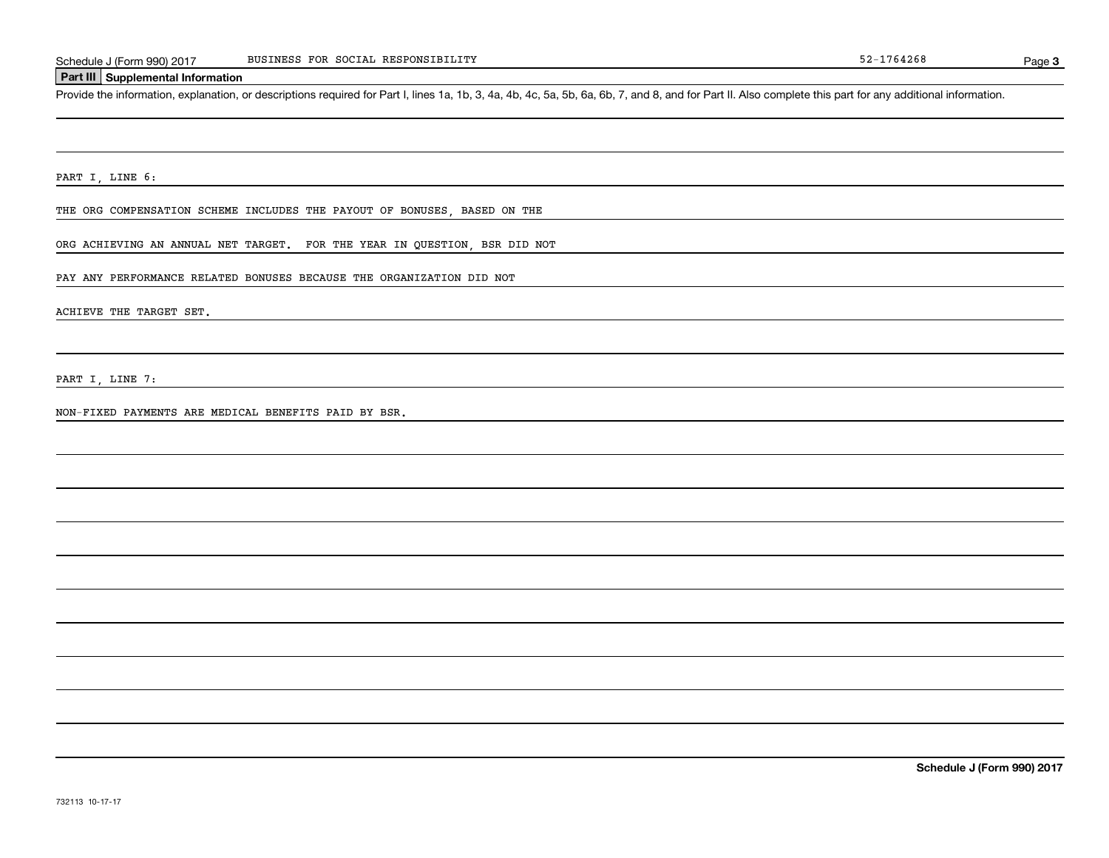### **Part III Supplemental Information**

Schedule J (Form 990) 2017 BUSINESS FOR SOCIAL RESPONSIBILITY<br>Part III Supplemental Information<br>Provide the information, explanation, or descriptions required for Part I, lines 1a, 1b, 3, 4a, 4b, 4c, 5a, 5b, 6a, 6b, 7, and

PART I, LINE 6:

THE ORG COMPENSATION SCHEME INCLUDES THE PAYOUT OF BONUSES, BASED ON THE

ORG ACHIEVING AN ANNUAL NET TARGET. FOR THE YEAR IN QUESTION, BSR DID NOT

PAY ANY PERFORMANCE RELATED BONUSES BECAUSE THE ORGANIZATION DID NOT

ACHIEVE THE TARGET SET.

PART I, LINE 7:

NON-FIXED PAYMENTS ARE MEDICAL BENEFITS PAID BY BSR.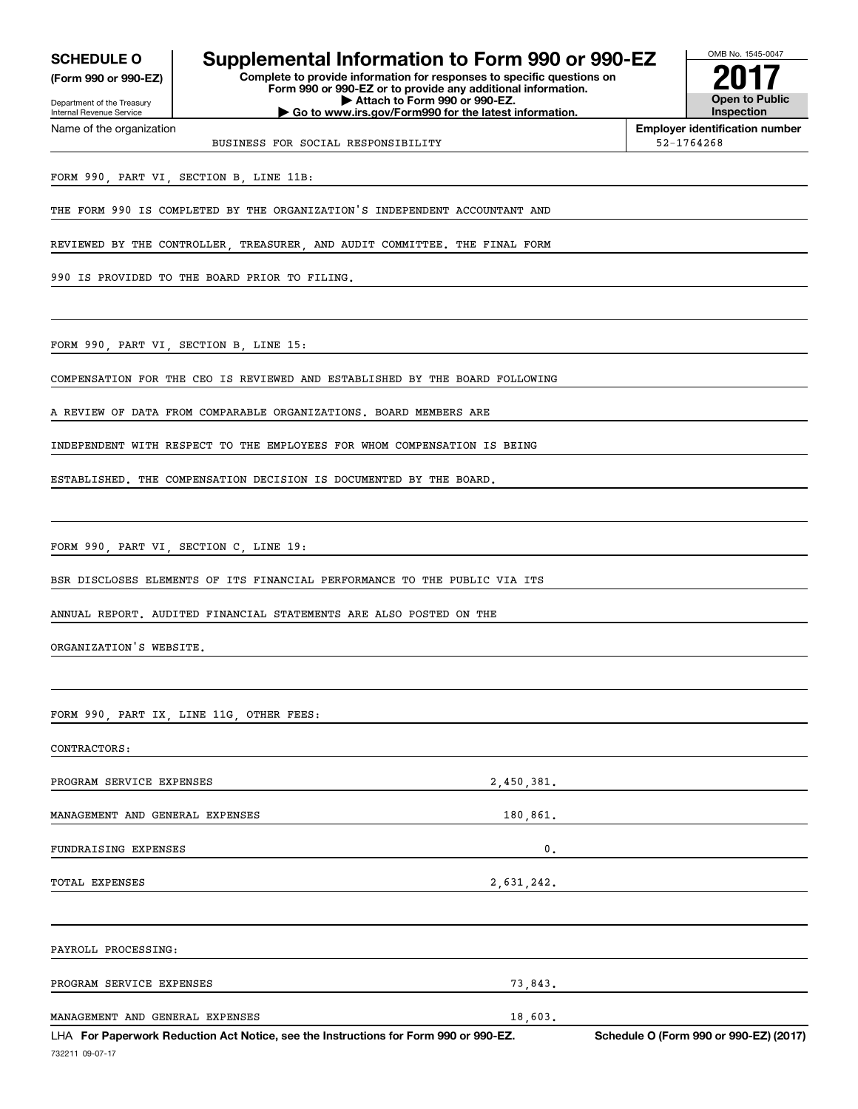Internal Revenue Service

Department of the Treasury **(Form 990 or 990-EZ)**

Name of the organization

# **SCHEDULE O Supplemental Information to Form 990 or 990-EZ**

**Complete to provide information for responses to specific questions on Form 990 or 990-EZ or to provide any additional information. | Attach to Form 990 or 990-EZ. | Go to www.irs.gov/Form990 for the latest information.**



**Employer identification number**

BUSINESS FOR SOCIAL RESPONSIBILITY 52-1764268

FORM 990, PART VI, SECTION B, LINE 11B:

THE FORM 990 IS COMPLETED BY THE ORGANIZATION'S INDEPENDENT ACCOUNTANT AND

REVIEWED BY THE CONTROLLER, TREASURER, AND AUDIT COMMITTEE. THE FINAL FORM

990 IS PROVIDED TO THE BOARD PRIOR TO FILING.

FORM 990, PART VI, SECTION B, LINE 15:

COMPENSATION FOR THE CEO IS REVIEWED AND ESTABLISHED BY THE BOARD FOLLOWING

A REVIEW OF DATA FROM COMPARABLE ORGANIZATIONS. BOARD MEMBERS ARE

INDEPENDENT WITH RESPECT TO THE EMPLOYEES FOR WHOM COMPENSATION IS BEING

ESTABLISHED. THE COMPENSATION DECISION IS DOCUMENTED BY THE BOARD.

FORM 990, PART VI, SECTION C, LINE 19:

BSR DISCLOSES ELEMENTS OF ITS FINANCIAL PERFORMANCE TO THE PUBLIC VIA ITS

ANNUAL REPORT. AUDITED FINANCIAL STATEMENTS ARE ALSO POSTED ON THE

ORGANIZATION'S WEBSITE.

FORM 990, PART IX, LINE 11G, OTHER FEES:

CONTRACTORS: PROGRAM SERVICE EXPENSES 2,450,381. MANAGEMENT AND GENERAL EXPENSES 180,861. FUNDRAISING EXPENSES 0. TOTAL EXPENSES 2.631, 242.

PAYROLL PROCESSING: PROGRAM SERVICE EXPENSES 73,843. MANAGEMENT AND GENERAL EXPENSES 18,603.

732211 09-07-17 LHA For Paperwork Reduction Act Notice, see the Instructions for Form 990 or 990-EZ. Schedule O (Form 990 or 990-EZ) (2017)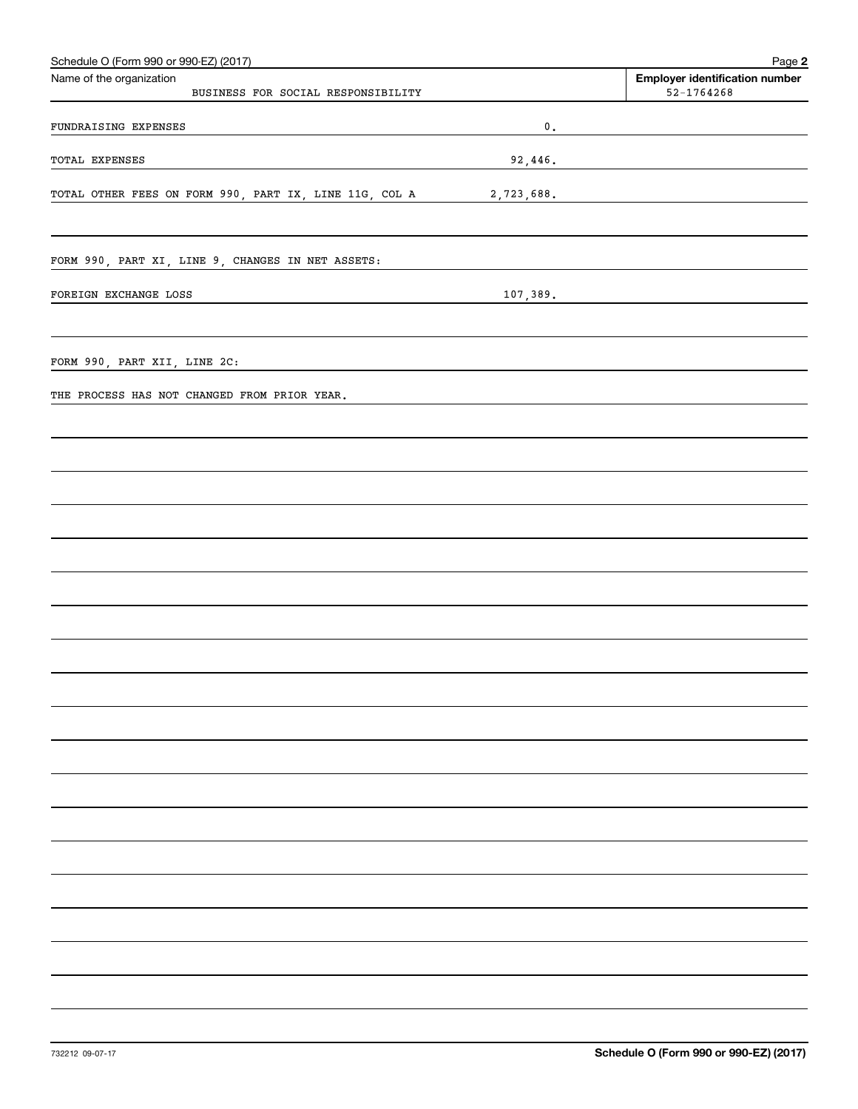| Schedule O (Form 990 or 990-EZ) (2017)                         |               | Page 2                                                  |
|----------------------------------------------------------------|---------------|---------------------------------------------------------|
| Name of the organization<br>BUSINESS FOR SOCIAL RESPONSIBILITY |               | <b>Employer identification number</b><br>$52 - 1764268$ |
| FUNDRAISING EXPENSES                                           | $\mathbf 0$ . |                                                         |
| TOTAL EXPENSES                                                 |               | 92,446.                                                 |
| TOTAL OTHER FEES ON FORM 990, PART IX, LINE 11G, COL A         | 2,723,688.    |                                                         |
| FORM 990, PART XI, LINE 9, CHANGES IN NET ASSETS:              |               |                                                         |
| FOREIGN EXCHANGE LOSS                                          | 107,389.      |                                                         |
|                                                                |               |                                                         |
| FORM 990, PART XII, LINE 2C:                                   |               |                                                         |
| THE PROCESS HAS NOT CHANGED FROM PRIOR YEAR.                   |               |                                                         |
|                                                                |               |                                                         |
|                                                                |               |                                                         |
|                                                                |               |                                                         |
|                                                                |               |                                                         |
|                                                                |               |                                                         |
|                                                                |               |                                                         |
|                                                                |               |                                                         |
|                                                                |               |                                                         |
|                                                                |               |                                                         |
|                                                                |               |                                                         |
|                                                                |               |                                                         |
|                                                                |               |                                                         |
|                                                                |               |                                                         |
|                                                                |               |                                                         |
|                                                                |               |                                                         |
|                                                                |               |                                                         |
|                                                                |               |                                                         |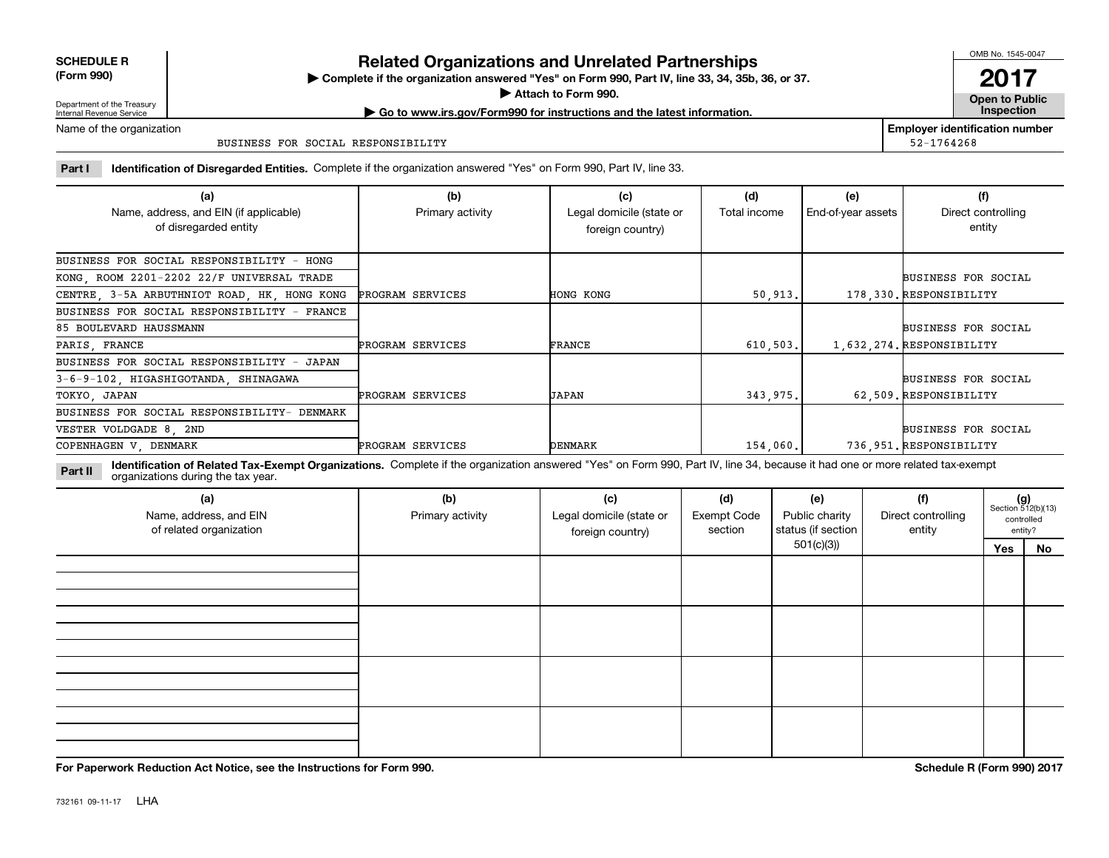| <b>SCHEDULE R</b>    |  |
|----------------------|--|
| $P_1, \ldots, P_{n}$ |  |

**(Form 990)**

# **Related Organizations and Unrelated Partnerships**

**Complete if the organization answered "Yes" on Form 990, Part IV, line 33, 34, 35b, 36, or 37.** |

**Attach to Form 990.**  |

OMB No. 1545-0047

**Open to Public | Go to www.irs.gov/Form990 for instructions and the latest information. Inspection 2017**

**Employer identification number**

52-1764268

Department of the Treasury Internal Revenue Service Name of the organization

BUSINESS FOR SOCIAL RESPONSIBILITY

**Part I Identification of Disregarded Entities.**  Complete if the organization answered "Yes" on Form 990, Part IV, line 33.

| (a)<br>Name, address, and EIN (if applicable)<br>of disregarded entity | (b)<br>Primary activity | (c)<br>Legal domicile (state or<br>foreign country) | (d)<br>Total income | (e)<br>End-of-year assets | (f)<br>Direct controlling<br>entity |
|------------------------------------------------------------------------|-------------------------|-----------------------------------------------------|---------------------|---------------------------|-------------------------------------|
| BUSINESS FOR SOCIAL RESPONSIBILITY - HONG                              |                         |                                                     |                     |                           |                                     |
| KONG, ROOM 2201-2202 22/F UNIVERSAL TRADE                              |                         |                                                     |                     |                           | <b>BUSINESS FOR SOCIAL</b>          |
| CENTRE, 3-5A ARBUTHNIOT ROAD, HK, HONG KONG                            | PROGRAM SERVICES        | <b>HONG KONG</b>                                    | 50.913.             |                           | 178.330. RESPONSIBILITY             |
| BUSINESS FOR SOCIAL RESPONSIBILITY - FRANCE                            |                         |                                                     |                     |                           |                                     |
| 85 BOULEVARD HAUSSMANN                                                 |                         |                                                     |                     |                           | <b>BUSINESS FOR SOCIAL</b>          |
| PARIS, FRANCE                                                          | PROGRAM SERVICES        | FRANCE                                              | 610, 503.           |                           | 1.632.274. RESPONSIBILITY           |
| BUSINESS FOR SOCIAL RESPONSIBILITY - JAPAN                             |                         |                                                     |                     |                           |                                     |
| 3-6-9-102, HIGASHIGOTANDA, SHINAGAWA                                   |                         |                                                     |                     |                           | <b>BUSINESS FOR SOCIAL</b>          |
| TOKYO, JAPAN                                                           | PROGRAM SERVICES        | JAPAN                                               | 343,975.            |                           | 62.509. RESPONSIBILITY              |
| BUSINESS FOR SOCIAL RESPONSIBILITY- DENMARK                            |                         |                                                     |                     |                           |                                     |
| VESTER VOLDGADE 8, 2ND                                                 |                         |                                                     |                     |                           | <b>BUSINESS FOR SOCIAL</b>          |
| COPENHAGEN V, DENMARK                                                  | PROGRAM SERVICES        | DENMARK                                             | 154,060.            |                           | 736.951.RESPONSIBILITY              |

**Identification of Related Tax-Exempt Organizations.** Complete if the organization answered "Yes" on Form 990, Part IV, line 34, because it had one or more related tax-exempt **Part II** organizations during the tax year.

| (a)<br>Name, address, and EIN<br>of related organization | (b)<br>Primary activity | (c)<br>Legal domicile (state or<br>foreign country) | (d)<br><b>Exempt Code</b><br>section | (e)<br>Public charity<br>status (if section | (f)<br>Direct controlling<br>entity |     | $(g)$<br>Section 512(b)(13)<br>controlled<br>entity? |
|----------------------------------------------------------|-------------------------|-----------------------------------------------------|--------------------------------------|---------------------------------------------|-------------------------------------|-----|------------------------------------------------------|
|                                                          |                         |                                                     | 501(c)(3)                            |                                             |                                     | Yes | No                                                   |
|                                                          |                         |                                                     |                                      |                                             |                                     |     |                                                      |
|                                                          |                         |                                                     |                                      |                                             |                                     |     |                                                      |
|                                                          |                         |                                                     |                                      |                                             |                                     |     |                                                      |
|                                                          |                         |                                                     |                                      |                                             |                                     |     |                                                      |
|                                                          |                         |                                                     |                                      |                                             |                                     |     |                                                      |
|                                                          |                         |                                                     |                                      |                                             |                                     |     |                                                      |
|                                                          |                         |                                                     |                                      |                                             |                                     |     |                                                      |
|                                                          |                         |                                                     |                                      |                                             |                                     |     |                                                      |
|                                                          |                         |                                                     |                                      |                                             |                                     |     |                                                      |
|                                                          |                         |                                                     |                                      |                                             |                                     |     |                                                      |
|                                                          |                         |                                                     |                                      |                                             |                                     |     |                                                      |

**For Paperwork Reduction Act Notice, see the Instructions for Form 990. Schedule R (Form 990) 2017**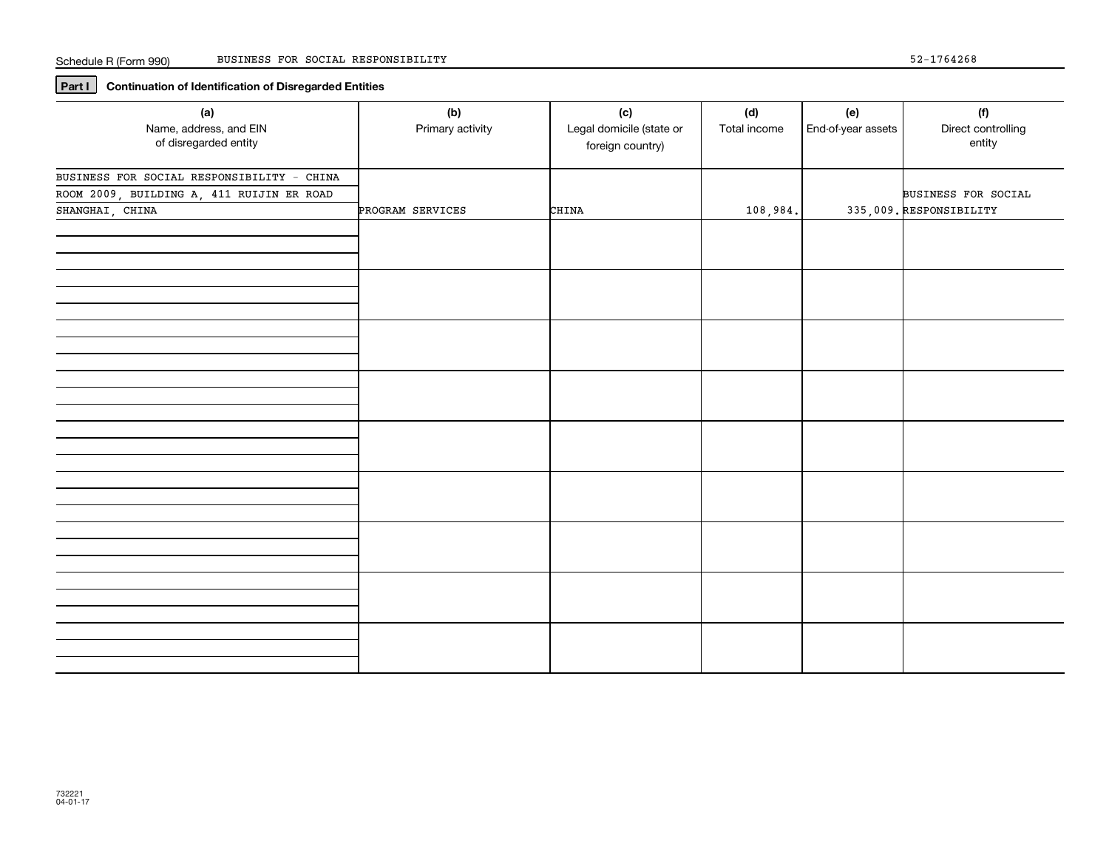# **Part I Continuation of Identification of Disregarded Entities**

| (a)<br>Name, address, and EIN<br>of disregarded entity                                                     | (b)<br>Primary activity | (c)<br>Legal domicile (state or<br>foreign country) | (d)<br>Total income | (e)<br>End-of-year assets | (f)<br>Direct controlling<br>entity            |
|------------------------------------------------------------------------------------------------------------|-------------------------|-----------------------------------------------------|---------------------|---------------------------|------------------------------------------------|
| BUSINESS FOR SOCIAL RESPONSIBILITY - CHINA<br>ROOM 2009, BUILDING A, 411 RUIJIN ER ROAD<br>SHANGHAI, CHINA | PROGRAM SERVICES        | CHINA                                               | 108,984.            |                           | BUSINESS FOR SOCIAL<br>335,009. RESPONSIBILITY |
|                                                                                                            |                         |                                                     |                     |                           |                                                |
|                                                                                                            |                         |                                                     |                     |                           |                                                |
|                                                                                                            |                         |                                                     |                     |                           |                                                |
|                                                                                                            |                         |                                                     |                     |                           |                                                |
|                                                                                                            |                         |                                                     |                     |                           |                                                |
|                                                                                                            |                         |                                                     |                     |                           |                                                |
|                                                                                                            |                         |                                                     |                     |                           |                                                |
|                                                                                                            |                         |                                                     |                     |                           |                                                |
|                                                                                                            |                         |                                                     |                     |                           |                                                |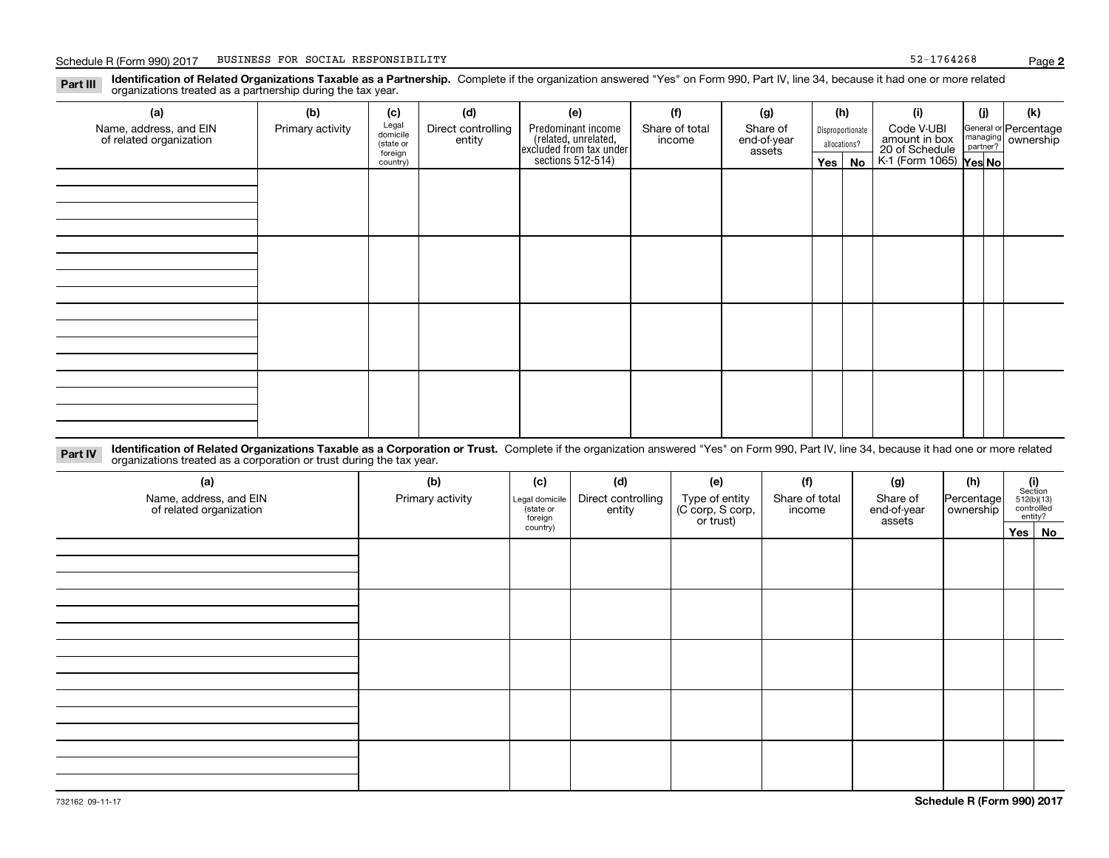**Identification of Related Organizations Taxable as a Partnership.** Complete if the organization answered "Yes" on Form 990, Part IV, line 34, because it had one or more related **Part III** organizations treated as a partnership during the tax year.

| (b)              | (c)       | (d)                          | (e)                | (f)            | (g)                                                                           |                       |    | (i)                            | (j)                               | (k)                                                            |
|------------------|-----------|------------------------------|--------------------|----------------|-------------------------------------------------------------------------------|-----------------------|----|--------------------------------|-----------------------------------|----------------------------------------------------------------|
| Primary activity |           | Direct controlling           | Predominant income | Share of total | Share of                                                                      |                       |    | Code V-UBI                     |                                   | General or Percentage                                          |
|                  | (state or |                              |                    |                |                                                                               |                       |    |                                |                                   |                                                                |
|                  | country)  |                              |                    |                |                                                                               |                       | No |                                |                                   |                                                                |
|                  |           |                              |                    |                |                                                                               |                       |    |                                |                                   |                                                                |
|                  |           |                              |                    |                |                                                                               |                       |    |                                |                                   |                                                                |
|                  |           |                              |                    |                |                                                                               |                       |    |                                |                                   |                                                                |
|                  |           |                              |                    |                |                                                                               |                       |    |                                |                                   |                                                                |
|                  |           |                              |                    |                |                                                                               |                       |    |                                |                                   |                                                                |
|                  |           |                              |                    |                |                                                                               |                       |    |                                |                                   |                                                                |
|                  |           |                              |                    |                |                                                                               |                       |    |                                |                                   |                                                                |
|                  |           |                              |                    |                |                                                                               |                       |    |                                |                                   |                                                                |
|                  |           |                              |                    |                |                                                                               |                       |    |                                |                                   |                                                                |
|                  |           |                              |                    |                |                                                                               |                       |    |                                |                                   |                                                                |
|                  |           |                              |                    |                |                                                                               |                       |    |                                |                                   |                                                                |
|                  |           |                              |                    |                |                                                                               |                       |    |                                |                                   |                                                                |
|                  |           |                              |                    |                |                                                                               |                       |    |                                |                                   |                                                                |
|                  |           |                              |                    |                |                                                                               |                       |    |                                |                                   |                                                                |
|                  |           |                              |                    |                |                                                                               |                       |    |                                |                                   |                                                                |
|                  |           |                              |                    |                |                                                                               |                       |    |                                |                                   |                                                                |
|                  |           | Legal<br>domicile<br>foreign | entity             |                | related, unrelated,<br>excluded from tax under<br>sections 512-514)<br>income | end-of-year<br>assets |    | (h)<br>allocations?<br>Yes $ $ | Disproportionate<br>amount in box | managing ownership<br>20 of Schedule<br>K-1 (Form 1065) Yes No |

**Identification of Related Organizations Taxable as a Corporation or Trust.** Complete if the organization answered "Yes" on Form 990, Part IV, line 34, because it had one or more related **Part IV** organizations treated as a corporation or trust during the tax year.

| (a)<br>Name, address, and EIN<br>of related organization | (b)<br>Primary activity | (c)<br>Legal domicile<br>(state or<br>foreign | (d)<br>Direct controlling<br>entity | (e)<br>Type of entity<br>(C corp, S corp,<br>or trust) | (f)<br>Share of total<br>income | (g)<br>Share of<br>end-of-year<br>assets | (h)<br>Percentage<br>ownership | $\begin{array}{c} \textbf{(i)}\\ \text{Section}\\ 512 \text{(b)} \text{(13)}\\ \text{controlled}\end{array}$ | entity?  |
|----------------------------------------------------------|-------------------------|-----------------------------------------------|-------------------------------------|--------------------------------------------------------|---------------------------------|------------------------------------------|--------------------------------|--------------------------------------------------------------------------------------------------------------|----------|
|                                                          |                         | country)                                      |                                     |                                                        |                                 |                                          |                                |                                                                                                              | Yes   No |
|                                                          |                         |                                               |                                     |                                                        |                                 |                                          |                                |                                                                                                              |          |
|                                                          |                         |                                               |                                     |                                                        |                                 |                                          |                                |                                                                                                              |          |
|                                                          |                         |                                               |                                     |                                                        |                                 |                                          |                                |                                                                                                              |          |
|                                                          |                         |                                               |                                     |                                                        |                                 |                                          |                                |                                                                                                              |          |
|                                                          |                         |                                               |                                     |                                                        |                                 |                                          |                                |                                                                                                              |          |
|                                                          |                         |                                               |                                     |                                                        |                                 |                                          |                                |                                                                                                              |          |
|                                                          |                         |                                               |                                     |                                                        |                                 |                                          |                                |                                                                                                              |          |
|                                                          |                         |                                               |                                     |                                                        |                                 |                                          |                                |                                                                                                              |          |
|                                                          |                         |                                               |                                     |                                                        |                                 |                                          |                                |                                                                                                              |          |
|                                                          |                         |                                               |                                     |                                                        |                                 |                                          |                                |                                                                                                              |          |
|                                                          |                         |                                               |                                     |                                                        |                                 |                                          |                                |                                                                                                              |          |
|                                                          |                         |                                               |                                     |                                                        |                                 |                                          |                                |                                                                                                              |          |
|                                                          |                         |                                               |                                     |                                                        |                                 |                                          |                                |                                                                                                              |          |
|                                                          |                         |                                               |                                     |                                                        |                                 |                                          |                                |                                                                                                              |          |
|                                                          |                         |                                               |                                     |                                                        |                                 |                                          |                                |                                                                                                              |          |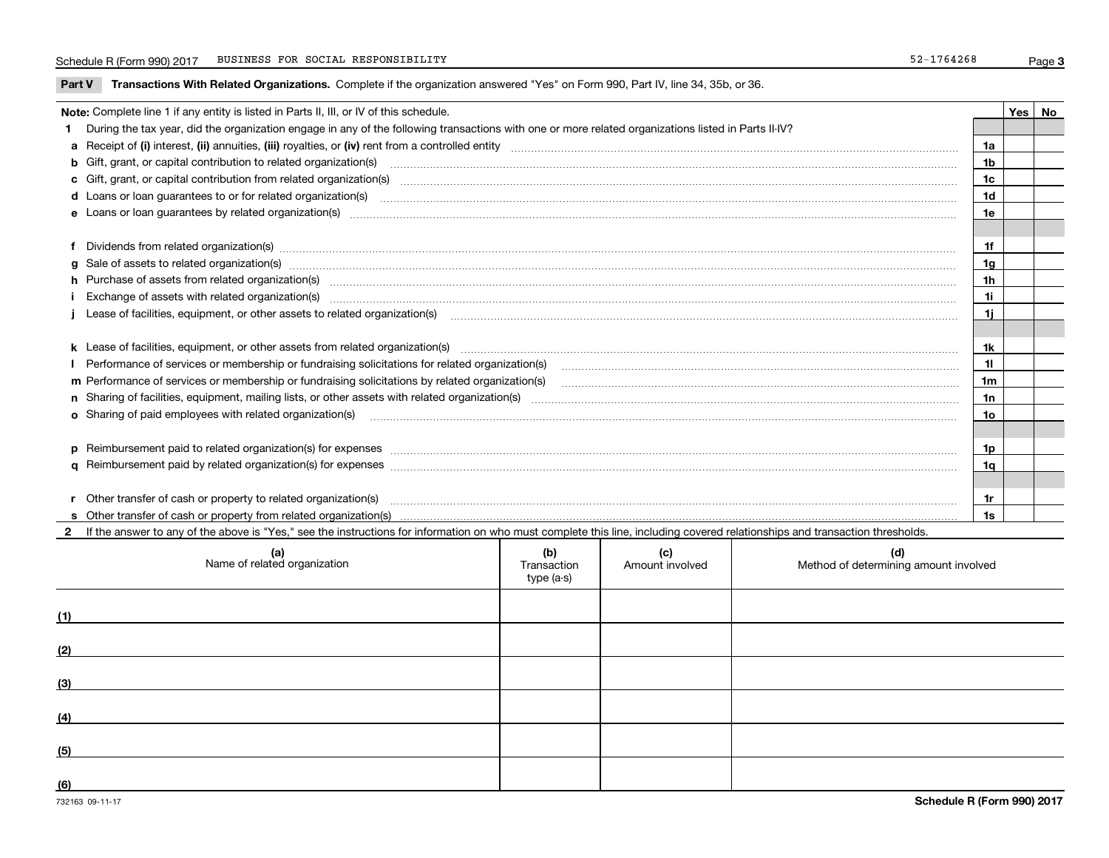### Schedule R (Form 990) 2017 BUSINESS FOR SOCIAL RESPONSIBILITY 52-1764268 Page

**Part V** T**ransactions With Related Organizations.** Complete if the organization answered "Yes" on Form 990, Part IV, line 34, 35b, or 36.

| Note: Complete line 1 if any entity is listed in Parts II, III, or IV of this schedule.                                                                                                                                        |                | Yes   No |
|--------------------------------------------------------------------------------------------------------------------------------------------------------------------------------------------------------------------------------|----------------|----------|
| 1 During the tax year, did the organization engage in any of the following transactions with one or more related organizations listed in Parts II-IV?                                                                          |                |          |
|                                                                                                                                                                                                                                | 1a             |          |
| b Gift, grant, or capital contribution to related organization(s) material contracts and contribution to related organization(s)                                                                                               | 1b             |          |
| c Gift, grant, or capital contribution from related organization(s) manufaction content to content and contribution from related organization(s) manufaction content and contribution from related organization(s) manufaction | 1c             |          |
|                                                                                                                                                                                                                                | 1d             |          |
|                                                                                                                                                                                                                                | 1e             |          |
|                                                                                                                                                                                                                                |                |          |
| f Dividends from related organization(s) manufactured contains and contained and contained contained and contained and contained and contained and contained and contained and contained and contained and contained and conta | 1f             |          |
|                                                                                                                                                                                                                                | 1g             |          |
| h Purchase of assets from related organization(s) manufactured and content and content and content and content and content and content and content and content and content and content and content and content and content and | 1 <sub>h</sub> |          |
|                                                                                                                                                                                                                                | 11             |          |
| Lease of facilities, equipment, or other assets to related organization(s) contraction contraction control and the set of facilities, equipment, or other assets to related organization(s) contraction control and the set of | 1j             |          |
|                                                                                                                                                                                                                                |                |          |
| k Lease of facilities, equipment, or other assets from related organization(s) manufaction content and content to the content of facilities, equipment, or other assets from related organization(s) manufaction content and c | 1k             |          |
|                                                                                                                                                                                                                                | 11             |          |
| m Performance of services or membership or fundraising solicitations by related organization(s)                                                                                                                                | 1 <sub>m</sub> |          |
|                                                                                                                                                                                                                                | 1n             |          |
| <b>o</b> Sharing of paid employees with related organization(s)                                                                                                                                                                | 1o             |          |
|                                                                                                                                                                                                                                |                |          |
| p Reimbursement paid to related organization(s) for expenses [111] resummand content to content the set of the set of the set of the set of the set of the set of the set of the set of the set of the set of the set of the s | 1p             |          |
|                                                                                                                                                                                                                                | 1q             |          |
|                                                                                                                                                                                                                                |                |          |
| r Other transfer of cash or property to related organization(s)                                                                                                                                                                | 1r             |          |
|                                                                                                                                                                                                                                | 1s             |          |
| 2 If the answer to any of the above is "Yes," see the instructions for information on who must complete this line, including covered relationships and transaction thresholds.                                                 |                |          |

| (a)<br>Name of related organization | (b)<br>Transaction<br>type (a-s) | (c)<br>Amount involved | (d)<br>Method of determining amount involved |
|-------------------------------------|----------------------------------|------------------------|----------------------------------------------|
| (1)                                 |                                  |                        |                                              |
| (2)                                 |                                  |                        |                                              |
| (3)                                 |                                  |                        |                                              |
| (4)                                 |                                  |                        |                                              |
| (5)                                 |                                  |                        |                                              |
| (6)                                 |                                  |                        |                                              |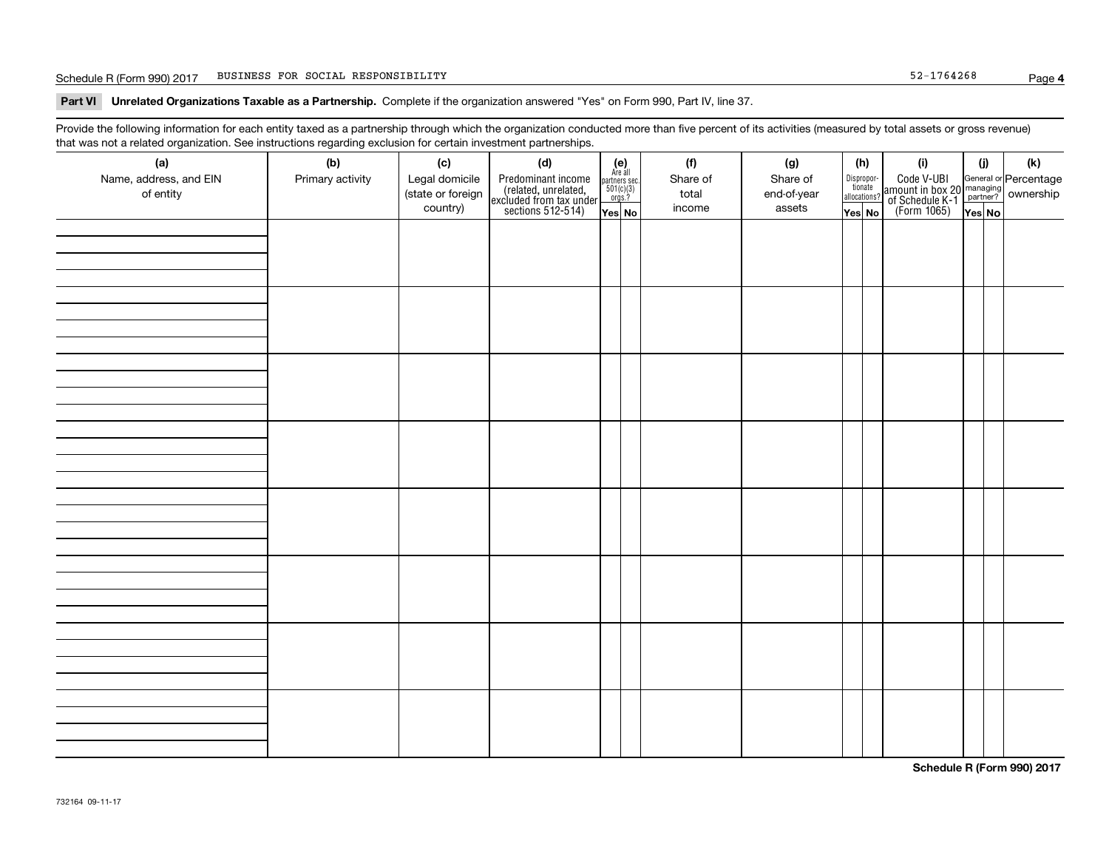### Schedule R (Form 990) 2017 BUSINESS FOR SOCIAL RESPONSIBILITY 52-1764268 Page

**Part VI Unrelated Organizations Taxable as a Partnership. Complete if the organization answered "Yes" on Form 990, Part IV, line 37.** 

Provide the following information for each entity taxed as a partnership through which the organization conducted more than five percent of its activities (measured by total assets or gross revenue) that was not a related organization. See instructions regarding exclusion for certain investment partnerships.

| (a)<br>Name, address, and EIN<br>of entity | ----- <del>-</del> --------<br>(b)<br>Primary activity | (c)<br>Legal domicile<br>(state or foreign<br>country) | (d)<br>Predominant income<br>(related, unrelated,<br>excluded from tax under<br>sections 512-514) | (e)<br>Are all<br>partners sec.<br>$501(c)(3)$<br>orgs.?<br>Yes No | (f)<br>Share of<br>total<br>income | (g)<br>Share of<br>end-of-year<br>assets | (h)<br>Dispropor-<br>tionate<br>allocations?<br>Yes No | (i)<br>Code V-UBI<br>  amount in box 20 managing<br>  of Schedule K-1 partner? ownership<br>  of Schedule K-1 partner? ownership<br>  Yes No | (i)<br>Yes No | (k) |
|--------------------------------------------|--------------------------------------------------------|--------------------------------------------------------|---------------------------------------------------------------------------------------------------|--------------------------------------------------------------------|------------------------------------|------------------------------------------|--------------------------------------------------------|----------------------------------------------------------------------------------------------------------------------------------------------|---------------|-----|
|                                            |                                                        |                                                        |                                                                                                   |                                                                    |                                    |                                          |                                                        |                                                                                                                                              |               |     |
|                                            |                                                        |                                                        |                                                                                                   |                                                                    |                                    |                                          |                                                        |                                                                                                                                              |               |     |
|                                            |                                                        |                                                        |                                                                                                   |                                                                    |                                    |                                          |                                                        |                                                                                                                                              |               |     |
|                                            |                                                        |                                                        |                                                                                                   |                                                                    |                                    |                                          |                                                        |                                                                                                                                              |               |     |
|                                            |                                                        |                                                        |                                                                                                   |                                                                    |                                    |                                          |                                                        |                                                                                                                                              |               |     |
|                                            |                                                        |                                                        |                                                                                                   |                                                                    |                                    |                                          |                                                        |                                                                                                                                              |               |     |
|                                            |                                                        |                                                        |                                                                                                   |                                                                    |                                    |                                          |                                                        |                                                                                                                                              |               |     |
|                                            |                                                        |                                                        |                                                                                                   |                                                                    |                                    |                                          |                                                        |                                                                                                                                              |               |     |

**Schedule R (Form 990) 2017**